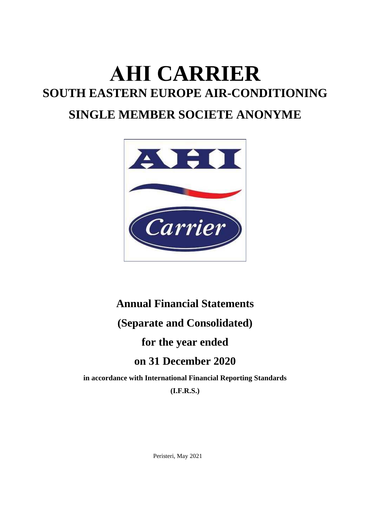# **ΑΗΙ CARRIER SOUTH EASTERN EUROPE AIR-CONDITIONING SINGLE MEMBER SOCIETE ANONYME**



# **Annual Financial Statements (Separate and Consolidated) for the year ended on 31 December 2020**

**in accordance with International Financial Reporting Standards (I.F.R.S.)** 

Peristeri, May 2021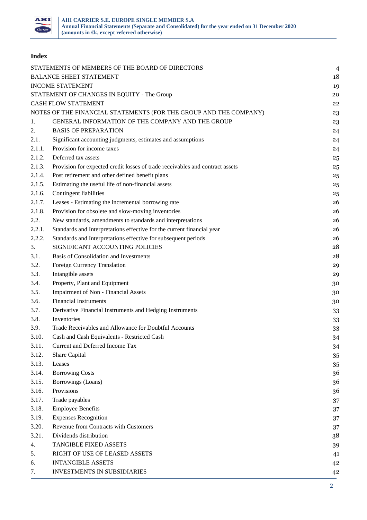

# **Index**

|        | STATEMENTS OF MEMBERS OF THE BOARD OF DIRECTORS                               | $\overline{4}$ |
|--------|-------------------------------------------------------------------------------|----------------|
|        | <b>BALANCE SHEET STATEMENT</b>                                                | 18             |
|        | <b>INCOME STATEMENT</b>                                                       | 19             |
|        | STATEMENT OF CHANGES IN EQUITY - The Group                                    | 20             |
|        | <b>CASH FLOW STATEMENT</b>                                                    | 22             |
|        | NOTES OF THE FINANCIAL STATEMENTS (FOR THE GROUP AND THE COMPANY)             | 23             |
| 1.     | GENERAL INFORMATION OF THE COMPANY AND THE GROUP                              | 23             |
| 2.     | <b>BASIS OF PREPARATION</b>                                                   | 24             |
| 2.1.   | Significant accounting judgments, estimates and assumptions                   | 24             |
| 2.1.1. | Provision for income taxes                                                    | 24             |
| 2.1.2. | Deferred tax assets                                                           | 25             |
| 2.1.3. | Provision for expected credit losses of trade receivables and contract assets | 25             |
| 2.1.4. | Post retirement and other defined benefit plans                               | 25             |
| 2.1.5. | Estimating the useful life of non-financial assets                            | 25             |
| 2.1.6. | Contingent liabilities                                                        | 25             |
| 2.1.7. | Leases - Estimating the incremental borrowing rate                            | 26             |
| 2.1.8. | Provision for obsolete and slow-moving inventories                            | 26             |
| 2.2.   | New standards, amendments to standards and interpretations                    | 26             |
| 2.2.1. | Standards and Interpretations effective for the current financial year        | 26             |
| 2.2.2. | Standards and Interpretations effective for subsequent periods                | 26             |
| 3.     | SIGNIFICANT ACCOUNTING POLICIES                                               | 28             |
| 3.1.   | Basis of Consolidation and Investments                                        | 28             |
| 3.2.   | Foreign Currency Translation                                                  | 29             |
| 3.3.   | Intangible assets                                                             | 29             |
| 3.4.   | Property, Plant and Equipment                                                 | 30             |
| 3.5.   | <b>Impairment of Non - Financial Assets</b>                                   | 30             |
| 3.6.   | <b>Financial Instruments</b>                                                  | 30             |
| 3.7.   | Derivative Financial Instruments and Hedging Instruments                      | 33             |
| 3.8.   | Inventories                                                                   | 33             |
| 3.9.   | Trade Receivables and Allowance for Doubtful Accounts                         | 33             |
| 3.10.  | Cash and Cash Equivalents - Restricted Cash                                   | 34             |
| 3.11.  | Current and Deferred Income Tax                                               | 34             |
| 3.12.  | Share Capital                                                                 | 35             |
| 3.13.  | Leases                                                                        | 35             |
| 3.14.  | <b>Borrowing Costs</b>                                                        | 36             |
| 3.15.  | Borrowings (Loans)                                                            | 36             |
| 3.16.  | Provisions                                                                    | 36             |
| 3.17.  | Trade payables                                                                | 37             |
| 3.18.  | <b>Employee Benefits</b>                                                      | 37             |
| 3.19.  | <b>Expenses Recognition</b>                                                   | 37             |
| 3.20.  | Revenue from Contracts with Customers                                         | 37             |
| 3.21.  | Dividends distribution                                                        | 38             |
| 4.     | <b>TANGIBLE FIXED ASSETS</b>                                                  | 39             |
| 5.     | RIGHT OF USE OF LEASED ASSETS                                                 | 41             |
| 6.     | <b>INTANGIBLE ASSETS</b>                                                      | 42             |
| 7.     | <b>INVESTMENTS IN SUBSIDIARIES</b>                                            | 42             |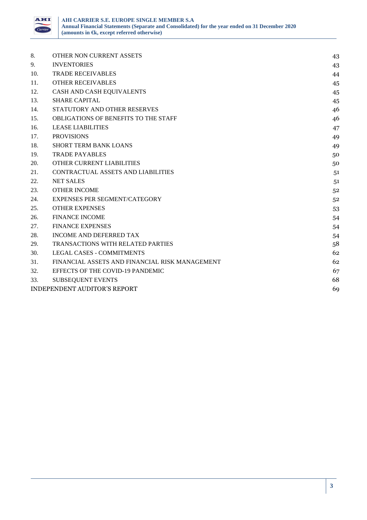

| 8.  | OTHER NON CURRENT ASSETS                       | 43 |
|-----|------------------------------------------------|----|
| 9.  | <b>INVENTORIES</b>                             | 43 |
| 10. | <b>TRADE RECEIVABLES</b>                       | 44 |
| 11. | <b>OTHER RECEIVABLES</b>                       | 45 |
| 12. | CASH AND CASH EQUIVALENTS                      | 45 |
| 13. | <b>SHARE CAPITAL</b>                           | 45 |
| 14. | STATUTORY AND OTHER RESERVES                   | 46 |
| 15. | OBLIGATIONS OF BENEFITS TO THE STAFF           | 46 |
| 16. | <b>LEASE LIABILITIES</b>                       | 47 |
| 17. | <b>PROVISIONS</b>                              | 49 |
| 18. | SHORT TERM BANK LOANS                          | 49 |
| 19. | <b>TRADE PAYABLES</b>                          | 50 |
| 20. | <b>OTHER CURRENT LIABILITIES</b>               | 50 |
| 21. | CONTRACTUAL ASSETS AND LIABILITIES             | 51 |
| 22. | <b>NET SALES</b>                               | 51 |
| 23. | <b>OTHER INCOME</b>                            | 52 |
| 24. | <b>EXPENSES PER SEGMENT/CATEGORY</b>           | 52 |
| 25. | <b>OTHER EXPENSES</b>                          | 53 |
| 26. | <b>FINANCE INCOME</b>                          | 54 |
| 27. | <b>FINANCE EXPENSES</b>                        | 54 |
| 28. | INCOME AND DEFERRED TAX                        | 54 |
| 29. | TRANSACTIONS WITH RELATED PARTIES              | 58 |
| 30. | <b>LEGAL CASES - COMMITMENTS</b>               | 62 |
| 31. | FINANCIAL ASSETS AND FINANCIAL RISK MANAGEMENT | 62 |
| 32. | EFFECTS OF THE COVID-19 PANDEMIC               | 67 |
| 33. | <b>SUBSEQUENT EVENTS</b>                       | 68 |
|     | <b>INDEPENDENT AUDITOR'S REPORT</b>            | 69 |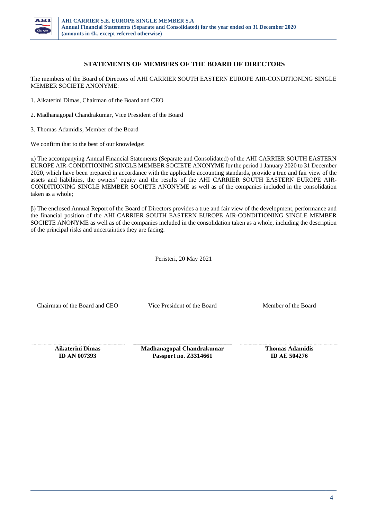

# **STATEMENTS OF MEMBERS OF THE BOARD OF DIRECTORS**

The members of the Board of Directors of ΑΗΙ CARRIER SOUTH EASTERN EUROPE AIR-CONDITIONING SINGLE MEMBER SOCIETE ANONYME:

1. Aikaterini Dimas, Chairman of the Board and CEO

- 2. Madhanagopal Chandrakumar, Vice President of the Board
- 3. Thomas Adamidis, Member of the Board

We confirm that to the best of our knowledge:

α) The accompanying Annual Financial Statements (Separate and Consolidated) of the ΑΗΙ CARRIER SOUTH EASTERN EUROPE AIR-CONDITIONING SINGLE MEMBER SOCIETE ANONYME for the period 1 January 2020 to 31 December 2020, which have been prepared in accordance with the applicable accounting standards, provide a true and fair view of the assets and liabilities, the owners' equity and the results of the ΑΗΙ CARRIER SOUTH EASTERN EUROPE AIR-CONDITIONING SINGLE MEMBER SOCIETE ANONYME as well as of the companies included in the consolidation taken as a whole;

β) The enclosed Annual Report of the Board of Directors provides a true and fair view of the development, performance and the financial position of the ΑΗΙ CARRIER SOUTH EASTERN EUROPE AIR-CONDITIONING SINGLE MEMBER SOCIETE ANONYME as well as of the companies included in the consolidation taken as a whole, including the description of the principal risks and uncertainties they are facing.

Peristeri, 20 May 2021

Chairman of the Board and CEO Vice President of the Board Member of the Board

**Aikaterini Dimas ID ΑΝ 007393** 

**Madhanagopal Chandrakumar Passport no. Ζ3314661** 

**Thomas Adamidis ID ΑΕ 504276**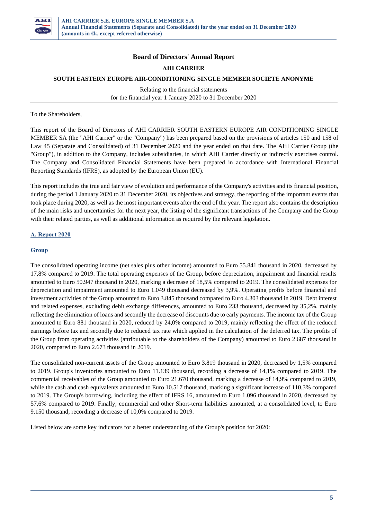

## **Board of Directors' Annual Report**

## **ΑΗΙ CARRIER**

#### **SOUTH EASTERN EUROPE AIR-CONDITIONING SINGLE MEMBER SOCIETE ANONYME**

Relating to the financial statements for the financial year 1 January 2020 to 31 December 2020

To the Shareholders,

This report of the Board of Directors of AHI CARRIER SOUTH EASTERN EUROPE AIR CONDITIONING SINGLE MEMBER SA (the "AHI Carrier" or the "Company") has been prepared based on the provisions of articles 150 and 158 of Law 45 (Separate and Consolidated) of 31 December 2020 and the year ended on that date. The AHI Carrier Group (the "Group"), in addition to the Company, includes subsidiaries, in which AHI Carrier directly or indirectly exercises control. The Company and Consolidated Financial Statements have been prepared in accordance with International Financial Reporting Standards (IFRS), as adopted by the European Union (EU).

This report includes the true and fair view of evolution and performance of the Company's activities and its financial position, during the period 1 January 2020 to 31 December 2020, its objectives and strategy, the reporting of the important events that took place during 2020, as well as the most important events after the end of the year. The report also contains the description of the main risks and uncertainties for the next year, the listing of the significant transactions of the Company and the Group with their related parties, as well as additional information as required by the relevant legislation.

## **Α. Report 2020**

#### **Group**

The consolidated operating income (net sales plus other income) amounted to Euro 55.841 thousand in 2020, decreased by 17,8% compared to 2019. The total operating expenses of the Group, before depreciation, impairment and financial results amounted to Euro 50.947 thousand in 2020, marking a decrease of 18,5% compared to 2019. The consolidated expenses for depreciation and impairment amounted to Euro 1.049 thousand decreased by 3,9%. Operating profits before financial and investment activities of the Group amounted to Euro 3.845 thousand compared to Euro 4.303 thousand in 2019. Debt interest and related expenses, excluding debit exchange differences, amounted to Euro 233 thousand, decreased by 35,2%, mainly reflecting the elimination of loans and secondly the decrease of discounts due to early payments. The income tax of the Group amounted to Euro 881 thousand in 2020, reduced by 24,0% compared to 2019, mainly reflecting the effect of the reduced earnings before tax and secondly due to reduced tax rate which applied in the calculation of the deferred tax. The profits of the Group from operating activities (attributable to the shareholders of the Company) amounted to Euro 2.687 thousand in 2020, compared to Euro 2.673 thousand in 2019.

The consolidated non-current assets of the Group amounted to Euro 3.819 thousand in 2020, decreased by 1,5% compared to 2019. Group's inventories amounted to Euro 11.139 thousand, recording a decrease of 14,1% compared to 2019. The commercial receivables of the Group amounted to Euro 21.670 thousand, marking a decrease of 14,9% compared to 2019, while the cash and cash equivalents amounted to Euro 10.517 thousand, marking a significant increase of 110,3% compared to 2019. The Group's borrowing, including the effect of IFRS 16, amounted to Euro 1.096 thousand in 2020, decreased by 57,6% compared to 2019. Finally, commercial and other Short-term liabilities amounted, at a consolidated level, to Euro 9.150 thousand, recording a decrease of 10,0% compared to 2019.

Listed below are some key indicators for a better understanding of the Group's position for 2020: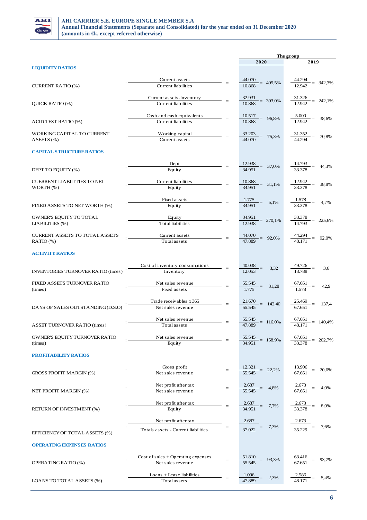

|                                           |                                                                                                                                                                                                                                                                                                                                     |                   | The group                                              |                                                                     |  |  |
|-------------------------------------------|-------------------------------------------------------------------------------------------------------------------------------------------------------------------------------------------------------------------------------------------------------------------------------------------------------------------------------------|-------------------|--------------------------------------------------------|---------------------------------------------------------------------|--|--|
|                                           |                                                                                                                                                                                                                                                                                                                                     |                   | 2020                                                   | 2019                                                                |  |  |
| <b>LIQUIDITY RATIOS</b>                   |                                                                                                                                                                                                                                                                                                                                     |                   |                                                        |                                                                     |  |  |
|                                           |                                                                                                                                                                                                                                                                                                                                     |                   |                                                        |                                                                     |  |  |
|                                           | Current assets                                                                                                                                                                                                                                                                                                                      | $=$               | $\frac{44.070}{10.868} = 405,5\%$                      | $\frac{44.294}{12.942} = 342,3\%$                                   |  |  |
| <b>CURRENT RATIO (%)</b>                  | Current liabilities                                                                                                                                                                                                                                                                                                                 |                   |                                                        |                                                                     |  |  |
|                                           |                                                                                                                                                                                                                                                                                                                                     |                   |                                                        |                                                                     |  |  |
| QUICK RATIO (%)                           | Current assets-Inventory<br>Current liabilities                                                                                                                                                                                                                                                                                     |                   |                                                        | $\frac{32.931}{10.868} = 303,0\%$ $\frac{31.326}{12.942} = 242,1\%$ |  |  |
|                                           |                                                                                                                                                                                                                                                                                                                                     |                   |                                                        |                                                                     |  |  |
|                                           | Cash and cash equivalents                                                                                                                                                                                                                                                                                                           |                   |                                                        |                                                                     |  |  |
| <b>ACID TEST RATIO (%)</b>                | <b>Current liabilities</b>                                                                                                                                                                                                                                                                                                          |                   | $\frac{10.517}{10.868} = 96,8\%$                       | $\frac{5.000}{12.942} = 38,6\%$                                     |  |  |
|                                           |                                                                                                                                                                                                                                                                                                                                     |                   |                                                        |                                                                     |  |  |
| WORKING CAPITAL TO CURRENT                | Working capital                                                                                                                                                                                                                                                                                                                     |                   | $\frac{33.203}{44.070} = 75,3\%$                       | $\frac{31.352}{44.294} = 70,8\%$                                    |  |  |
| ASEETS(%)                                 | Current assets                                                                                                                                                                                                                                                                                                                      |                   |                                                        |                                                                     |  |  |
|                                           |                                                                                                                                                                                                                                                                                                                                     |                   |                                                        |                                                                     |  |  |
| <b>CAPITAL STRUCTURE RATIOS</b>           |                                                                                                                                                                                                                                                                                                                                     |                   |                                                        |                                                                     |  |  |
|                                           |                                                                                                                                                                                                                                                                                                                                     |                   |                                                        |                                                                     |  |  |
|                                           | Dept                                                                                                                                                                                                                                                                                                                                | $=$               |                                                        | $\frac{12.938}{34.951} = 37,0\%$ $\frac{14.793}{33.378} = 44,3\%$   |  |  |
| DEPT TO EQUITY (%)                        | Equity                                                                                                                                                                                                                                                                                                                              |                   |                                                        |                                                                     |  |  |
| <b>CUERRENT LIABILITIES TO NET</b>        | Current liabilities                                                                                                                                                                                                                                                                                                                 |                   |                                                        |                                                                     |  |  |
| $WORTH$ (%)                               | Equity                                                                                                                                                                                                                                                                                                                              | $\equiv$          | $\frac{10.868}{34.951} = 31,1\%$                       | $\frac{12.942}{33.378} = 38.8\%$                                    |  |  |
|                                           |                                                                                                                                                                                                                                                                                                                                     |                   |                                                        |                                                                     |  |  |
|                                           | Fixed assets<br>$\frac{1}{2}$ $\frac{1}{2}$ $\frac{1}{2}$ $\frac{1}{2}$ $\frac{1}{2}$ $\frac{1}{2}$ $\frac{1}{2}$ $\frac{1}{2}$ $\frac{1}{2}$ $\frac{1}{2}$ $\frac{1}{2}$ $\frac{1}{2}$ $\frac{1}{2}$ $\frac{1}{2}$ $\frac{1}{2}$ $\frac{1}{2}$ $\frac{1}{2}$ $\frac{1}{2}$ $\frac{1}{2}$ $\frac{1}{2}$ $\frac{1}{2}$ $\frac{1}{2}$ |                   |                                                        |                                                                     |  |  |
| FIXED ASSETS TO NET WORTH (%)             | Equity                                                                                                                                                                                                                                                                                                                              |                   |                                                        | $\frac{1.775}{34.951} = 5,1\%$ $\frac{1.578}{33.378} = 4,7\%$       |  |  |
|                                           |                                                                                                                                                                                                                                                                                                                                     |                   |                                                        |                                                                     |  |  |
| OWNER'S EQUITY TO TOTAL                   | Equity                                                                                                                                                                                                                                                                                                                              |                   |                                                        | $\frac{34.951}{12.938} = 270,1\%$ $\frac{33.378}{14.793} = 225,6\%$ |  |  |
| LIABILITIES (%)                           | <b>Total</b> liabilities                                                                                                                                                                                                                                                                                                            |                   |                                                        |                                                                     |  |  |
|                                           |                                                                                                                                                                                                                                                                                                                                     |                   |                                                        |                                                                     |  |  |
| <b>CURRENT ASSETS TO TOTAL ASSETS</b>     | Current assets                                                                                                                                                                                                                                                                                                                      |                   |                                                        | $\frac{44.070}{47.889} = 92,0\%$ $\frac{44.294}{48.171} = 92,0\%$   |  |  |
| $RATIO$ (%)                               | Total assets                                                                                                                                                                                                                                                                                                                        |                   |                                                        |                                                                     |  |  |
|                                           |                                                                                                                                                                                                                                                                                                                                     |                   |                                                        |                                                                     |  |  |
| <b>ACTIVITY RATIOS</b>                    |                                                                                                                                                                                                                                                                                                                                     |                   |                                                        |                                                                     |  |  |
|                                           |                                                                                                                                                                                                                                                                                                                                     |                   |                                                        |                                                                     |  |  |
| <b>INVENTORIES TURNOVER RATIO (times)</b> | Cost of inventory consumptions $=$<br>Inventory                                                                                                                                                                                                                                                                                     |                   | $\frac{40.038}{12.053} = 3,32$                         | $\frac{49.726}{13.788} =$<br>3,6                                    |  |  |
|                                           |                                                                                                                                                                                                                                                                                                                                     |                   |                                                        |                                                                     |  |  |
| FIXED ASSETS TURNOVER RATIO               | Net sales revenue                                                                                                                                                                                                                                                                                                                   |                   |                                                        |                                                                     |  |  |
| (times)                                   | Fixed assets                                                                                                                                                                                                                                                                                                                        |                   | $\frac{55.545}{1.775} = 31,28$                         | $\frac{67.651}{1.578}$ =<br>42,9                                    |  |  |
|                                           |                                                                                                                                                                                                                                                                                                                                     |                   |                                                        |                                                                     |  |  |
|                                           | Trade receivables x 365                                                                                                                                                                                                                                                                                                             |                   | $\frac{21.670}{55.545} = 142,40$                       | 137,4                                                               |  |  |
| DAYS OF SALES OUTSTANDING (D.S.O)         | Net sales revenue                                                                                                                                                                                                                                                                                                                   |                   |                                                        | $\frac{25.469}{67.651} =$                                           |  |  |
|                                           |                                                                                                                                                                                                                                                                                                                                     |                   |                                                        |                                                                     |  |  |
|                                           | Net sales revenue                                                                                                                                                                                                                                                                                                                   | $=$               | $\frac{55.545}{47.889} = 116,0\%$                      | $\frac{67.651}{48.171} = 140,4\%$                                   |  |  |
| <b>ASSET TURNOVER RATIO (times)</b>       | Total assets                                                                                                                                                                                                                                                                                                                        |                   |                                                        |                                                                     |  |  |
|                                           |                                                                                                                                                                                                                                                                                                                                     |                   |                                                        |                                                                     |  |  |
| OWNER'S EQUITY TURNOVER RATIO             | Net sales revenue                                                                                                                                                                                                                                                                                                                   |                   |                                                        | $\frac{55.545}{34.951} = 158,9\%$ $\frac{67.651}{33.378} = 202,7\%$ |  |  |
| (times)                                   | Equity                                                                                                                                                                                                                                                                                                                              |                   |                                                        |                                                                     |  |  |
| <b>PROFITABILITY RATIOS</b>               |                                                                                                                                                                                                                                                                                                                                     |                   |                                                        |                                                                     |  |  |
|                                           |                                                                                                                                                                                                                                                                                                                                     |                   |                                                        |                                                                     |  |  |
|                                           | Gross profit                                                                                                                                                                                                                                                                                                                        |                   |                                                        |                                                                     |  |  |
| <b>GROSS PROFIT MARGIN (%)</b>            | Net sales revenue                                                                                                                                                                                                                                                                                                                   | $\!\!\!=\!\!\!\!$ | $\frac{12.321}{55.545} = 22.2\%$                       | $\frac{13.906}{67.651} = 20,6\%$                                    |  |  |
|                                           |                                                                                                                                                                                                                                                                                                                                     |                   |                                                        |                                                                     |  |  |
|                                           | Net profit after tax                                                                                                                                                                                                                                                                                                                |                   | $\frac{2.687}{55.545}$ = 4,8% $\frac{2.673}{67.651}$ = | 4,0%                                                                |  |  |
| NET PROFIT MARGIN (%)                     | Net sales revenue                                                                                                                                                                                                                                                                                                                   |                   |                                                        |                                                                     |  |  |
|                                           |                                                                                                                                                                                                                                                                                                                                     |                   |                                                        |                                                                     |  |  |
|                                           | Net profit after tax                                                                                                                                                                                                                                                                                                                |                   | $\frac{2.687}{34.951} = 7,7\%$                         | $\frac{2.673}{33.378} =$<br>8,0%                                    |  |  |
| RETURN OF INVESTMENT (%)                  | Equity                                                                                                                                                                                                                                                                                                                              |                   |                                                        |                                                                     |  |  |
|                                           |                                                                                                                                                                                                                                                                                                                                     |                   |                                                        |                                                                     |  |  |
|                                           | Net profit after tax                                                                                                                                                                                                                                                                                                                |                   | 2.687<br>$\frac{1}{37.022}$ = 7,3%                     | $\frac{2.673}{35.229} = 7,6\%$                                      |  |  |
|                                           | Totals assets - Current liabilities                                                                                                                                                                                                                                                                                                 |                   |                                                        |                                                                     |  |  |
| EFFICIENCY OF TOTAL ASSETS (%)            |                                                                                                                                                                                                                                                                                                                                     |                   |                                                        |                                                                     |  |  |
| <b>OPERATING EXPENSES RATIOS</b>          |                                                                                                                                                                                                                                                                                                                                     |                   |                                                        |                                                                     |  |  |
|                                           |                                                                                                                                                                                                                                                                                                                                     |                   |                                                        |                                                                     |  |  |
|                                           | $Cost of sales + Operating expenses$                                                                                                                                                                                                                                                                                                |                   |                                                        |                                                                     |  |  |
| OPERATING RATIO (%)                       | Net sales revenue                                                                                                                                                                                                                                                                                                                   |                   | $\frac{51.810}{55.545} = 93,3\%$                       | $\frac{63.416}{67.651} = 93,7\%$                                    |  |  |
|                                           |                                                                                                                                                                                                                                                                                                                                     |                   |                                                        |                                                                     |  |  |
|                                           | Loans + Lease liabilities                                                                                                                                                                                                                                                                                                           | $=$               | $\frac{1.096}{1.000}$ = 2,3%                           | $\frac{2.586}{48.171} = 5,4\%$                                      |  |  |
| LOANS TO TOTAL ASSETS (%)                 | Total assets                                                                                                                                                                                                                                                                                                                        |                   | 47.889                                                 |                                                                     |  |  |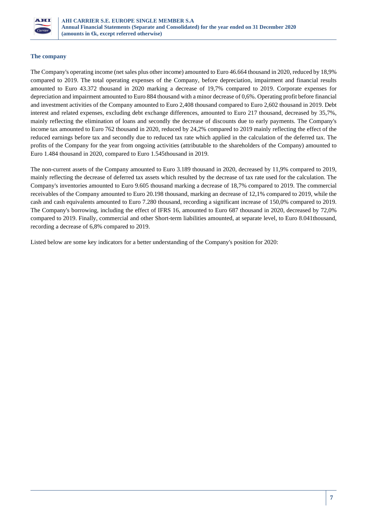

## **The company**

The Company's operating income (net sales plus other income) amounted to Euro 46.664 thousand in 2020, reduced by 18,9% compared to 2019. The total operating expenses of the Company, before depreciation, impairment and financial results amounted to Euro 43.372 thousand in 2020 marking a decrease of 19,7% compared to 2019. Corporate expenses for depreciation and impairment amounted to Euro 884 thousand with a minor decrease of 0,6%. Operating profit before financial and investment activities of the Company amounted to Euro 2,408 thousand compared to Euro 2,602 thousand in 2019. Debt interest and related expenses, excluding debt exchange differences, amounted to Euro 217 thousand, decreased by 35,7%, mainly reflecting the elimination of loans and secondly the decrease of discounts due to early payments. The Company's income tax amounted to Euro 762 thousand in 2020, reduced by 24,2% compared to 2019 mainly reflecting the effect of the reduced earnings before tax and secondly due to reduced tax rate which applied in the calculation of the deferred tax. The profits of the Company for the year from ongoing activities (attributable to the shareholders of the Company) amounted to Euro 1.484 thousand in 2020, compared to Euro 1.545thousand in 2019.

The non-current assets of the Company amounted to Euro 3.189 thousand in 2020, decreased by 11,9% compared to 2019, mainly reflecting the decrease of deferred tax assets which resulted by the decrease of tax rate used for the calculation. The Company's inventories amounted to Euro 9.605 thousand marking a decrease of 18,7% compared to 2019. The commercial receivables of the Company amounted to Euro 20.198 thousand, marking an decrease of 12,1% compared to 2019, while the cash and cash equivalents amounted to Euro 7.280 thousand, recording a significant increase of 150,0% compared to 2019. The Company's borrowing, including the effect of IFRS 16, amounted to Euro 687 thousand in 2020, decreased by 72,0% compared to 2019. Finally, commercial and other Short-term liabilities amounted, at separate level, to Euro 8.041thousand, recording a decrease of 6,8% compared to 2019.

Listed below are some key indicators for a better understanding of the Company's position for 2020: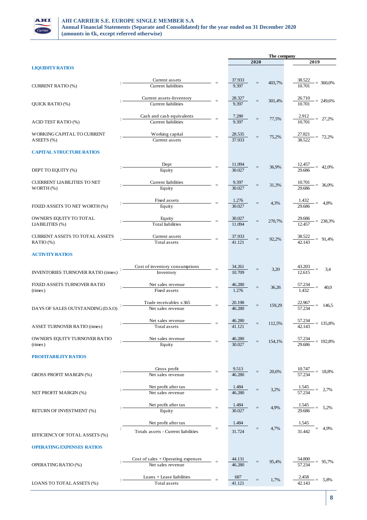

|                                           |                                           |     |                         |                   | The company |                                      |  |  |
|-------------------------------------------|-------------------------------------------|-----|-------------------------|-------------------|-------------|--------------------------------------|--|--|
|                                           |                                           |     |                         | 2020              |             | 2019                                 |  |  |
| <b>LIQUIDITY RATIOS</b>                   |                                           |     |                         |                   |             |                                      |  |  |
|                                           |                                           |     |                         |                   |             |                                      |  |  |
| CURRENT RATIO (%)                         | Current assets<br>Current liabilities     | $=$ | 37.933<br>9.397         |                   | 403,7%      | $\frac{38.522}{10.701} = 360,0\%$    |  |  |
|                                           |                                           |     |                         |                   |             |                                      |  |  |
|                                           | Current assets-Inventory                  |     | 28.327                  |                   |             |                                      |  |  |
| QUICK RATIO (%)                           | <b>Current</b> liabilities                |     | 9.397                   |                   | 301,4%      | $\frac{26.710}{10.701} = 249,6\%$    |  |  |
|                                           |                                           |     |                         |                   |             |                                      |  |  |
|                                           | Cash and cash equivalents                 |     | 7.280                   | $\quad \  \  =$   | 77,5%       | $\frac{2.912}{10.701} = 27.2\%$      |  |  |
| ACID TEST RATIO (%)                       | Current liabilities                       |     | 9.397                   |                   |             |                                      |  |  |
|                                           |                                           |     |                         |                   |             |                                      |  |  |
| WORKING CAPITAL TO CURRENT                | Working capital                           |     | $\frac{28.535}{37.933}$ | $\quad \  \  =$   | 75,2%       | $\frac{27.821}{38.522} = 72,2\%$     |  |  |
| ASEETS (%)                                | Current assets                            |     |                         |                   |             |                                      |  |  |
| <b>CAPITAL STRUCTURE RATIOS</b>           |                                           |     |                         |                   |             |                                      |  |  |
|                                           |                                           |     |                         |                   |             |                                      |  |  |
|                                           | Dept                                      |     |                         |                   |             |                                      |  |  |
| DEPT TO EQUITY (%)                        | Equity                                    |     | $\frac{11.094}{30.027}$ | $=$               | 36,9%       | $\frac{12.457}{29.686} = 42,0\%$     |  |  |
|                                           |                                           |     |                         |                   |             |                                      |  |  |
| <b>CUERRENT LIABILITIES TO NET</b>        | Current liabilities                       |     | $\frac{9.397}{30.027}$  | $\qquad \qquad =$ | 31,3%       | $\frac{10.701}{29.686} = 36,0\%$     |  |  |
| $WORTH$ (%)                               | Equity                                    |     |                         |                   |             |                                      |  |  |
|                                           |                                           |     |                         |                   |             |                                      |  |  |
|                                           | Fixed assets                              |     | $\frac{1.276}{30.027}$  |                   | 4,3%        | $\frac{1.432}{29.686} = 4,8\%$       |  |  |
| FIXED ASSETS TO NET WORTH (%)             | Equity                                    |     |                         |                   |             |                                      |  |  |
| OWNER'S EQUITY TO TOTAL                   |                                           |     |                         |                   |             |                                      |  |  |
| LIABILITIES (%)                           | Equity<br><b>Total</b> liabilities        |     | $\frac{30.027}{11.094}$ |                   | 270,7%      | $\frac{29.686}{12.457} = 238,3\%$    |  |  |
|                                           |                                           |     |                         |                   |             |                                      |  |  |
| <b>CURRENT ASSETS TO TOTAL ASSETS</b>     | Current assets                            |     |                         |                   |             |                                      |  |  |
| RATIO (%)                                 | Total assets                              |     | $\frac{37.933}{41.121}$ |                   | 92,2%       | $\frac{38.522}{42.143} = 91,4\%$     |  |  |
|                                           |                                           |     |                         |                   |             |                                      |  |  |
| <b>ACTIVITY RATIOS</b>                    |                                           |     |                         |                   |             |                                      |  |  |
|                                           |                                           |     |                         |                   |             |                                      |  |  |
|                                           | Cost of inventory consumptions            |     | 34.261                  |                   | 3,20        | $\frac{43.203}{12.615} =$<br>3,4     |  |  |
| <b>INVENTORIES TURNOVER RATIO (times)</b> | Inventory                                 |     | 10.709                  |                   |             |                                      |  |  |
|                                           |                                           |     |                         |                   |             |                                      |  |  |
| FIXED ASSETS TURNOVER RATIO<br>(times)    | Net sales revenue<br>Fixed assets         |     | 46.280<br>1.276         | $=$               | 36,26       | $\frac{57.234}{1.432}$<br>40,0       |  |  |
|                                           |                                           |     |                         |                   |             |                                      |  |  |
|                                           | Trade receivables x 365                   |     | 20.198                  |                   |             |                                      |  |  |
| DAYS OF SALES OUTSTANDING (D.S.O)         | Net sales revenue                         |     | 46.280                  | $=$               | 159,29      | $\frac{22.967}{57.234}$<br>$= 146.5$ |  |  |
|                                           |                                           |     |                         |                   |             |                                      |  |  |
|                                           | Net sales revenue                         |     | 46.280                  | $=$               | 112,5%      | $\frac{57.234}{42.143}$ = 135,8%     |  |  |
| ASSET TURNOVER RATIO (times)              | Total assets                              |     | 41.121                  |                   |             |                                      |  |  |
|                                           |                                           |     |                         |                   |             |                                      |  |  |
| OWNER'S EQUITY TURNOVER RATIO             | Net sales revenue                         |     | 46.280                  |                   | 154,1%      | $= 192,8%$                           |  |  |
| (times)                                   | Equity                                    |     | 30.027                  |                   |             |                                      |  |  |
| <b>PROFITABILITY RATIOS</b>               |                                           |     |                         |                   |             |                                      |  |  |
|                                           |                                           |     |                         |                   |             |                                      |  |  |
|                                           | Gross profit                              |     | 9.513                   |                   |             |                                      |  |  |
| <b>GROSS PROFIT MARGIN (%)</b>            | Net sales revenue                         |     | 46.280                  |                   | 20,6%       | $= 18,8%$                            |  |  |
|                                           |                                           |     |                         |                   |             |                                      |  |  |
|                                           | Net profit after tax                      |     | 1.484                   |                   | 3,2%        | 1.545<br>57.234<br>2,7%              |  |  |
| NET PROFIT MARGIN (%)                     | Net sales revenue                         |     | 46.280                  |                   |             |                                      |  |  |
|                                           |                                           |     |                         |                   |             |                                      |  |  |
|                                           | Net profit after tax                      |     | 1.484<br>30.027         |                   | 4,9%        | $= 5,2%$                             |  |  |
| RETURN OF INVESTMENT (%)                  | Equity                                    |     |                         |                   |             |                                      |  |  |
|                                           | Net profit after tax                      |     | 1.484                   |                   |             | 1.545                                |  |  |
|                                           |                                           | $=$ |                         | $=$               | 4,7%        | $= 4.9\%$                            |  |  |
| EFFICIENCY OF TOTAL ASSETS (%)            | Totals assets - Current liabilities       |     | 31.724                  |                   |             | 31.442                               |  |  |
|                                           |                                           |     |                         |                   |             |                                      |  |  |
| <b>OPERATING EXPENSES RATIOS</b>          |                                           |     |                         |                   |             |                                      |  |  |
|                                           |                                           |     |                         |                   |             |                                      |  |  |
|                                           | $Cost of sales + Operating expenses$      |     | 44.131                  |                   | 95,4%       | $= 95,7%$                            |  |  |
| OPERATING RATIO (%)                       | Net sales revenue                         |     | 46.280                  |                   |             |                                      |  |  |
|                                           |                                           |     |                         |                   |             |                                      |  |  |
| LOANS TO TOTAL ASSETS (%)                 | Loans + Lease liabilities<br>Total assets |     | 687<br>41.121           |                   | 1,7%        | 5,8%                                 |  |  |
|                                           |                                           |     |                         |                   |             |                                      |  |  |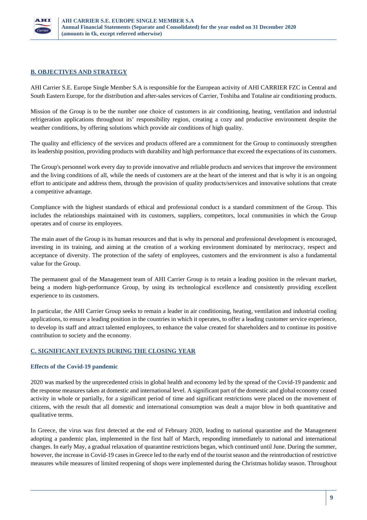

# **B. OBJECTIVES AND STRATEGY**

AHI Carrier S.E. Europe Single Member S.A is responsible for the European activity of AHI CARRIER FZC in Central and South Eastern Europe, for the distribution and after-sales services of Carrier, Toshiba and Totaline air conditioning products.

Mission of the Group is to be the number one choice of customers in air conditioning, heating, ventilation and industrial refrigeration applications throughout its' responsibility region, creating a cozy and productive environment despite the weather conditions, by offering solutions which provide air conditions of high quality.

The quality and efficiency of the services and products offered are a commitment for the Group to continuously strengthen its leadership position, providing products with durability and high performance that exceed the expectations of its customers.

The Group's personnel work every day to provide innovative and reliable products and services that improve the environment and the living conditions of all, while the needs of customers are at the heart of the interest and that is why it is an ongoing effort to anticipate and address them, through the provision of quality products/services and innovative solutions that create a competitive advantage.

Compliance with the highest standards of ethical and professional conduct is a standard commitment of the Group. This includes the relationships maintained with its customers, suppliers, competitors, local communities in which the Group operates and of course its employees.

The main asset of the Group is its human resources and that is why its personal and professional development is encouraged, investing in its training, and aiming at the creation of a working environment dominated by meritocracy, respect and acceptance of diversity. The protection of the safety of employees, customers and the environment is also a fundamental value for the Group.

The permanent goal of the Management team of AHI Carrier Group is to retain a leading position in the relevant market, being a modern high-performance Group, by using its technological excellence and consistently providing excellent experience to its customers.

In particular, the AHI Carrier Group seeks to remain a leader in air conditioning, heating, ventilation and industrial cooling applications, to ensure a leading position in the countries in which it operates, to offer a leading customer service experience, to develop its staff and attract talented employees, to enhance the value created for shareholders and to continue its positive contribution to society and the economy.

## **C. SIGNIFICANT EVENTS DURING THE CLOSING YEAR**

## **Effects of the Covid-19 pandemic**

2020 was marked by the unprecedented crisis in global health and economy led by the spread of the Covid-19 pandemic and the response measures taken at domestic and international level. A significant part of the domestic and global economy ceased activity in whole or partially, for a significant period of time and significant restrictions were placed on the movement of citizens, with the result that all domestic and international consumption was dealt a major blow in both quantitative and qualitative terms.

In Greece, the virus was first detected at the end of February 2020, leading to national quarantine and the Management adopting a pandemic plan, implemented in the first half of March, responding immediately to national and international changes. In early May, a gradual relaxation of quarantine restrictions began, which continued until June. During the summer, however, the increase in Covid-19 cases in Greece led to the early end of the tourist season and the reintroduction of restrictive measures while measures of limited reopening of shops were implemented during the Christmas holiday season. Throughout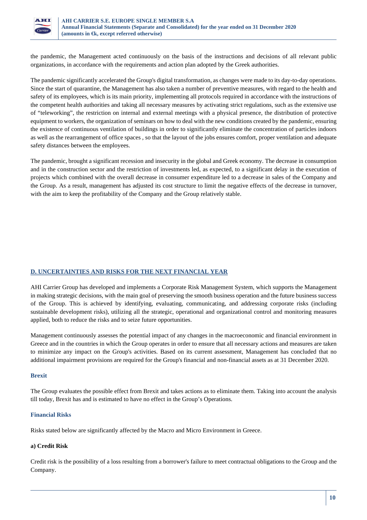

the pandemic, the Management acted continuously on the basis of the instructions and decisions of all relevant public organizations, in accordance with the requirements and action plan adopted by the Greek authorities.

The pandemic significantly accelerated the Group's digital transformation, as changes were made to its day-to-day operations. Since the start of quarantine, the Management has also taken a number of preventive measures, with regard to the health and safety of its employees, which is its main priority, implementing all protocols required in accordance with the instructions of the competent health authorities and taking all necessary measures by activating strict regulations, such as the extensive use of "teleworking", the restriction on internal and external meetings with a physical presence, the distribution of protective equipment to workers, the organization of seminars on how to deal with the new conditions created by the pandemic, ensuring the existence of continuous ventilation of buildings in order to significantly eliminate the concentration of particles indoors as well as the rearrangement of office spaces , so that the layout of the jobs ensures comfort, proper ventilation and adequate safety distances between the employees.

The pandemic, brought a significant recession and insecurity in the global and Greek economy. The decrease in consumption and in the construction sector and the restriction of investments led, as expected, to a significant delay in the execution of projects which combined with the overall decrease in consumer expenditure led to a decrease in sales of the Company and the Group. As a result, management has adjusted its cost structure to limit the negative effects of the decrease in turnover, with the aim to keep the profitability of the Company and the Group relatively stable.

## **D. UNCERTAINTIES AND RISKS FOR THE NEXT FINANCIAL YEAR**

AHI Carrier Group has developed and implements a Corporate Risk Management System, which supports the Management in making strategic decisions, with the main goal of preserving the smooth business operation and the future business success of the Group. This is achieved by identifying, evaluating, communicating, and addressing corporate risks (including sustainable development risks), utilizing all the strategic, operational and organizational control and monitoring measures applied, both to reduce the risks and to seize future opportunities.

Management continuously assesses the potential impact of any changes in the macroeconomic and financial environment in Greece and in the countries in which the Group operates in order to ensure that all necessary actions and measures are taken to minimize any impact on the Group's activities. Based on its current assessment, Management has concluded that no additional impairment provisions are required for the Group's financial and non-financial assets as at 31 December 2020.

#### **Brexit**

The Group evaluates the possible effect from Brexit and takes actions as to eliminate them. Taking into account the analysis till today, Brexit has and is estimated to have no effect in the Group's Operations.

#### **Financial Risks**

Risks stated below are significantly affected by the Macro and Micro Environment in Greece.

## **a) Credit Risk**

Credit risk is the possibility of a loss resulting from a borrower's failure to meet contractual obligations to the Group and the Company.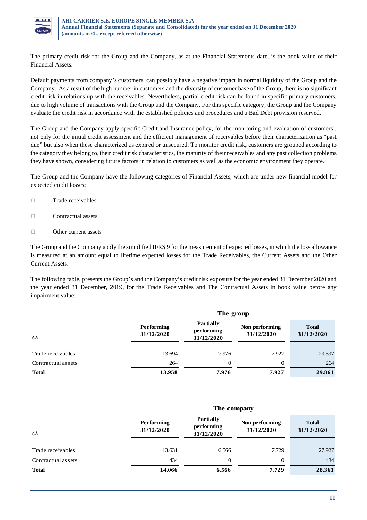

The primary credit risk for the Group and the Company, as at the Financial Statements date, is the book value of their Financial Assets.

Default payments from company's customers, can possibly have a negative impact in normal liquidity of the Group and the Company. As a result of the high number in customers and the diversity of customer base of the Group, there is no significant credit risk in relationship with the receivables. Nevertheless, partial credit risk can be found in specific primary customers, due to high volume of transactions with the Group and the Company. For this specific category, the Group and the Company evaluate the credit risk in accordance with the established policies and procedures and a Bad Debt provision reserved.

The Group and the Company apply specific Credit and Insurance policy, for the monitoring and evaluation of customers', not only for the initial credit assessment and the efficient management of receivables before their characterization as "past due" but also when these characterized as expired or unsecured. To monitor credit risk, customers are grouped according to the category they belong to, their credit risk characteristics, the maturity of their receivables and any past collection problems they have shown, considering future factors in relation to customers as well as the economic environment they operate.

The Group and the Company have the following categories of Financial Assets, which are under new financial model for expected credit losses:

- $\Box$  Trade receivables
- $\Box$  Contractual assets
- Other current assets

The Group and the Company apply the simplified IFRS 9 for the measurement of expected losses, in which the loss allowance is measured at an amount equal to lifetime expected losses for the Trade Receivables, the Current Assets and the Other Current Assets.

The following table, presents the Group's and the Company's credit risk exposure for the year ended 31 December 2020 and the year ended 31 December, 2019, for the Trade Receivables and The Contractual Assets in book value before any impairment value:

|                    | The group                |                                              |                              |                            |  |  |  |
|--------------------|--------------------------|----------------------------------------------|------------------------------|----------------------------|--|--|--|
| $\epsilon$         | Performing<br>31/12/2020 | <b>Partially</b><br>performing<br>31/12/2020 | Non performing<br>31/12/2020 | <b>Total</b><br>31/12/2020 |  |  |  |
|                    |                          |                                              |                              |                            |  |  |  |
| Trade receivables  | 13.694                   | 7.976                                        | 7.927                        | 29.597                     |  |  |  |
| Contractual assets | 264                      | $\Omega$                                     | 0                            | 264                        |  |  |  |
| <b>Total</b>       | 13.958                   | 7.976                                        | 7.927                        | 29.861                     |  |  |  |

|                    | The company                     |                                              |                              |                            |  |  |  |
|--------------------|---------------------------------|----------------------------------------------|------------------------------|----------------------------|--|--|--|
| $\epsilon$         | <b>Performing</b><br>31/12/2020 | <b>Partially</b><br>performing<br>31/12/2020 | Non performing<br>31/12/2020 | <b>Total</b><br>31/12/2020 |  |  |  |
| Trade receivables  | 13.631                          | 6.566                                        | 7.729                        | 27.927                     |  |  |  |
| Contractual assets | 434                             | $\Omega$                                     | $\theta$                     | 434                        |  |  |  |
| <b>Total</b>       | 14.066                          | 6.566                                        | 7.729                        | 28.361                     |  |  |  |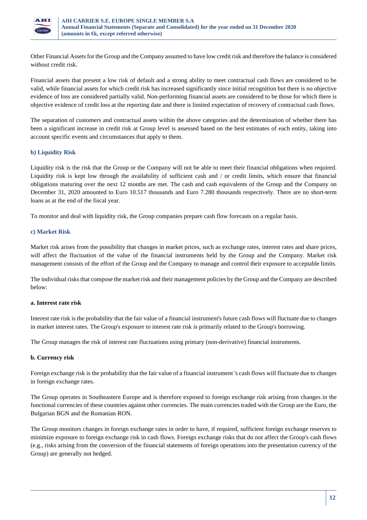

Other Financial Assets for the Group and the Company assumed to have low credit risk and therefore the balance is considered without credit risk.

Financial assets that present a low risk of default and a strong ability to meet contractual cash flows are considered to be valid, while financial assets for which credit risk has increased significantly since initial recognition but there is no objective evidence of loss are considered partially valid. Non-performing financial assets are considered to be those for which there is objective evidence of credit loss at the reporting date and there is limited expectation of recovery of contractual cash flows.

The separation of customers and contractual assets within the above categories and the determination of whether there has been a significant increase in credit risk at Group level is assessed based on the best estimates of each entity, taking into account specific events and circumstances that apply to them.

# **b) Liquidity Risk**

Liquidity risk is the risk that the Group or the Company will not be able to meet their financial obligations when required. Liquidity risk is kept low through the availability of sufficient cash and / or credit limits, which ensure that financial obligations maturing over the next 12 months are met. The cash and cash equivalents of the Group and the Company on December 31, 2020 amounted to Euro 10.517 thousands and Euro 7.280 thousands respectively. There are no short-term loans as at the end of the fiscal year.

To monitor and deal with liquidity risk, the Group companies prepare cash flow forecasts on a regular basis.

## **c) Market Risk**

Market risk arises from the possibility that changes in market prices, such as exchange rates, interest rates and share prices, will affect the fluctuation of the value of the financial instruments held by the Group and the Company. Market risk management consists of the effort of the Group and the Company to manage and control their exposure to acceptable limits.

The individual risks that compose the market risk and their management policies by the Group and the Company are described below:

#### **a. Interest rate risk**

Interest rate risk is the probability that the fair value of a financial instrument's future cash flows will fluctuate due to changes in market interest rates. The Group's exposure to interest rate risk is primarily related to the Group's borrowing.

The Group manages the risk of interest rate fluctuations using primary (non-derivative) financial instruments.

## **b. Currency risk**

Foreign exchange risk is the probability that the fair value of a financial instrument 's cash flows will fluctuate due to changes in foreign exchange rates.

The Group operates in Southeastern Europe and is therefore exposed to foreign exchange risk arising from changes in the functional currencies of these countries against other currencies. The main currencies traded with the Group are the Euro, the Bulgarian BGN and the Romanian RON.

The Group monitors changes in foreign exchange rates in order to have, if required, sufficient foreign exchange reserves to minimize exposure to foreign exchange risk in cash flows. Foreign exchange risks that do not affect the Group's cash flows (e.g., risks arising from the conversion of the financial statements of foreign operations into the presentation currency of the Group) are generally not hedged.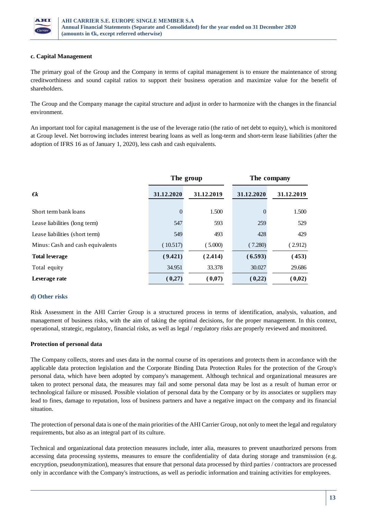

## **c. Capital Management**

The primary goal of the Group and the Company in terms of capital management is to ensure the maintenance of strong creditworthiness and sound capital ratios to support their business operation and maximize value for the benefit of shareholders.

The Group and the Company manage the capital structure and adjust in order to harmonize with the changes in the financial environment.

An important tool for capital management is the use of the leverage ratio (the ratio of net debt to equity), which is monitored at Group level. Net borrowing includes interest bearing loans as well as long-term and short-term lease liabilities (after the adoption of IFRS 16 as of January 1, 2020), less cash and cash equivalents.

|                                  |            | The group  | The company  |            |  |
|----------------------------------|------------|------------|--------------|------------|--|
| €k                               | 31.12.2020 | 31.12.2019 | 31.12.2020   | 31.12.2019 |  |
| Short term bank loans            | $\theta$   | 1.500      | $\mathbf{0}$ | 1.500      |  |
| Lease liabilities (long term)    | 547        | 593        | 259          | 529        |  |
| Lease liabilities (short term)   | 549        | 493        | 428          | 429        |  |
| Minus: Cash and cash equivalents | (10.517)   | (5.000)    | (7.280)      | (2.912)    |  |
| <b>Total leverage</b>            | (9.421)    | (2.414)    | (6.593)      | (453)      |  |
| Total equity                     | 34.951     | 33.378     | 30.027       | 29.686     |  |
| Leverage rate                    | (0,27)     | (0,07)     | (0,22)       | (0,02)     |  |

#### **d) Other risks**

Risk Assessment in the AHI Carrier Group is a structured process in terms of identification, analysis, valuation, and management of business risks, with the aim of taking the optimal decisions, for the proper management. In this context, operational, strategic, regulatory, financial risks, as well as legal / regulatory risks are properly reviewed and monitored.

## **Protection of personal data**

The Company collects, stores and uses data in the normal course of its operations and protects them in accordance with the applicable data protection legislation and the Corporate Binding Data Protection Rules for the protection of the Group's personal data, which have been adopted by company's management. Although technical and organizational measures are taken to protect personal data, the measures may fail and some personal data may be lost as a result of human error or technological failure or misused. Possible violation of personal data by the Company or by its associates or suppliers may lead to fines, damage to reputation, loss of business partners and have a negative impact on the company and its financial situation.

The protection of personal data is one of the main priorities of the AHI Carrier Group, not only to meet the legal and regulatory requirements, but also as an integral part of its culture.

Technical and organizational data protection measures include, inter alia, measures to prevent unauthorized persons from accessing data processing systems, measures to ensure the confidentiality of data during storage and transmission (e.g. encryption, pseudonymization), measures that ensure that personal data processed by third parties / contractors are processed only in accordance with the Company's instructions, as well as periodic information and training activities for employees.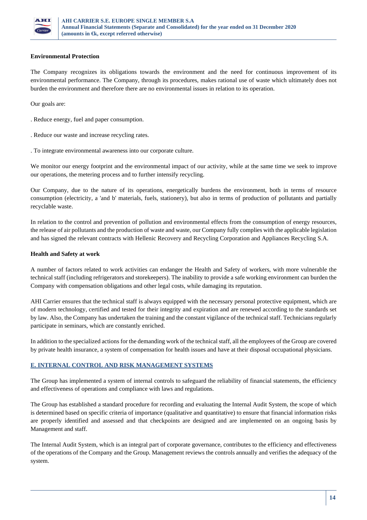

## **Environmental Protection**

The Company recognizes its obligations towards the environment and the need for continuous improvement of its environmental performance. The Company, through its procedures, makes rational use of waste which ultimately does not burden the environment and therefore there are no environmental issues in relation to its operation.

Our goals are:

. Reduce energy, fuel and paper consumption.

. Reduce our waste and increase recycling rates.

. To integrate environmental awareness into our corporate culture.

We monitor our energy footprint and the environmental impact of our activity, while at the same time we seek to improve our operations, the metering process and to further intensify recycling.

Our Company, due to the nature of its operations, energetically burdens the environment, both in terms of resource consumption (electricity, a 'and b' materials, fuels, stationery), but also in terms of production of pollutants and partially recyclable waste.

In relation to the control and prevention of pollution and environmental effects from the consumption of energy resources, the release of air pollutants and the production of waste and waste, our Company fully complies with the applicable legislation and has signed the relevant contracts with Hellenic Recovery and Recycling Corporation and Appliances Recycling S.A.

## **Health and Safety at work**

A number of factors related to work activities can endanger the Health and Safety of workers, with more vulnerable the technical staff (including refrigerators and storekeepers). The inability to provide a safe working environment can burden the Company with compensation obligations and other legal costs, while damaging its reputation.

AHI Carrier ensures that the technical staff is always equipped with the necessary personal protective equipment, which are of modern technology, certified and tested for their integrity and expiration and are renewed according to the standards set by law. Also, the Company has undertaken the training and the constant vigilance of the technical staff. Technicians regularly participate in seminars, which are constantly enriched.

In addition to the specialized actions for the demanding work of the technical staff, all the employees of the Group are covered by private health insurance, a system of compensation for health issues and have at their disposal occupational physicians.

## **E. INTERNAL CONTROL AND RISK MANAGEMENT SYSTEMS**

The Group has implemented a system of internal controls to safeguard the reliability of financial statements, the efficiency and effectiveness of operations and compliance with laws and regulations.

The Group has established a standard procedure for recording and evaluating the Internal Audit System, the scope of which is determined based on specific criteria of importance (qualitative and quantitative) to ensure that financial information risks are properly identified and assessed and that checkpoints are designed and are implemented on an ongoing basis by Management and staff.

The Internal Audit System, which is an integral part of corporate governance, contributes to the efficiency and effectiveness of the operations of the Company and the Group. Management reviews the controls annually and verifies the adequacy of the system.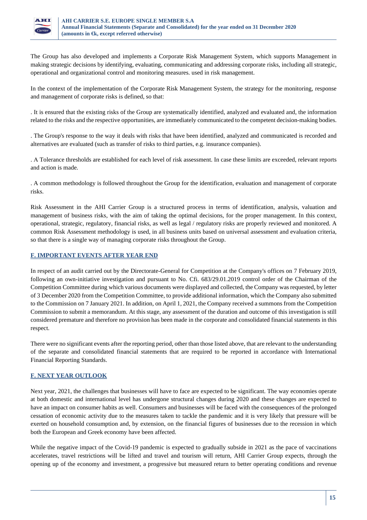

The Group has also developed and implements a Corporate Risk Management System, which supports Management in making strategic decisions by identifying, evaluating, communicating and addressing corporate risks, including all strategic, operational and organizational control and monitoring measures. used in risk management.

In the context of the implementation of the Corporate Risk Management System, the strategy for the monitoring, response and management of corporate risks is defined, so that:

. It is ensured that the existing risks of the Group are systematically identified, analyzed and evaluated and, the information related to the risks and the respective opportunities, are immediately communicated to the competent decision-making bodies.

. The Group's response to the way it deals with risks that have been identified, analyzed and communicated is recorded and alternatives are evaluated (such as transfer of risks to third parties, e.g. insurance companies).

. Α Tolerance thresholds are established for each level of risk assessment. In case these limits are exceeded, relevant reports and action is made.

. A common methodology is followed throughout the Group for the identification, evaluation and management of corporate risks.

Risk Assessment in the AHI Carrier Group is a structured process in terms of identification, analysis, valuation and management of business risks, with the aim of taking the optimal decisions, for the proper management. In this context, operational, strategic, regulatory, financial risks, as well as legal / regulatory risks are properly reviewed and monitored. A common Risk Assessment methodology is used, in all business units based on universal assessment and evaluation criteria, so that there is a single way of managing corporate risks throughout the Group.

## **F. IMPORTANT EVENTS AFTER YEAR END**

In respect of an audit carried out by the Directorate-General for Competition at the Company's offices on 7 February 2019, following an own-initiative investigation and pursuant to No. Cfi. 683/29.01.2019 control order of the Chairman of the Competition Committee during which various documents were displayed and collected, the Company was requested, by letter of 3 December 2020 from the Competition Committee, to provide additional information, which the Company also submitted to the Commission on 7 January 2021. In addition, on April 1, 2021, the Company received a summons from the Competition Commission to submit a memorandum. At this stage, any assessment of the duration and outcome of this investigation is still considered premature and therefore no provision has been made in the corporate and consolidated financial statements in this respect.

There were no significant events after the reporting period, other than those listed above, that are relevant to the understanding of the separate and consolidated financial statements that are required to be reported in accordance with International Financial Reporting Standards.

## **F. NEXT YEAR OUTLOOK**

Next year, 2021, the challenges that businesses will have to face are expected to be significant. The way economies operate at both domestic and international level has undergone structural changes during 2020 and these changes are expected to have an impact on consumer habits as well. Consumers and businesses will be faced with the consequences of the prolonged cessation of economic activity due to the measures taken to tackle the pandemic and it is very likely that pressure will be exerted on household consumption and, by extension, on the financial figures of businesses due to the recession in which both the European and Greek economy have been affected.

While the negative impact of the Covid-19 pandemic is expected to gradually subside in 2021 as the pace of vaccinations accelerates, travel restrictions will be lifted and travel and tourism will return, AHI Carrier Group expects, through the opening up of the economy and investment, a progressive but measured return to better operating conditions and revenue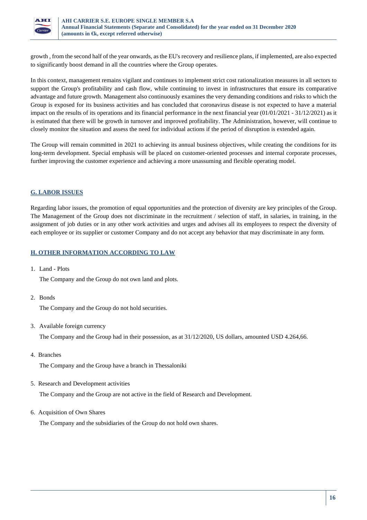

growth , from the second half of the year onwards, as the EU's recovery and resilience plans, if implemented, are also expected to significantly boost demand in all the countries where the Group operates.

In this context, management remains vigilant and continues to implement strict cost rationalization measures in all sectors to support the Group's profitability and cash flow, while continuing to invest in infrastructures that ensure its comparative advantage and future growth. Management also continuously examines the very demanding conditions and risks to which the Group is exposed for its business activities and has concluded that coronavirus disease is not expected to have a material impact on the results of its operations and its financial performance in the next financial year (01/01/2021 - 31/12/2021) as it is estimated that there will be growth in turnover and improved profitability. The Administration, however, will continue to closely monitor the situation and assess the need for individual actions if the period of disruption is extended again.

The Group will remain committed in 2021 to achieving its annual business objectives, while creating the conditions for its long-term development. Special emphasis will be placed on customer-oriented processes and internal corporate processes, further improving the customer experience and achieving a more unassuming and flexible operating model.

# **G. LABOR ISSUES**

Regarding labor issues, the promotion of equal opportunities and the protection of diversity are key principles of the Group. The Management of the Group does not discriminate in the recruitment / selection of staff, in salaries, in training, in the assignment of job duties or in any other work activities and urges and advises all its employees to respect the diversity of each employee or its supplier or customer Company and do not accept any behavior that may discriminate in any form.

## **Η. OTHER INFORMATION ACCORDING TO LAW**

1. Land - Plots

The Company and the Group do not own land and plots.

2. Bonds

The Company and the Group do not hold securities.

3. Available foreign currency

The Company and the Group had in their possession, as at 31/12/2020, US dollars, amounted USD 4.264,66.

4. Branches

The Company and the Group have a branch in Thessaloniki

5. Research and Development activities

The Company and the Group are not active in the field of Research and Development.

6. Acquisition of Own Shares

The Company and the subsidiaries of the Group do not hold own shares.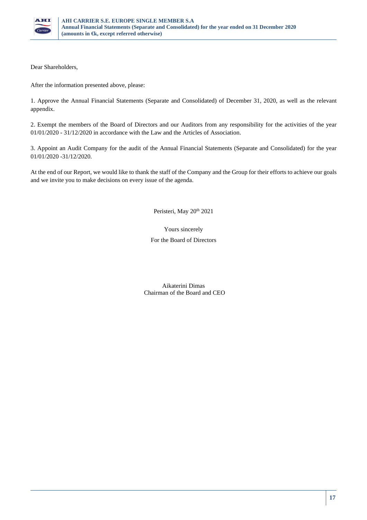

Dear Shareholders,

After the information presented above, please:

1. Approve the Annual Financial Statements (Separate and Consolidated) of December 31, 2020, as well as the relevant appendix.

2. Exempt the members of the Board of Directors and our Auditors from any responsibility for the activities of the year 01/01/2020 - 31/12/2020 in accordance with the Law and the Articles of Association.

3. Appoint an Audit Company for the audit of the Annual Financial Statements (Separate and Consolidated) for the year 01/01/2020 -31/12/2020.

At the end of our Report, we would like to thank the staff of the Company and the Group for their efforts to achieve our goals and we invite you to make decisions on every issue of the agenda.

Peristeri, May 20<sup>th</sup> 2021

## Yours sincerely

For the Board of Directors

Aikaterini Dimas Chairman of the Board and CEO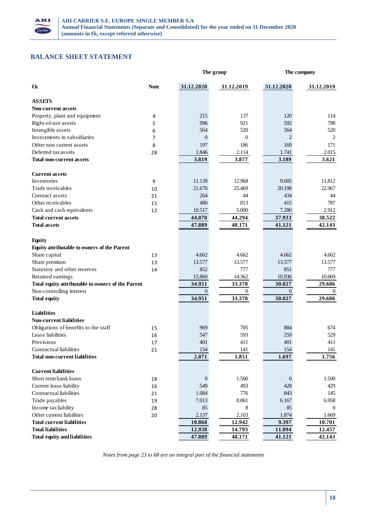

# **BALANCE SHEET STATEMENT**

|                                                   |             |                  | The group    |                | The company    |  |
|---------------------------------------------------|-------------|------------------|--------------|----------------|----------------|--|
| €k                                                | <b>Note</b> | 31.12.2020       | 31.12.2019   | 31.12.2020     | 31.12.2019     |  |
| <b>ASSETS</b>                                     |             |                  |              |                |                |  |
| Non-current assets                                |             |                  |              |                |                |  |
| Property, plant and equipment                     | 4           | 215              | 137          | 120            | 114            |  |
| Right-of-use assets                               | 5           | 996              | 921          | 592            | 798            |  |
| Intangible assets                                 | 6           | 564              | 520          | 564            | 520            |  |
| Investments in subsidiaries                       | 7           | $\theta$         | $\mathbf{0}$ | $\overline{c}$ | $\overline{2}$ |  |
| Other non current assets                          | 8           | 197              | 186          | 169            | 171            |  |
| Deferred tax assets                               | 28          | 1.846            | 2.114        | 1.741          | 2.015          |  |
| <b>Total non-current assets</b>                   |             | 3.819            | 3.877        | 3.189          | 3.621          |  |
| <b>Current assets</b>                             |             |                  |              |                |                |  |
| Inventories                                       | 9           | 11.139           | 12.968       | 9.605          | 11.812         |  |
| Trade receivables                                 | 10          | 21.670           | 25.469       | 20.198         | 22.967         |  |
| Contract assets                                   | 21          | 264              | 44           | 434            | 44             |  |
| Other receivables                                 | 11          | 480              | 813          | 415            | 787            |  |
| Cash and cash equivalents                         | 12          | 10.517           | 5.000        | 7.280          | 2.912          |  |
| <b>Total current assets</b>                       |             | 44.070           | 44.294       | 37.933         | 38.522         |  |
| <b>Total assets</b>                               |             | 47.889           | 48.171       | 41.121         | 42.143         |  |
| <b>Equity</b>                                     |             |                  |              |                |                |  |
| Equity attributable to owners of the Parent       |             |                  |              |                |                |  |
| Share capital                                     | 13          | 4.662            | 4.662        | 4.662          | 4.662          |  |
| Share premium                                     | 13          | 13.577           | 13.577       | 13.577         | 13.577         |  |
| Statutory and other reserves                      | 14          | 852              | 777          | 851            | 777            |  |
| Retained earnings                                 |             | 15.860           | 14.362       | 10.936         | 10.669         |  |
| Total equity attributable to owners of the Parent |             | 34.951           | 33.378       | 30.027         | 29.686         |  |
| Non-controlling interest                          |             | $\boldsymbol{0}$ | $\mathbf{0}$ | $\mathbf{0}$   | $\mathbf{0}$   |  |
| <b>Total equity</b>                               |             | 34.951           | 33.378       | 30.027         | 29.686         |  |
| <b>Liabilities</b>                                |             |                  |              |                |                |  |
| <b>Non-current liabilities</b>                    |             |                  |              |                |                |  |
| Obligations of benefits to the staff              | 15          | 969              | 705          | 884            | 674            |  |
| Lease liabilities                                 | 16          | 547              | 593          | 259            | 529            |  |
| Provisions                                        | 17          | 401              | 411          | 401            | 411            |  |
| Contractual liabilities                           | 21          | 154              | 141          | 154            | 141            |  |
| <b>Total non-current liabilities</b>              |             | 2.071            | 1.851        | 1.697          | 1.756          |  |
| <b>Current liabilities</b>                        |             |                  |              |                |                |  |
| Short term bank loans                             | 18          | $\mathbf{0}$     | 1.500        | $\mathbf{0}$   | 1.500          |  |
| Current lease liability                           | 16          | 549              | 493          | 428            | 429            |  |
| Contractual liabilities                           | 21          | 1.084            | 776          | 843            | 145            |  |
| Trade payables                                    | 19          | 7.013            | 8.061        | 6.167          | 6.958          |  |
| Income tax liability                              | 28          | 85               | 8            | 85             | $\theta$       |  |
| Other current liabilities                         | 20          | 2.137            | 2.103        | 1.874          | 1.669          |  |
| <b>Total current liabilities</b>                  |             | 10.868           | 12.942       | 9.397          | 10.701         |  |
| <b>Total liabilities</b>                          |             | 12.938           | 14.793       | 11.094         | 12.457         |  |
| <b>Total equity and liabilities</b>               |             | 47.889           | 48.171       | 41.121         | 42.143         |  |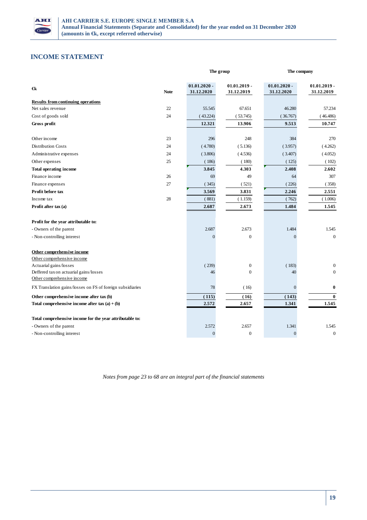

# **INCOME STATEMENT**

|                                                                      |             |                | The group      | The company      |                  |
|----------------------------------------------------------------------|-------------|----------------|----------------|------------------|------------------|
| €k                                                                   |             | $01.01.2020 -$ | $01.01.2019 -$ | $01.01.2020 -$   | $01.01.2019 -$   |
|                                                                      | <b>Note</b> | 31.12.2020     | 31.12.2019     | 31.12.2020       | 31.12.2019       |
| <b>Results from continuing operations</b>                            |             |                |                |                  |                  |
| Net sales revenue                                                    | 22          | 55.545         | 67.651         | 46.280           | 57.234           |
| Cost of goods sold                                                   | 24          | (43.224)       | (53.745)       | (36.767)         | (46.486)         |
| Gross profit                                                         |             | 12.321         | 13.906         | 9.513            | 10.747           |
| Other income                                                         | 23          | 296            | 248            | 384              | 270              |
| <b>Distribution Costs</b>                                            | 24          | (4.780)        | (5.136)        | (3.957)          | (4.262)          |
| Administrative expenses                                              | 24          | (3.806)        | (4.536)        | (3.407)          | (4.052)          |
| Other expenses                                                       | 25          | (186)          | (180)          | (125)            | (102)            |
| <b>Total operating income</b>                                        |             | 3.845          | 4.303          | 2.408            | 2.602            |
| Finance income                                                       | 26          | 69             | 49             | 64               | 307              |
| Finance expenses                                                     | 27          | (345)          | (521)          | (226)            | (358)            |
| Profit before tax                                                    |             | 3.569          | 3.831          | 2.246            | 2.551            |
| Income tax                                                           | 28          | (881)          | (1.159)        | (762)            | (1.006)          |
| Profit after tax (a)                                                 |             | 2.687          | 2.673          | 1.484            | 1.545            |
| Profit for the year attributable to:                                 |             |                |                |                  |                  |
| - Owners of the parent                                               |             | 2.687          | 2.673          | 1.484            | 1.545            |
| - Non-controlling interest                                           |             | $\Omega$       | $\theta$       | $\theta$         | $\theta$         |
| Other comprehensive income                                           |             |                |                |                  |                  |
| Other comprehensive income                                           |             |                |                |                  |                  |
| Actuarial gains/losses                                               |             | (239)          | $\mathbf{0}$   | (183)            | $\overline{0}$   |
| Deffered tax on actuarial gains/losses<br>Other comprehensive income |             | 46             | $\theta$       | 40               | $\theta$         |
| FX Translation gains/losses on FS of foreign subsidiaries            |             | 78             | (16)           | $\boldsymbol{0}$ | $\bf{0}$         |
| Other comprehensive income after tax (b)                             |             | (115)          | (16)           | (143)            | $\bf{0}$         |
| Total comprehensive income after $tax(a) + (b)$                      |             | 2.572          | 2.657          | 1.341            | 1.545            |
| Total comprehensive income for the year attributable to:             |             |                |                |                  |                  |
| - Owners of the parent                                               |             | 2.572          | 2.657          | 1.341            | 1.545            |
| - Non-controlling interest                                           |             | $\overline{0}$ | $\overline{0}$ | $\overline{0}$   | $\boldsymbol{0}$ |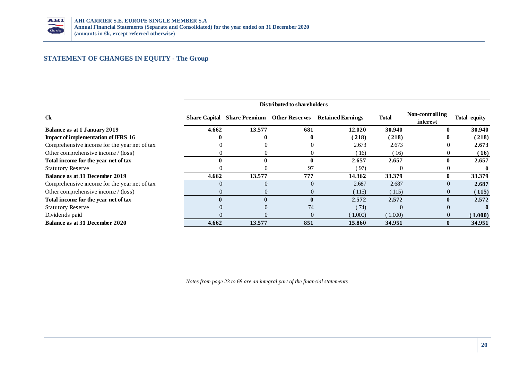

# **STATEMENT OF CHANGES IN EQUITY - The Group**

|                                              |          | Distributed to shareholders                       |              |                          |              |                             |              |
|----------------------------------------------|----------|---------------------------------------------------|--------------|--------------------------|--------------|-----------------------------|--------------|
| $\epsilon$ k                                 |          | <b>Share Capital Share Premium Other Reserves</b> |              | <b>Retained Earnings</b> | <b>Total</b> | Non-controlling<br>interest | Total equity |
| Balance as at 1 January 2019                 | 4.662    | 13.577                                            | 681          | 12.020                   | 30.940       | $\bf{0}$                    | 30.940       |
| Impact of implementation of IFRS 16          |          |                                                   |              | (218)                    | (218)        | 0                           | (218)        |
| Comprehensive income for the year net of tax |          |                                                   |              | 2.673                    | 2.673        |                             | 2.673        |
| Other comprehensive income / (loss)          |          |                                                   |              | 16                       | (16)         | $\theta$                    | (16)         |
| Total income for the year net of tax         |          |                                                   | $\mathbf 0$  | 2.657                    | 2.657        | $\mathbf{0}$                | 2.657        |
| <b>Statutory Reserve</b>                     |          |                                                   | 97           | (97)                     |              |                             | $\bf{0}$     |
| Balance as at 31 December 2019               | 4.662    | 13.577                                            | 777          | 14.362                   | 33.379       | $\mathbf{0}$                | 33.379       |
| Comprehensive income for the year net of tax | $\Omega$ | $\Omega$                                          |              | 2.687                    | 2.687        | $\Omega$                    | 2.687        |
| Other comprehensive income / (loss)          | 0        | 0                                                 |              | (115)                    | (115)        | $\theta$                    | (115)        |
| Total income for the year net of tax         |          | $\mathbf{0}$                                      | $\mathbf{0}$ | 2.572                    | 2.572        | 0                           | 2.572        |
| <b>Statutory Reserve</b>                     |          |                                                   | 74           | (74)                     | $\Omega$     |                             | $\mathbf{u}$ |
| Dividends paid                               | 0        |                                                   |              | (1.000)                  | (1.000)      | $\overline{0}$              | (1.000)      |
| Balance as at 31 December 2020               | 4.662    | 13.577                                            | 851          | 15.860                   | 34.951       | $\mathbf{0}$                | 34.951       |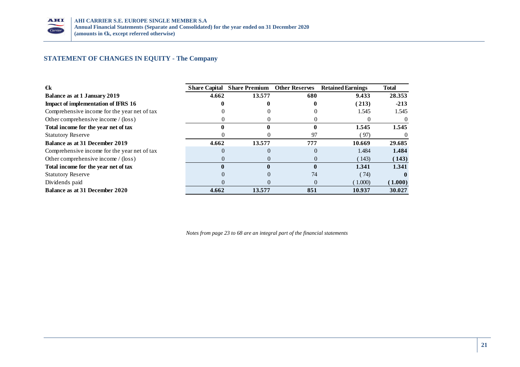

# **STATEMENT OF CHANGES IN EQUITY - The Company**

| €k                                           | <b>Share Capital</b> | <b>Share Premium</b> | <b>Other Reserves</b> | <b>Retained Earnings</b> | <b>Total</b> |
|----------------------------------------------|----------------------|----------------------|-----------------------|--------------------------|--------------|
| Balance as at 1 January 2019                 | 4.662                | 13.577               | 680                   | 9.433                    | 28.353       |
| <b>Impact of implementation of IFRS 16</b>   |                      |                      |                       | (213)                    | $-213$       |
| Comprehensive income for the year net of tax |                      |                      |                       | 1.545                    | 1.545        |
| Other comprehensive income / (loss)          |                      |                      |                       |                          |              |
| Total income for the year net of tax         |                      |                      |                       | 1.545                    | 1.545        |
| <b>Statutory Reserve</b>                     |                      |                      | 97                    | (97)                     | $\Omega$     |
| Balance as at 31 December 2019               | 4.662                | 13.577               | 777                   | 10.669                   | 29.685       |
| Comprehensive income for the year net of tax | $\Omega$             |                      | $\Omega$              | 1.484                    | 1.484        |
| Other comprehensive income / (loss)          |                      |                      |                       | (143)                    | (143)        |
| Total income for the year net of tax         |                      |                      |                       | 1.341                    | 1.341        |
| <b>Statutory Reserve</b>                     |                      |                      | 74                    | (74)                     | $\mathbf{0}$ |
| Dividends paid                               |                      |                      | $\Omega$              | (1.000)                  | (1.000)      |
| Balance as at 31 December 2020               | 4.662                | 13.577               | 851                   | 10.937                   | 30.027       |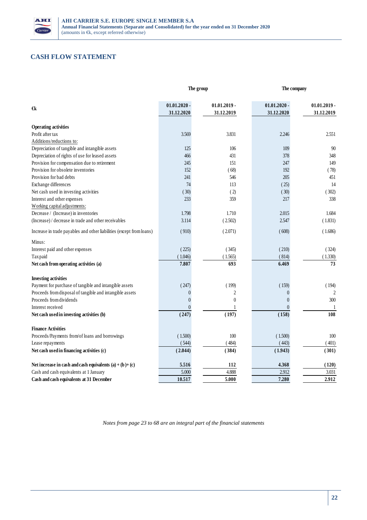

# **CASH FLOW STATEMENT**

|                                                                      |                | The group      |                | The company    |  |  |
|----------------------------------------------------------------------|----------------|----------------|----------------|----------------|--|--|
|                                                                      | $01.01.2020 -$ | $01.01.2019 -$ | $01.01.2020$ - | $01.01.2019$ - |  |  |
| €k                                                                   | 31.12.2020     | 31.12.2019     | 31.12.2020     | 31.12.2019     |  |  |
| <b>Operating activities</b>                                          |                |                |                |                |  |  |
| Profit after tax                                                     | 3.569          | 3.831          | 2.246          | 2.551          |  |  |
| Additions/reductions to:                                             |                |                |                |                |  |  |
| Depreciation of tangible and intangible assets                       | 125            | 106            | 109            | 90             |  |  |
| Depreciation of rights of use for leased assets                      | 466            | 431            | 378            | 348            |  |  |
| Provision for compensation due to retirement                         | 245            | 151            | 247            | 149            |  |  |
| Provision for obsolete inventories                                   | 152            | (68)           | 192            | (78)           |  |  |
| Provision for bad debts                                              | 241            | 546            | 205            | 451            |  |  |
| Exchange differences                                                 | 74             | 113            | (25)           | 14             |  |  |
| Net cash used in investing activities                                | (30)           | (2)            | (30)           | (302)          |  |  |
| Interest and other expenses                                          | 233            | 359            | 217            | 338            |  |  |
| Working capital adjustments:                                         |                |                |                |                |  |  |
| Decrease / (Increase) in inventories                                 | 1.798          | 1.710          | 2.015          | 1.684          |  |  |
| (Increase) / decrease in trade and other receivables                 | 3.114          | (2.502)        | 2.547          | (1.831)        |  |  |
| Increase in trade payables and other liabilities (except from loans) | (910)          | (2.071)        | (608)          | (1.686)        |  |  |
| Minus:                                                               |                |                |                |                |  |  |
| Interest paid and other expenses                                     | (225)          | (345)          | (210)          | (324)          |  |  |
| Tax paid                                                             | (1.046)        | (1.565)        | (814)          | (1.330)        |  |  |
| Net cash from operating activities (a)                               | 7.807          | 693            | 6.469          | 73             |  |  |
| <b>Investing activities</b>                                          |                |                |                |                |  |  |
| Payment for purchase of tangible and intangible assets               | (247)          | (199)          | (159)          | (194)          |  |  |
| Proceeds from disposal of tangible and intangible assets             | $\overline{0}$ | $\overline{c}$ | $\mathbf{0}$   | $\overline{2}$ |  |  |
| Proceeds from dividends                                              | $\overline{0}$ | $\theta$       | $\mathbf{0}$   | 300            |  |  |
| Interest received                                                    | $\theta$       |                | $\theta$       | 1              |  |  |
| Net cash used in investing activities (b)                            | (247)          | (197)          | (158)          | 108            |  |  |
| <b>Finance Activities</b>                                            |                |                |                |                |  |  |
| Proceeds/Payments from/of loans and borrowings                       | (1.500)        | 100            | (1.500)        | 100            |  |  |
| Lease repayments                                                     | (544)          | (484)          | (443)          | (401)          |  |  |
| Net cash used in financing activities (c)                            | (2.044)        | (384)          | (1.943)        | (301)          |  |  |
| Net increase in cash and cash equivalents $(a) + (b) + (c)$          | 5.516          | 112            | 4.368          | (120)          |  |  |
| Cash and cash equivalents at 1 January                               | 5.000          | 4.888          | 2.912          | 3.031          |  |  |
| Cash and cash equivalents at 31 December                             | 10.517         | 5.000          | 7.280          | 2.912          |  |  |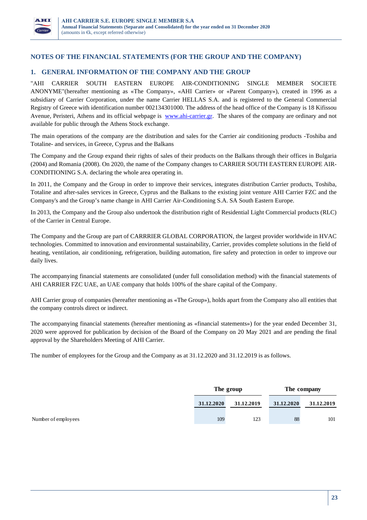

## **NOTES OF THE FINANCIAL STATEMENTS (FOR THE GROUP AND THE COMPANY)**

# **1. GENERAL INFORMATION OF THE COMPANY AND THE GROUP**

"ΑΗΙ CARRIER SOUTH EASTERN EUROPE AIR-CONDITIONING SINGLE MEMBER SOCIETE ANONYME"(hereafter mentioning as «Τhe Company», «AHI Carrier» or «Parent Company»), created in 1996 as a subsidiary of Carrier Corporation, under the name Carrier HELLAS S.A. and is registered to the General Commercial Registry of Greece with identification number 002134301000. The address of the head office of the Company is 18 Kifissou Avenue, Peristeri, Athens and its official webpage is www.ahi-carrier.gr. The shares of the company are ordinary and not available for public through the Athens Stock exchange.

The main operations of the company are the distribution and sales for the Carrier air conditioning products -Toshiba and Totaline- and services, in Greece, Cyprus and the Balkans

The Company and the Group expand their rights of sales of their products on the Balkans through their offices in Bulgaria (2004) and Romania (2008). On 2020, the name of the Company changes to CARRIER SOUTH EASTERN EUROPE AIR-CONDITIONING S.A. declaring the whole area operating in.

In 2011, the Company and the Group in order to improve their services, integrates distribution Carrier products, Toshiba, Totaline and after-sales services in Greece, Cyprus and the Balkans to the existing joint venture AHI Carrier FZC and the Company's and the Group's name change in AHI Carrier Air-Conditioning S.A. SA South Eastern Europe.

In 2013, the Company and the Group also undertook the distribution right of Residential Light Commercial products (RLC) of the Carrier in Central Europe.

The Company and the Group are part of CARRRIER GLOBAL CORPORATION, the largest provider worldwide in HVAC technologies. Committed to innovation and environmental sustainability, Carrier, provides complete solutions in the field of heating, ventilation, air conditioning, refrigeration, building automation, fire safety and protection in order to improve our daily lives.

The accompanying financial statements are consolidated (under full consolidation method) with the financial statements of AHI CARRIER FZC UAE, an UAE company that holds 100% of the share capital of the Company.

AHI Carrier group of companies (hereafter mentioning as «The Group»), holds apart from the Company also all entities that the company controls direct or indirect.

The accompanying financial statements (hereafter mentioning as «financial statements») for the year ended December 31, 2020 were approved for publication by decision of the Board of the Company on 20 May 2021 and are pending the final approval by the Shareholders Meeting of AHI Carrier.

The number of employees for the Group and the Company as at 31.12.2020 and 31.12.2019 is as follows.

| The group  |            | The company |            |
|------------|------------|-------------|------------|
| 31.12.2020 | 31.12.2019 | 31.12.2020  | 31.12.2019 |
| 109        | 123        | 88          | 101        |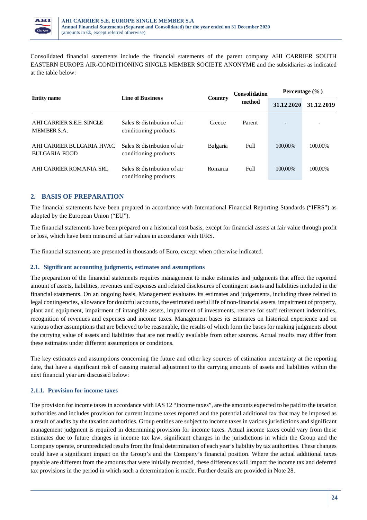

Consolidated financial statements include the financial statements of the parent company ΑΗΙ CARRIER SOUTH EASTERN EUROPE AIR-CONDITIONING SINGLE MEMBER SOCIETE ANONYME and the subsidiaries as indicated at the table below:

| <b>Entity name</b>                                | <b>Line of Business</b>                                 | Country  | <b>Consolidation</b><br>method | Percentage $(\% )$ |            |
|---------------------------------------------------|---------------------------------------------------------|----------|--------------------------------|--------------------|------------|
|                                                   |                                                         |          |                                | 31.12.2020         | 31.12.2019 |
| AHI CARRIER S.E.E. SINGLE<br>MEMBER S.A.          | Sales $\&$ distribution of air<br>conditioning products | Greece   | Parent                         |                    |            |
| AHI CARRIER BULGARIA HVAC<br><b>BULGARIA EOOD</b> | Sales & distribution of air<br>conditioning products    | Bulgaria | Full                           | 100,00%            | 100,00%    |
| AHI CARRIER ROMANIA SRL                           | Sales & distribution of air<br>conditioning products    | Romania  | Full                           | 100,00%            | 100,00%    |

# **2. BASIS OF PREPARATION**

The financial statements have been prepared in accordance with International Financial Reporting Standards ("IFRS") as adopted by the European Union ("EU").

The financial statements have been prepared on a historical cost basis, except for financial assets at fair value through profit or loss, which have been measured at fair values in accordance with IFRS.

The financial statements are presented in thousands of Euro, except when otherwise indicated.

## **2.1. Significant accounting judgments, estimates and assumptions**

The preparation of the financial statements requires management to make estimates and judgments that affect the reported amount of assets, liabilities, revenues and expenses and related disclosures of contingent assets and liabilities included in the financial statements. On an ongoing basis, Management evaluates its estimates and judgements, including those related to legal contingencies, allowance for doubtful accounts, the estimated useful life of non-financial assets, impairment of property, plant and equipment, impairment of intangible assets, impairment of investments, reserve for staff retirement indemnities, recognition of revenues and expenses and income taxes. Management bases its estimates on historical experience and on various other assumptions that are believed to be reasonable, the results of which form the bases for making judgments about the carrying value of assets and liabilities that are not readily available from other sources. Actual results may differ from these estimates under different assumptions or conditions.

The key estimates and assumptions concerning the future and other key sources of estimation uncertainty at the reporting date, that have a significant risk of causing material adjustment to the carrying amounts of assets and liabilities within the next financial year are discussed below:

## **2.1.1. Provision for income taxes**

The provision for income taxes in accordance with IAS 12 "Income taxes", are the amounts expected to be paid to the taxation authorities and includes provision for current income taxes reported and the potential additional tax that may be imposed as a result of audits by the taxation authorities. Group entities are subject to income taxes in various jurisdictions and significant management judgment is required in determining provision for income taxes. Actual income taxes could vary from these estimates due to future changes in income tax law, significant changes in the jurisdictions in which the Group and the Company operate, or unpredicted results from the final determination of each year's liability by tax authorities. These changes could have a significant impact on the Group's and the Company's financial position. Where the actual additional taxes payable are different from the amounts that were initially recorded, these differences will impact the income tax and deferred tax provisions in the period in which such a determination is made. Further details are provided in Note 28.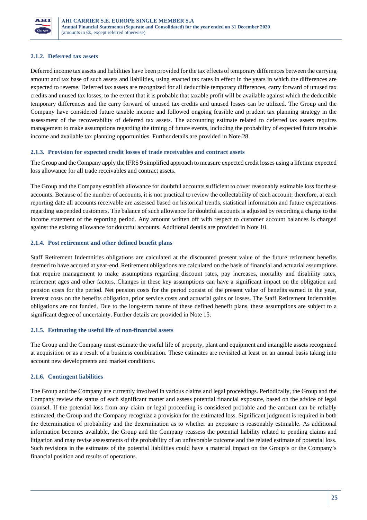

## **2.1.2. Deferred tax assets**

Deferred income tax assets and liabilities have been provided for the tax effects of temporary differences between the carrying amount and tax base of such assets and liabilities, using enacted tax rates in effect in the years in which the differences are expected to reverse. Deferred tax assets are recognized for all deductible temporary differences, carry forward of unused tax credits and unused tax losses, to the extent that it is probable that taxable profit will be available against which the deductible temporary differences and the carry forward of unused tax credits and unused losses can be utilized. The Group and the Company have considered future taxable income and followed ongoing feasible and prudent tax planning strategy in the assessment of the recoverability of deferred tax assets. The accounting estimate related to deferred tax assets requires management to make assumptions regarding the timing of future events, including the probability of expected future taxable income and available tax planning opportunities. Further details are provided in Note 28.

## **2.1.3. Provision for expected credit losses of trade receivables and contract assets**

The Group and the Company apply the IFRS 9 simplified approach to measure expected credit losses using a lifetime expected loss allowance for all trade receivables and contract assets.

The Group and the Company establish allowance for doubtful accounts sufficient to cover reasonably estimable loss for these accounts. Because of the number of accounts, it is not practical to review the collectability of each account; therefore, at each reporting date all accounts receivable are assessed based on historical trends, statistical information and future expectations regarding suspended customers. The balance of such allowance for doubtful accounts is adjusted by recording a charge to the income statement of the reporting period. Any amount written off with respect to customer account balances is charged against the existing allowance for doubtful accounts. Additional details are provided in Note 10.

## **2.1.4. Post retirement and other defined benefit plans**

Staff Retirement Indemnities obligations are calculated at the discounted present value of the future retirement benefits deemed to have accrued at year-end. Retirement obligations are calculated on the basis of financial and actuarial assumptions that require management to make assumptions regarding discount rates, pay increases, mortality and disability rates, retirement ages and other factors. Changes in these key assumptions can have a significant impact on the obligation and pension costs for the period. Net pension costs for the period consist of the present value of benefits earned in the year, interest costs on the benefits obligation, prior service costs and actuarial gains or losses. The Staff Retirement Indemnities obligations are not funded. Due to the long-term nature of these defined benefit plans, these assumptions are subject to a significant degree of uncertainty. Further details are provided in Note 15.

## **2.1.5. Estimating the useful life of non-financial assets**

The Group and the Company must estimate the useful life of property, plant and equipment and intangible assets recognized at acquisition or as a result of a business combination. These estimates are revisited at least on an annual basis taking into account new developments and market conditions.

## **2.1.6. Contingent liabilities**

The Group and the Company are currently involved in various claims and legal proceedings. Periodically, the Group and the Company review the status of each significant matter and assess potential financial exposure, based on the advice of legal counsel. If the potential loss from any claim or legal proceeding is considered probable and the amount can be reliably estimated, the Group and the Company recognize a provision for the estimated loss. Significant judgment is required in both the determination of probability and the determination as to whether an exposure is reasonably estimable. As additional information becomes available, the Group and the Company reassess the potential liability related to pending claims and litigation and may revise assessments of the probability of an unfavorable outcome and the related estimate of potential loss. Such revisions in the estimates of the potential liabilities could have a material impact on the Group's or the Company's financial position and results of operations.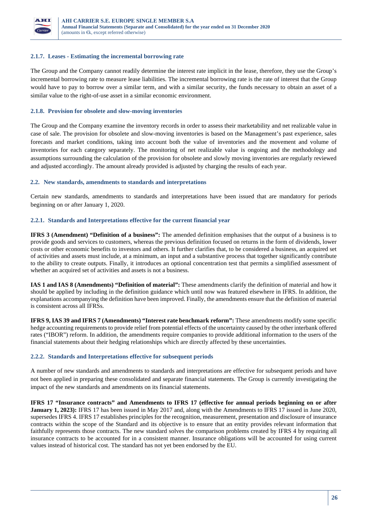

#### **2.1.7. Leases - Estimating the incremental borrowing rate**

The Group and the Company cannot readily determine the interest rate implicit in the lease, therefore, they use the Group's incremental borrowing rate to measure lease liabilities. The incremental borrowing rate is the rate of interest that the Group would have to pay to borrow over a similar term, and with a similar security, the funds necessary to obtain an asset of a similar value to the right-of-use asset in a similar economic environment.

#### **2.1.8. Provision for obsolete and slow-moving inventories**

The Group and the Company examine the inventory records in order to assess their marketability and net realizable value in case of sale. The provision for obsolete and slow-moving inventories is based on the Management's past experience, sales forecasts and market conditions, taking into account both the value of inventories and the movement and volume of inventories for each category separately. The monitoring of net realizable value is ongoing and the methodology and assumptions surrounding the calculation of the provision for obsolete and slowly moving inventories are regularly reviewed and adjusted accordingly. The amount already provided is adjusted by charging the results of each year.

#### **2.2. New standards, amendments to standards and interpretations**

Certain new standards, amendments to standards and interpretations have been issued that are mandatory for periods beginning on or after January 1, 2020.

#### **2.2.1. Standards and Interpretations effective for the current financial year**

**IFRS 3 (Amendment) "Definition of a business":** The amended definition emphasises that the output of a business is to provide goods and services to customers, whereas the previous definition focused on returns in the form of dividends, lower costs or other economic benefits to investors and others. It further clarifies that, to be considered a business, an acquired set of activities and assets must include, at a minimum, an input and a substantive process that together significantly contribute to the ability to create outputs. Finally, it introduces an optional concentration test that permits a simplified assessment of whether an acquired set of activities and assets is not a business.

**IAS 1 and IAS 8 (Amendments) "Definition of material":** These amendments clarify the definition of material and how it should be applied by including in the definition guidance which until now was featured elsewhere in IFRS. In addition, the explanations accompanying the definition have been improved. Finally, the amendments ensure that the definition of material is consistent across all IFRSs.

**IFRS 9, IAS 39 and IFRS 7 (Amendments) "Interest rate benchmark reform":** These amendments modify some specific hedge accounting requirements to provide relief from potential effects of the uncertainty caused by the other interbank offered rates ("IBOR") reform. In addition, the amendments require companies to provide additional information to the users of the financial statements about their hedging relationships which are directly affected by these uncertainties.

#### **2.2.2. Standards and Interpretations effective for subsequent periods**

A number of new standards and amendments to standards and interpretations are effective for subsequent periods and have not been applied in preparing these consolidated and separate financial statements. The Group is currently investigating the impact of the new standards and amendments on its financial statements.

**IFRS 17 "Insurance contracts" and Amendments to IFRS 17 (effective for annual periods beginning on or after January 1, 2023):** IFRS 17 has been issued in May 2017 and, along with the Amendments to IFRS 17 issued in June 2020, supersedes IFRS 4. IFRS 17 establishes principles for the recognition, measurement, presentation and disclosure of insurance contracts within the scope of the Standard and its objective is to ensure that an entity provides relevant information that faithfully represents those contracts. The new standard solves the comparison problems created by IFRS 4 by requiring all insurance contracts to be accounted for in a consistent manner. Insurance obligations will be accounted for using current values instead of historical cost. The standard has not yet been endorsed by the EU.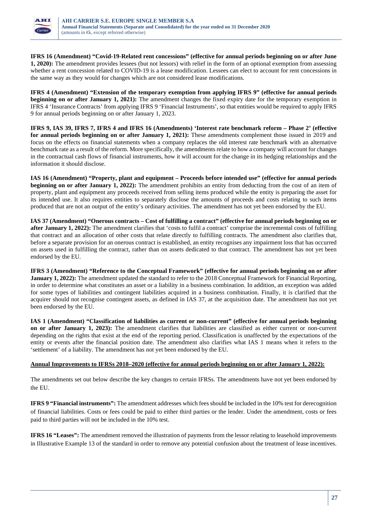

**IFRS 16 (Amendment) "Covid-19-Related rent concessions" (effective for annual periods beginning on or after June 1, 2020):** The amendment provides lessees (but not lessors) with relief in the form of an optional exemption from assessing whether a rent concession related to COVID-19 is a lease modification. Lessees can elect to account for rent concessions in the same way as they would for changes which are not considered lease modifications.

**IFRS 4 (Amendment) "Extension of the temporary exemption from applying IFRS 9" (effective for annual periods beginning on or after January 1, 2021):** The amendment changes the fixed expiry date for the temporary exemption in IFRS 4 'Insurance Contracts' from applying IFRS 9 'Financial Instruments', so that entities would be required to apply IFRS 9 for annual periods beginning on or after January 1, 2023.

**IFRS 9, IAS 39, IFRS 7, IFRS 4 and IFRS 16 (Amendments) 'Interest rate benchmark reform – Phase 2' (effective for annual periods beginning on or after January 1, 2021):** These amendments complement those issued in 2019 and focus on the effects on financial statements when a company replaces the old interest rate benchmark with an alternative benchmark rate as a result of the reform. More specifically, the amendments relate to how a company will account for changes in the contractual cash flows of financial instruments, how it will account for the change in its hedging relationships and the information it should disclose.

**IAS 16 (Amendment) "Property, plant and equipment – Proceeds before intended use" (effective for annual periods beginning on or after January 1, 2022):** The amendment prohibits an entity from deducting from the cost of an item of property, plant and equipment any proceeds received from selling items produced while the entity is preparing the asset for its intended use. It also requires entities to separately disclose the amounts of proceeds and costs relating to such items produced that are not an output of the entity's ordinary activities. The amendment has not yet been endorsed by the EU.

**IAS 37 (Amendment) "Onerous contracts – Cost of fulfilling a contract" (effective for annual periods beginning on or after January 1, 2022):** The amendment clarifies that 'costs to fulfil a contract' comprise the incremental costs of fulfilling that contract and an allocation of other costs that relate directly to fulfilling contracts. The amendment also clarifies that, before a separate provision for an onerous contract is established, an entity recognises any impairment loss that has occurred on assets used in fulfilling the contract, rather than on assets dedicated to that contract. The amendment has not yet been endorsed by the EU.

**IFRS 3 (Amendment) "Reference to the Conceptual Framework" (effective for annual periods beginning on or after January 1, 2022):** The amendment updated the standard to refer to the 2018 Conceptual Framework for Financial Reporting, in order to determine what constitutes an asset or a liability in a business combination. In addition, an exception was added for some types of liabilities and contingent liabilities acquired in a business combination. Finally, it is clarified that the acquirer should not recognise contingent assets, as defined in IAS 37, at the acquisition date. The amendment has not yet been endorsed by the EU.

**IAS 1 (Amendment) "Classification of liabilities as current or non-current" (effective for annual periods beginning on or after January 1, 2023):** The amendment clarifies that liabilities are classified as either current or non-current depending on the rights that exist at the end of the reporting period. Classification is unaffected by the expectations of the entity or events after the financial position date. The amendment also clarifies what IAS 1 means when it refers to the 'settlement' of a liability. The amendment has not yet been endorsed by the EU.

## **Annual Improvements to IFRSs 2018–2020 (effective for annual periods beginning on or after January 1, 2022):**

The amendments set out below describe the key changes to certain IFRSs. The amendments have not yet been endorsed by the EU.

**IFRS 9 "Financial instruments":** The amendment addresses which fees should be included in the 10% test for derecognition of financial liabilities. Costs or fees could be paid to either third parties or the lender. Under the amendment, costs or fees paid to third parties will not be included in the 10% test.

**IFRS 16 "Leases":** The amendment removed the illustration of payments from the lessor relating to leasehold improvements in Illustrative Example 13 of the standard in order to remove any potential confusion about the treatment of lease incentives.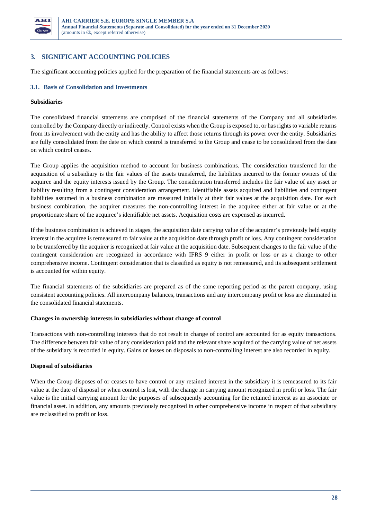

# **3. SIGNIFICANT ACCOUNTING POLICIES**

The significant accounting policies applied for the preparation of the financial statements are as follows:

#### **3.1. Basis of Consolidation and Investments**

#### **Subsidiaries**

The consolidated financial statements are comprised of the financial statements of the Company and all subsidiaries controlled by the Company directly or indirectly. Control exists when the Group is exposed to, or has rights to variable returns from its involvement with the entity and has the ability to affect those returns through its power over the entity. Subsidiaries are fully consolidated from the date on which control is transferred to the Group and cease to be consolidated from the date on which control ceases.

The Group applies the acquisition method to account for business combinations. The consideration transferred for the acquisition of a subsidiary is the fair values of the assets transferred, the liabilities incurred to the former owners of the acquiree and the equity interests issued by the Group. The consideration transferred includes the fair value of any asset or liability resulting from a contingent consideration arrangement. Identifiable assets acquired and liabilities and contingent liabilities assumed in a business combination are measured initially at their fair values at the acquisition date. For each business combination, the acquirer measures the non-controlling interest in the acquiree either at fair value or at the proportionate share of the acquiree's identifiable net assets. Acquisition costs are expensed as incurred.

If the business combination is achieved in stages, the acquisition date carrying value of the acquirer's previously held equity interest in the acquiree is remeasured to fair value at the acquisition date through profit or loss. Any contingent consideration to be transferred by the acquirer is recognized at fair value at the acquisition date. Subsequent changes to the fair value of the contingent consideration are recognized in accordance with IFRS 9 either in profit or loss or as a change to other comprehensive income. Contingent consideration that is classified as equity is not remeasured, and its subsequent settlement is accounted for within equity.

The financial statements of the subsidiaries are prepared as of the same reporting period as the parent company, using consistent accounting policies. All intercompany balances, transactions and any intercompany profit or loss are eliminated in the consolidated financial statements.

#### **Changes in ownership interests in subsidiaries without change of control**

Transactions with non-controlling interests that do not result in change of control are accounted for as equity transactions. The difference between fair value of any consideration paid and the relevant share acquired of the carrying value of net assets of the subsidiary is recorded in equity. Gains or losses on disposals to non-controlling interest are also recorded in equity.

#### **Disposal of subsidiaries**

When the Group disposes of or ceases to have control or any retained interest in the subsidiary it is remeasured to its fair value at the date of disposal or when control is lost, with the change in carrying amount recognized in profit or loss. The fair value is the initial carrying amount for the purposes of subsequently accounting for the retained interest as an associate or financial asset. In addition, any amounts previously recognized in other comprehensive income in respect of that subsidiary are reclassified to profit or loss.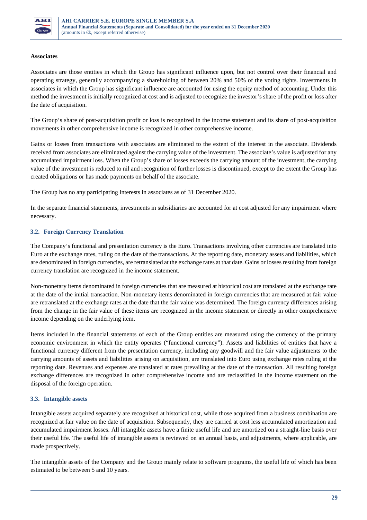

#### **Associates**

Associates are those entities in which the Group has significant influence upon, but not control over their financial and operating strategy, generally accompanying a shareholding of between 20% and 50% of the voting rights. Investments in associates in which the Group has significant influence are accounted for using the equity method of accounting. Under this method the investment is initially recognized at cost and is adjusted to recognize the investor's share of the profit or loss after the date of acquisition.

The Group's share of post-acquisition profit or loss is recognized in the income statement and its share of post-acquisition movements in other comprehensive income is recognized in other comprehensive income.

Gains or losses from transactions with associates are eliminated to the extent of the interest in the associate. Dividends received from associates are eliminated against the carrying value of the investment. The associate's value is adjusted for any accumulated impairment loss. When the Group's share of losses exceeds the carrying amount of the investment, the carrying value of the investment is reduced to nil and recognition of further losses is discontinued, except to the extent the Group has created obligations or has made payments on behalf of the associate.

The Group has no any participating interests in associates as of 31 December 2020.

In the separate financial statements, investments in subsidiaries are accounted for at cost adjusted for any impairment where necessary.

## **3.2. Foreign Currency Translation**

The Company's functional and presentation currency is the Euro. Transactions involving other currencies are translated into Euro at the exchange rates, ruling on the date of the transactions. At the reporting date, monetary assets and liabilities, which are denominated in foreign currencies, are retranslated at the exchange rates at that date. Gains or losses resulting from foreign currency translation are recognized in the income statement.

Non-monetary items denominated in foreign currencies that are measured at historical cost are translated at the exchange rate at the date of the initial transaction. Non-monetary items denominated in foreign currencies that are measured at fair value are retranslated at the exchange rates at the date that the fair value was determined. The foreign currency differences arising from the change in the fair value of these items are recognized in the income statement or directly in other comprehensive income depending on the underlying item.

Items included in the financial statements of each of the Group entities are measured using the currency of the primary economic environment in which the entity operates ("functional currency"). Assets and liabilities of entities that have a functional currency different from the presentation currency, including any goodwill and the fair value adjustments to the carrying amounts of assets and liabilities arising on acquisition, are translated into Euro using exchange rates ruling at the reporting date. Revenues and expenses are translated at rates prevailing at the date of the transaction. All resulting foreign exchange differences are recognized in other comprehensive income and are reclassified in the income statement on the disposal of the foreign operation.

## **3.3. Intangible assets**

Intangible assets acquired separately are recognized at historical cost, while those acquired from a business combination are recognized at fair value on the date of acquisition. Subsequently, they are carried at cost less accumulated amortization and accumulated impairment losses. All intangible assets have a finite useful life and are amortized on a straight-line basis over their useful life. The useful life of intangible assets is reviewed on an annual basis, and adjustments, where applicable, are made prospectively.

The intangible assets of the Company and the Group mainly relate to software programs, the useful life of which has been estimated to be between 5 and 10 years.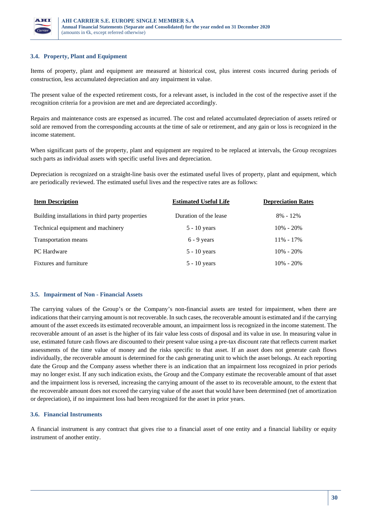

## **3.4. Property, Plant and Equipment**

Items of property, plant and equipment are measured at historical cost, plus interest costs incurred during periods of construction, less accumulated depreciation and any impairment in value.

The present value of the expected retirement costs, for a relevant asset, is included in the cost of the respective asset if the recognition criteria for a provision are met and are depreciated accordingly.

Repairs and maintenance costs are expensed as incurred. The cost and related accumulated depreciation of assets retired or sold are removed from the corresponding accounts at the time of sale or retirement, and any gain or loss is recognized in the income statement.

When significant parts of the property, plant and equipment are required to be replaced at intervals, the Group recognizes such parts as individual assets with specific useful lives and depreciation.

Depreciation is recognized on a straight-line basis over the estimated useful lives of property, plant and equipment, which are periodically reviewed. The estimated useful lives and the respective rates are as follows:

| <b>Item Description</b>                          | <b>Estimated Useful Life</b> | <b>Depreciation Rates</b> |  |
|--------------------------------------------------|------------------------------|---------------------------|--|
| Building installations in third party properties | Duration of the lease        | $8\% - 12\%$              |  |
| Technical equipment and machinery                | $5 - 10$ years               | $10\% - 20\%$             |  |
| Transportation means                             | $6 - 9$ years                | $11\% - 17\%$             |  |
| PC Hardware                                      | $5 - 10$ years               | $10\% - 20\%$             |  |
| <b>Fixtures and furniture</b>                    | $5 - 10$ years               | $10\% - 20\%$             |  |

#### **3.5. Impairment of Non - Financial Assets**

The carrying values of the Group's or the Company's non-financial assets are tested for impairment, when there are indications that their carrying amount is not recoverable. In such cases, the recoverable amount is estimated and if the carrying amount of the asset exceeds its estimated recoverable amount, an impairment loss is recognized in the income statement. The recoverable amount of an asset is the higher of its fair value less costs of disposal and its value in use. In measuring value in use, estimated future cash flows are discounted to their present value using a pre-tax discount rate that reflects current market assessments of the time value of money and the risks specific to that asset. If an asset does not generate cash flows individually, the recoverable amount is determined for the cash generating unit to which the asset belongs. At each reporting date the Group and the Company assess whether there is an indication that an impairment loss recognized in prior periods may no longer exist. If any such indication exists, the Group and the Company estimate the recoverable amount of that asset and the impairment loss is reversed, increasing the carrying amount of the asset to its recoverable amount, to the extent that the recoverable amount does not exceed the carrying value of the asset that would have been determined (net of amortization or depreciation), if no impairment loss had been recognized for the asset in prior years.

## **3.6. Financial Instruments**

A financial instrument is any contract that gives rise to a financial asset of one entity and a financial liability or equity instrument of another entity.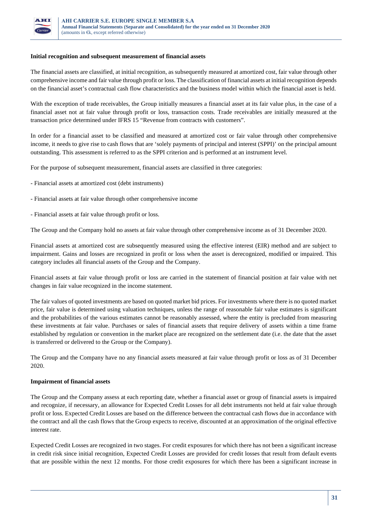

#### **Initial recognition and subsequent measurement of financial assets**

The financial assets are classified, at initial recognition, as subsequently measured at amortized cost, fair value through other comprehensive income and fair value through profit or loss. The classification of financial assets at initial recognition depends on the financial asset's contractual cash flow characteristics and the business model within which the financial asset is held.

With the exception of trade receivables, the Group initially measures a financial asset at its fair value plus, in the case of a financial asset not at fair value through profit or loss, transaction costs. Trade receivables are initially measured at the transaction price determined under IFRS 15 "Revenue from contracts with customers".

In order for a financial asset to be classified and measured at amortized cost or fair value through other comprehensive income, it needs to give rise to cash flows that are 'solely payments of principal and interest (SPPI)' on the principal amount outstanding. This assessment is referred to as the SPPI criterion and is performed at an instrument level.

For the purpose of subsequent measurement, financial assets are classified in three categories:

- Financial assets at amortized cost (debt instruments)
- Financial assets at fair value through other comprehensive income
- Financial assets at fair value through profit or loss.

The Group and the Company hold no assets at fair value through other comprehensive income as of 31 December 2020.

Financial assets at amortized cost are subsequently measured using the effective interest (EIR) method and are subject to impairment. Gains and losses are recognized in profit or loss when the asset is derecognized, modified or impaired. This category includes all financial assets of the Group and the Company.

Financial assets at fair value through profit or loss are carried in the statement of financial position at fair value with net changes in fair value recognized in the income statement.

The fair values of quoted investments are based on quoted market bid prices. For investments where there is no quoted market price, fair value is determined using valuation techniques, unless the range of reasonable fair value estimates is significant and the probabilities of the various estimates cannot be reasonably assessed, where the entity is precluded from measuring these investments at fair value. Purchases or sales of financial assets that require delivery of assets within a time frame established by regulation or convention in the market place are recognized on the settlement date (i.e. the date that the asset is transferred or delivered to the Group or the Company).

The Group and the Company have no any financial assets measured at fair value through profit or loss as of 31 December 2020.

#### **Impairment of financial assets**

The Group and the Company assess at each reporting date, whether a financial asset or group of financial assets is impaired and recognize, if necessary, an allowance for Expected Credit Losses for all debt instruments not held at fair value through profit or loss. Expected Credit Losses are based on the difference between the contractual cash flows due in accordance with the contract and all the cash flows that the Group expects to receive, discounted at an approximation of the original effective interest rate.

Expected Credit Losses are recognized in two stages. For credit exposures for which there has not been a significant increase in credit risk since initial recognition, Expected Credit Losses are provided for credit losses that result from default events that are possible within the next 12 months. For those credit exposures for which there has been a significant increase in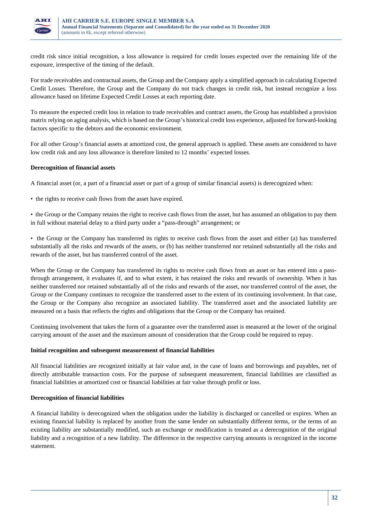

credit risk since initial recognition, a loss allowance is required for credit losses expected over the remaining life of the exposure, irrespective of the timing of the default.

For trade receivables and contractual assets, the Group and the Company apply a simplified approach in calculating Expected Credit Losses. Therefore, the Group and the Company do not track changes in credit risk, but instead recognize a loss allowance based on lifetime Expected Credit Losses at each reporting date.

To measure the expected credit loss in relation to trade receivables and contract assets, the Group has established a provision matrix relying on aging analysis, which is based on the Group's historical credit loss experience, adjusted for forward-looking factors specific to the debtors and the economic environment.

For all other Group's financial assets at amortized cost, the general approach is applied. These assets are considered to have low credit risk and any loss allowance is therefore limited to 12 months' expected losses.

## **Derecognition of financial assets**

A financial asset (or, a part of a financial asset or part of a group of similar financial assets) is derecognized when:

- the rights to receive cash flows from the asset have expired.
- the Group or the Company retains the right to receive cash flows from the asset, but has assumed an obligation to pay them in full without material delay to a third party under a "pass-through" arrangement; or
- the Group or the Company has transferred its rights to receive cash flows from the asset and either (a) has transferred substantially all the risks and rewards of the assets, or (b) has neither transferred nor retained substantially all the risks and rewards of the asset, but has transferred control of the asset.

When the Group or the Company has transferred its rights to receive cash flows from an asset or has entered into a passthrough arrangement, it evaluates if, and to what extent, it has retained the risks and rewards of ownership. When it has neither transferred nor retained substantially all of the risks and rewards of the asset, nor transferred control of the asset, the Group or the Company continues to recognize the transferred asset to the extent of its continuing involvement. In that case, the Group or the Company also recognize an associated liability. The transferred asset and the associated liability are measured on a basis that reflects the rights and obligations that the Group or the Company has retained.

Continuing involvement that takes the form of a guarantee over the transferred asset is measured at the lower of the original carrying amount of the asset and the maximum amount of consideration that the Group could be required to repay.

#### **Initial recognition and subsequent measurement of financial liabilities**

All financial liabilities are recognized initially at fair value and, in the case of loans and borrowings and payables, net of directly attributable transaction costs. For the purpose of subsequent measurement, financial liabilities are classified as financial liabilities at amortized cost or financial liabilities at fair value through profit or loss.

#### **Derecognition of financial liabilities**

A financial liability is derecognized when the obligation under the liability is discharged or cancelled or expires. When an existing financial liability is replaced by another from the same lender on substantially different terms, or the terms of an existing liability are substantially modified, such an exchange or modification is treated as a derecognition of the original liability and a recognition of a new liability. The difference in the respective carrying amounts is recognized in the income statement.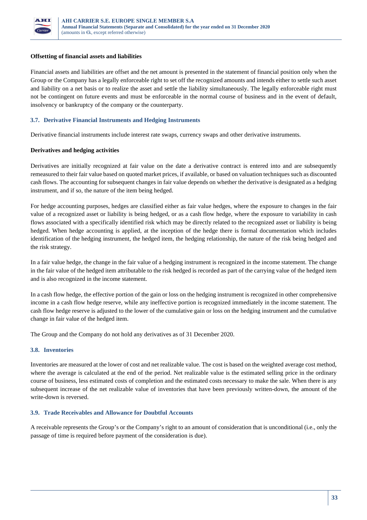

#### **Offsetting of financial assets and liabilities**

Financial assets and liabilities are offset and the net amount is presented in the statement of financial position only when the Group or the Company has a legally enforceable right to set off the recognized amounts and intends either to settle such asset and liability on a net basis or to realize the asset and settle the liability simultaneously. The legally enforceable right must not be contingent on future events and must be enforceable in the normal course of business and in the event of default, insolvency or bankruptcy of the company or the counterparty.

## **3.7. Derivative Financial Instruments and Hedging Instruments**

Derivative financial instruments include interest rate swaps, currency swaps and other derivative instruments.

#### **Derivatives and hedging activities**

Derivatives are initially recognized at fair value on the date a derivative contract is entered into and are subsequently remeasured to their fair value based on quoted market prices, if available, or based on valuation techniques such as discounted cash flows. The accounting for subsequent changes in fair value depends on whether the derivative is designated as a hedging instrument, and if so, the nature of the item being hedged.

For hedge accounting purposes, hedges are classified either as fair value hedges, where the exposure to changes in the fair value of a recognized asset or liability is being hedged, or as a cash flow hedge, where the exposure to variability in cash flows associated with a specifically identified risk which may be directly related to the recognized asset or liability is being hedged. When hedge accounting is applied, at the inception of the hedge there is formal documentation which includes identification of the hedging instrument, the hedged item, the hedging relationship, the nature of the risk being hedged and the risk strategy.

In a fair value hedge, the change in the fair value of a hedging instrument is recognized in the income statement. The change in the fair value of the hedged item attributable to the risk hedged is recorded as part of the carrying value of the hedged item and is also recognized in the income statement.

In a cash flow hedge, the effective portion of the gain or loss on the hedging instrument is recognized in other comprehensive income in a cash flow hedge reserve, while any ineffective portion is recognized immediately in the income statement. The cash flow hedge reserve is adjusted to the lower of the cumulative gain or loss on the hedging instrument and the cumulative change in fair value of the hedged item.

The Group and the Company do not hold any derivatives as of 31 December 2020.

#### **3.8. Inventories**

Inventories are measured at the lower of cost and net realizable value. The cost is based on the weighted average cost method, where the average is calculated at the end of the period. Net realizable value is the estimated selling price in the ordinary course of business, less estimated costs of completion and the estimated costs necessary to make the sale. When there is any subsequent increase of the net realizable value of inventories that have been previously written-down, the amount of the write-down is reversed.

#### **3.9. Trade Receivables and Allowance for Doubtful Accounts**

A receivable represents the Group's or the Company's right to an amount of consideration that is unconditional (i.e., only the passage of time is required before payment of the consideration is due).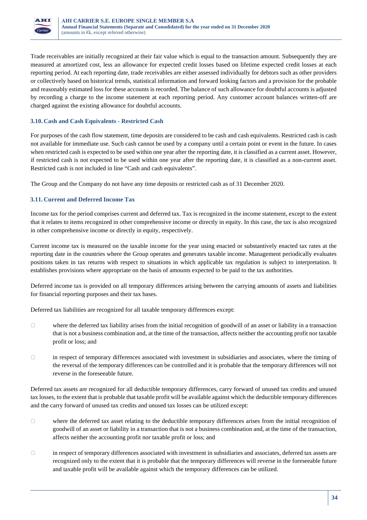

Trade receivables are initially recognized at their fair value which is equal to the transaction amount. Subsequently they are measured at amortized cost, less an allowance for expected credit losses based on lifetime expected credit losses at each reporting period. At each reporting date, trade receivables are either assessed individually for debtors such as other providers or collectively based on historical trends, statistical information and forward looking factors and a provision for the probable and reasonably estimated loss for these accounts is recorded. The balance of such allowance for doubtful accounts is adjusted by recording a charge to the income statement at each reporting period. Any customer account balances written-off are charged against the existing allowance for doubtful accounts.

## **3.10. Cash and Cash Equivalents - Restricted Cash**

For purposes of the cash flow statement, time deposits are considered to be cash and cash equivalents. Restricted cash is cash not available for immediate use. Such cash cannot be used by a company until a certain point or event in the future. In cases when restricted cash is expected to be used within one year after the reporting date, it is classified as a current asset. However, if restricted cash is not expected to be used within one year after the reporting date, it is classified as a non-current asset. Restricted cash is not included in line "Cash and cash equivalents".

The Group and the Company do not have any time deposits or restricted cash as of 31 December 2020.

## **3.11. Current and Deferred Income Tax**

Income tax for the period comprises current and deferred tax. Tax is recognized in the income statement, except to the extent that it relates to items recognized in other comprehensive income or directly in equity. In this case, the tax is also recognized in other comprehensive income or directly in equity, respectively.

Current income tax is measured on the taxable income for the year using enacted or substantively enacted tax rates at the reporting date in the countries where the Group operates and generates taxable income. Management periodically evaluates positions taken in tax returns with respect to situations in which applicable tax regulation is subject to interpretation. It establishes provisions where appropriate on the basis of amounts expected to be paid to the tax authorities.

Deferred income tax is provided on all temporary differences arising between the carrying amounts of assets and liabilities for financial reporting purposes and their tax bases.

Deferred tax liabilities are recognized for all taxable temporary differences except:

- $\Box$  where the deferred tax liability arises from the initial recognition of goodwill of an asset or liability in a transaction that is not a business combination and, at the time of the transaction, affects neither the accounting profit nor taxable profit or loss; and
- $\Box$  in respect of temporary differences associated with investment in subsidiaries and associates, where the timing of the reversal of the temporary differences can be controlled and it is probable that the temporary differences will not reverse in the foreseeable future.

Deferred tax assets are recognized for all deductible temporary differences, carry forward of unused tax credits and unused tax losses, to the extent that is probable that taxable profit will be available against which the deductible temporary differences and the carry forward of unused tax credits and unused tax losses can be utilized except:

- $\Box$  where the deferred tax asset relating to the deductible temporary differences arises from the initial recognition of goodwill of an asset or liability in a transaction that is not a business combination and, at the time of the transaction, affects neither the accounting profit nor taxable profit or loss; and
- in respect of temporary differences associated with investment in subsidiaries and associates, deferred tax assets are recognized only to the extent that it is probable that the temporary differences will reverse in the foreseeable future and taxable profit will be available against which the temporary differences can be utilized.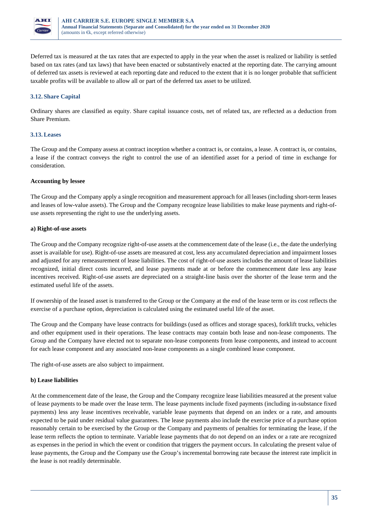

Deferred tax is measured at the tax rates that are expected to apply in the year when the asset is realized or liability is settled based on tax rates (and tax laws) that have been enacted or substantively enacted at the reporting date. The carrying amount of deferred tax assets is reviewed at each reporting date and reduced to the extent that it is no longer probable that sufficient taxable profits will be available to allow all or part of the deferred tax asset to be utilized.

## **3.12. Share Capital**

Ordinary shares are classified as equity. Share capital issuance costs, net of related tax, are reflected as a deduction from Share Premium.

## **3.13.Leases**

The Group and the Company assess at contract inception whether a contract is, or contains, a lease. A contract is, or contains, a lease if the contract conveys the right to control the use of an identified asset for a period of time in exchange for consideration.

## **Accounting by lessee**

The Group and the Company apply a single recognition and measurement approach for all leases (including short-term leases and leases of low-value assets). The Group and the Company recognize lease liabilities to make lease payments and right-ofuse assets representing the right to use the underlying assets.

## **a) Right-of-use assets**

The Group and the Company recognize right-of-use assets at the commencement date of the lease (i.e., the date the underlying asset is available for use). Right-of-use assets are measured at cost, less any accumulated depreciation and impairment losses and adjusted for any remeasurement of lease liabilities. The cost of right-of-use assets includes the amount of lease liabilities recognized, initial direct costs incurred, and lease payments made at or before the commencement date less any lease incentives received. Right-of-use assets are depreciated on a straight-line basis over the shorter of the lease term and the estimated useful life of the assets.

If ownership of the leased asset is transferred to the Group or the Company at the end of the lease term or its cost reflects the exercise of a purchase option, depreciation is calculated using the estimated useful life of the asset.

The Group and the Company have lease contracts for buildings (used as offices and storage spaces), forklift trucks, vehicles and other equipment used in their operations. The lease contracts may contain both lease and non-lease components. The Group and the Company have elected not to separate non-lease components from lease components, and instead to account for each lease component and any associated non-lease components as a single combined lease component.

The right-of-use assets are also subject to impairment.

## **b) Lease liabilities**

At the commencement date of the lease, the Group and the Company recognize lease liabilities measured at the present value of lease payments to be made over the lease term. The lease payments include fixed payments (including in-substance fixed payments) less any lease incentives receivable, variable lease payments that depend on an index or a rate, and amounts expected to be paid under residual value guarantees. The lease payments also include the exercise price of a purchase option reasonably certain to be exercised by the Group or the Company and payments of penalties for terminating the lease, if the lease term reflects the option to terminate. Variable lease payments that do not depend on an index or a rate are recognized as expenses in the period in which the event or condition that triggers the payment occurs. In calculating the present value of lease payments, the Group and the Company use the Group's incremental borrowing rate because the interest rate implicit in the lease is not readily determinable.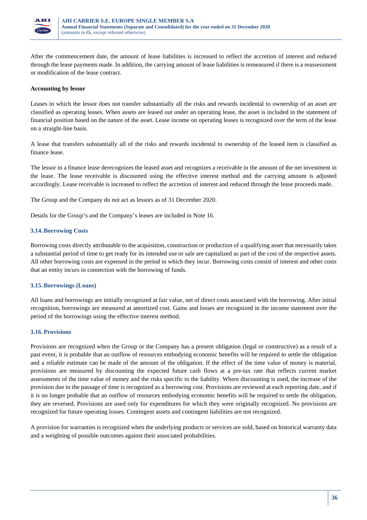

After the commencement date, the amount of lease liabilities is increased to reflect the accretion of interest and reduced through the lease payments made. In addition, the carrying amount of lease liabilities is remeasured if there is a reassessment or modification of the lease contract.

## **Accounting by lessor**

Leases in which the lessor does not transfer substantially all the risks and rewards incidental to ownership of an asset are classified as operating leases. When assets are leased out under an operating lease, the asset is included in the statement of financial position based on the nature of the asset. Lease income on operating leases is recognized over the term of the lease on a straight-line basis.

A lease that transfers substantially all of the risks and rewards incidental to ownership of the leased item is classified as finance lease.

The lessor in a finance lease derecognizes the leased asset and recognizes a receivable in the amount of the net investment in the lease. The lease receivable is discounted using the effective interest method and the carrying amount is adjusted accordingly. Lease receivable is increased to reflect the accretion of interest and reduced through the lease proceeds made.

The Group and the Company do not act as lessors as of 31 December 2020.

Details for the Group's and the Company's leases are included in Note 16.

## **3.14.Borrowing Costs**

Borrowing costs directly attributable to the acquisition, construction or production of a qualifying asset that necessarily takes a substantial period of time to get ready for its intended use or sale are capitalized as part of the cost of the respective assets. All other borrowing costs are expensed in the period in which they incur. Borrowing costs consist of interest and other costs that an entity incurs in connection with the borrowing of funds.

#### **3.15.Borrowings (Loans)**

All loans and borrowings are initially recognized at fair value, net of direct costs associated with the borrowing. After initial recognition, borrowings are measured at amortized cost. Gains and losses are recognized in the income statement over the period of the borrowings using the effective interest method.

#### **3.16. Provisions**

Provisions are recognized when the Group or the Company has a present obligation (legal or constructive) as a result of a past event, it is probable that an outflow of resources embodying economic benefits will be required to settle the obligation and a reliable estimate can be made of the amount of the obligation. If the effect of the time value of money is material, provisions are measured by discounting the expected future cash flows at a pre-tax rate that reflects current market assessments of the time value of money and the risks specific to the liability. Where discounting is used, the increase of the provision due to the passage of time is recognized as a borrowing cost. Provisions are reviewed at each reporting date, and if it is no longer probable that an outflow of resources embodying economic benefits will be required to settle the obligation, they are reversed. Provisions are used only for expenditures for which they were originally recognized. No provisions are recognized for future operating losses. Contingent assets and contingent liabilities are not recognized.

A provision for warranties is recognized when the underlying products or services are sold, based on historical warranty data and a weighting of possible outcomes against their associated probabilities.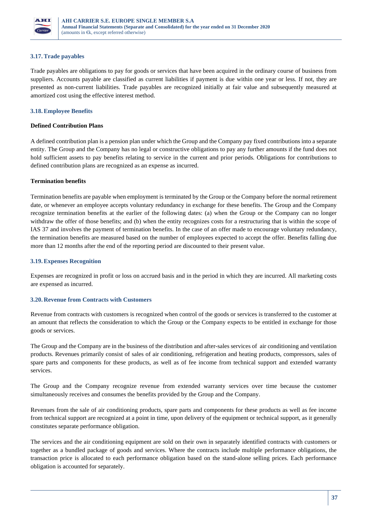

#### **3.17.Trade payables**

Trade payables are obligations to pay for goods or services that have been acquired in the ordinary course of business from suppliers. Accounts payable are classified as current liabilities if payment is due within one year or less. If not, they are presented as non-current liabilities. Trade payables are recognized initially at fair value and subsequently measured at amortized cost using the effective interest method.

#### **3.18.Employee Benefits**

#### **Defined Contribution Plans**

A defined contribution plan is a pension plan under which the Group and the Company pay fixed contributions into a separate entity. The Group and the Company has no legal or constructive obligations to pay any further amounts if the fund does not hold sufficient assets to pay benefits relating to service in the current and prior periods. Obligations for contributions to defined contribution plans are recognized as an expense as incurred.

#### **Termination benefits**

Termination benefits are payable when employment is terminated by the Group or the Company before the normal retirement date, or whenever an employee accepts voluntary redundancy in exchange for these benefits. The Group and the Company recognize termination benefits at the earlier of the following dates: (a) when the Group or the Company can no longer withdraw the offer of those benefits; and (b) when the entity recognizes costs for a restructuring that is within the scope of IAS 37 and involves the payment of termination benefits. In the case of an offer made to encourage voluntary redundancy, the termination benefits are measured based on the number of employees expected to accept the offer. Benefits falling due more than 12 months after the end of the reporting period are discounted to their present value.

#### **3.19.Expenses Recognition**

Expenses are recognized in profit or loss on accrued basis and in the period in which they are incurred. All marketing costs are expensed as incurred.

### **3.20. Revenue from Contracts with Customers**

Revenue from contracts with customers is recognized when control of the goods or services is transferred to the customer at an amount that reflects the consideration to which the Group or the Company expects to be entitled in exchange for those goods or services.

The Group and the Company are in the business of the distribution and after-sales services of air conditioning and ventilation products. Revenues primarily consist of sales of air conditioning, refrigeration and heating products, compressors, sales of spare parts and components for these products, as well as of fee income from technical support and extended warranty services.

The Group and the Company recognize revenue from extended warranty services over time because the customer simultaneously receives and consumes the benefits provided by the Group and the Company.

Revenues from the sale of air conditioning products, spare parts and components for these products as well as fee income from technical support are recognized at a point in time, upon delivery of the equipment or technical support, as it generally constitutes separate performance obligation.

The services and the air conditioning equipment are sold on their own in separately identified contracts with customers or together as a bundled package of goods and services. Where the contracts include multiple performance obligations, the transaction price is allocated to each performance obligation based on the stand-alone selling prices. Each performance obligation is accounted for separately.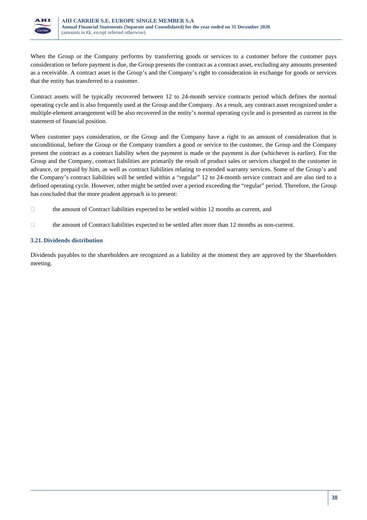

When the Group or the Company performs by transferring goods or services to a customer before the customer pays consideration or before payment is due, the Group presents the contract as a contract asset, excluding any amounts presented as a receivable. A contract asset is the Group's and the Company's right to consideration in exchange for goods or services that the entity has transferred to a customer.

Contract assets will be typically recovered between 12 to 24-month service contracts period which defines the normal operating cycle and is also frequently used at the Group and the Company. As a result, any contract asset recognized under a multiple-element arrangement will be also recovered in the entity's normal operating cycle and is presented as current in the statement of financial position.

When customer pays consideration, or the Group and the Company have a right to an amount of consideration that is unconditional, before the Group or the Company transfers a good or service to the customer, the Group and the Company present the contract as a contract liability when the payment is made or the payment is due (whichever is earlier). For the Group and the Company, contract liabilities are primarily the result of product sales or services charged to the customer in advance, or prepaid by him, as well as contract liabilities relating to extended warranty services. Some of the Group's and the Company's contract liabilities will be settled within a "regular" 12 to 24-month service contract and are also tied to a defined operating cycle. However, other might be settled over a period exceeding the "regular" period. Therefore, the Group has concluded that the more prudent approach is to present:

- $\Box$  the amount of Contract liabilities expected to be settled within 12 months as current, and
- $\Box$  the amount of Contract liabilities expected to be settled after more than 12 months as non-current.

#### **3.21. Dividends distribution**

Dividends payables to the shareholders are recognized as a liability at the moment they are approved by the Shareholders meeting.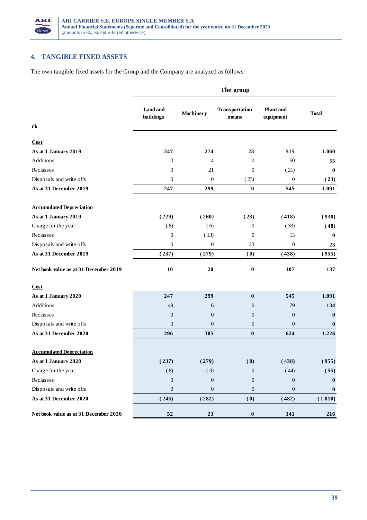

# **4. TANGIBLE FIXED ASSETS**

The own tangible fixed assets for the Group and the Company are analyzed as follows:

|                                       | The group                    |                  |                                |                               |              |  |
|---------------------------------------|------------------------------|------------------|--------------------------------|-------------------------------|--------------|--|
|                                       | <b>Land</b> and<br>buildings | <b>Machinery</b> | <b>Transportation</b><br>means | <b>Plant</b> and<br>equipment | <b>Total</b> |  |
| $\epsilon$                            |                              |                  |                                |                               |              |  |
| Cost                                  |                              |                  |                                |                               |              |  |
| As at 1 January 2019                  | 247                          | 274              | 23                             | 515                           | 1.060        |  |
| Additions                             | $\boldsymbol{0}$             | $\overline{4}$   | $\boldsymbol{0}$               | 50                            | 55           |  |
| Reclasses                             | $\boldsymbol{0}$             | 21               | $\boldsymbol{0}$               | (21)                          | $\bf{0}$     |  |
| Disposals and write offs              | $\boldsymbol{0}$             | $\boldsymbol{0}$ | (23)                           | 0                             | (23)         |  |
| As at 31 December 2019                | 247                          | 299              | $\boldsymbol{0}$               | 545                           | 1.091        |  |
| <b>Accumulated Depreciation</b>       |                              |                  |                                |                               |              |  |
| As at 1 January 2019                  | (229)                        | (260)            | (23)                           | (418)                         | (930)        |  |
| Charge for the year                   | (8)                          | (6)              | $\mathbf{0}$                   | (33)                          | (48)         |  |
| Reclasses                             | $\boldsymbol{0}$             | (13)             | $\boldsymbol{0}$               | 13                            | $\bf{0}$     |  |
| Disposals and write offs              | $\boldsymbol{0}$             | $\boldsymbol{0}$ | 23                             | 0                             | 23           |  |
| As at 31 December 2019                | (237)                        | (279)            | (0)                            | (438)                         | (955)        |  |
| Net book value as at 31 December 2019 | 10                           | $20\,$           | $\boldsymbol{0}$               | 107                           | 137          |  |
| Cost                                  |                              |                  |                                |                               |              |  |
| As at 1 January 2020                  | 247                          | 299              | $\bf{0}$                       | 545                           | 1.091        |  |
| Additions                             | 49                           | 6                | $\boldsymbol{0}$               | 79                            | 134          |  |
| Reclasses                             | $\boldsymbol{0}$             | $\boldsymbol{0}$ | $\boldsymbol{0}$               | $\boldsymbol{0}$              | $\bf{0}$     |  |
| Disposals and write offs              | $\boldsymbol{0}$             | $\boldsymbol{0}$ | $\boldsymbol{0}$               | $\boldsymbol{0}$              | $\mathbf{0}$ |  |
| As at 31 December 2020                | 296                          | 305              | $\boldsymbol{0}$               | 624                           | 1.226        |  |
| <b>Accumulated Depreciation</b>       |                              |                  |                                |                               |              |  |
| As at 1 January 2020                  | (237)                        | (279)            | (0)                            | (438)                         | (955)        |  |
| Charge for the year                   | (8)                          | (3)              | $\boldsymbol{0}$               | (44)                          | (55)         |  |
| Reclasses                             | $\boldsymbol{0}$             | $\boldsymbol{0}$ | $\boldsymbol{0}$               | $\boldsymbol{0}$              | $\bf{0}$     |  |
| Disposals and write offs              | $\boldsymbol{0}$             | $\boldsymbol{0}$ | $\boldsymbol{0}$               | $\boldsymbol{0}$              | $\bf{0}$     |  |
| As at 31 December 2020                | (245)                        | (282)            | (0)                            | (482)                         | (1.010)      |  |
| Net book value as at 31 December 2020 | ${\bf 52}$                   | 23               | $\boldsymbol{0}$               | 141                           | 216          |  |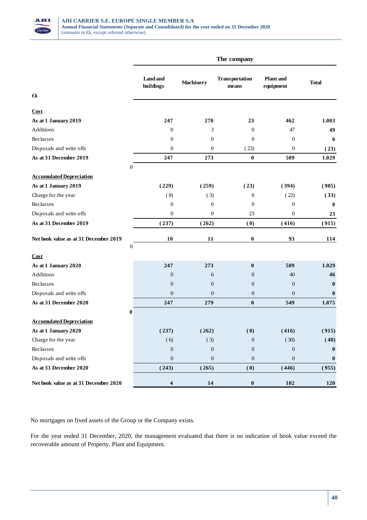

|                                                           |                         |                  | The company                    |                               |                  |
|-----------------------------------------------------------|-------------------------|------------------|--------------------------------|-------------------------------|------------------|
|                                                           | Land and<br>buildings   | <b>Machinery</b> | <b>Transportation</b><br>means | <b>Plant</b> and<br>equipment | <b>Total</b>     |
| $\epsilon$                                                |                         |                  |                                |                               |                  |
| Cost                                                      |                         |                  |                                |                               |                  |
| As at 1 January 2019                                      | 247                     | 270              | 23                             | 462                           | 1.003            |
| Additions                                                 | $\boldsymbol{0}$        | 3                | $\mathbf{0}$                   | 47                            | 49               |
| Reclasses                                                 | $\mathbf{0}$            | $\mathbf{0}$     | $\mathbf{0}$                   | $\mathbf{0}$                  | $\bf{0}$         |
| Disposals and write offs                                  | $\boldsymbol{0}$        | $\boldsymbol{0}$ | (23)                           | $\boldsymbol{0}$              | (23)             |
| As at 31 December 2019                                    | 247                     | 273              | $\bf{0}$                       | 509                           | 1.029            |
| $\boldsymbol{0}$                                          |                         |                  |                                |                               |                  |
| <b>Accumulated Depreciation</b>                           |                         |                  |                                |                               |                  |
| As at 1 January 2019                                      | (229)                   | (259)            | (23)                           | (394)                         | (905)            |
| Charge for the year                                       | (8)                     | (3)              | $\boldsymbol{0}$               | (22)                          | (33)             |
| Reclasses                                                 | $\boldsymbol{0}$        | $\boldsymbol{0}$ | $\boldsymbol{0}$               | $\boldsymbol{0}$              | $\boldsymbol{0}$ |
| Disposals and write offs                                  | $\boldsymbol{0}$        | $\boldsymbol{0}$ | 23                             | $\boldsymbol{0}$              | 23               |
| As at 31 December 2019                                    | (237)                   | (262)            | (0)                            | (416)                         | (915)            |
| Net book value as at 31 December 2019<br>$\boldsymbol{0}$ | 10                      | 11               | $\pmb{0}$                      | 93                            | 114              |
| Cost                                                      |                         |                  |                                |                               |                  |
| As at 1 January 2020                                      | 247                     | 273              | $\bf{0}$                       | 509                           | 1.029            |
| Additions                                                 | $\boldsymbol{0}$        | 6                | $\mathbf{0}$                   | 40                            | 46               |
| Reclasses                                                 | $\boldsymbol{0}$        | $\boldsymbol{0}$ | $\mathbf{0}$                   | $\boldsymbol{0}$              | $\bf{0}$         |
| Disposals and write offs                                  | $\boldsymbol{0}$        | $\boldsymbol{0}$ | $\boldsymbol{0}$               | $\boldsymbol{0}$              | $\bf{0}$         |
| As at 31 December 2020                                    | 247                     | 279              | $\bf{0}$                       | 549                           | 1.075            |
| $\pmb{0}$                                                 |                         |                  |                                |                               |                  |
| <b>Accumulated Depreciation</b>                           |                         |                  |                                |                               |                  |
| As at 1 January 2020                                      | (237)                   | (262)            | (0)                            | (416)                         | (915)            |
| Charge for the year                                       | (6)                     | (3)              | $\boldsymbol{0}$               | (30)                          | (40)             |
| Reclasses                                                 | $\boldsymbol{0}$        | $\boldsymbol{0}$ | $\boldsymbol{0}$               | $\boldsymbol{0}$              | $\bf{0}$         |
| Disposals and write offs                                  | $\boldsymbol{0}$        | $\boldsymbol{0}$ | $\boldsymbol{0}$               | $\boldsymbol{0}$              | $\bf{0}$         |
| As at 31 December 2020                                    | (243)                   | (265)            | (0)                            | (446)                         | (955)            |
| Net book value as at 31 December 2020                     | $\overline{\mathbf{4}}$ | 14               | $\pmb{0}$                      | 102                           | 120              |

No mortgages on fixed assets of the Group or the Company exists.

For the year ended 31 December, 2020, the management evaluated that there is no indication of book value exceed the recoverable amount of Property, Plant and Equipment.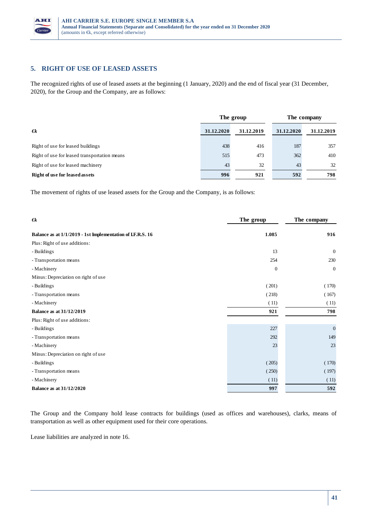

### **5. RIGHT OF USE OF LEASED ASSETS**

The recognized rights of use of leased assets at the beginning (1 January, 2020) and the end of fiscal year (31 December, 2020), for the Group and the Company, are as follows:

|                                              | The group  |            | The company |            |
|----------------------------------------------|------------|------------|-------------|------------|
| $\epsilon$                                   | 31.12.2020 | 31.12.2019 | 31.12.2020  | 31.12.2019 |
| Right of use for leased buildings            | 438        | 416        | 187         | 357        |
| Right of use for leased transportation means | 515        | 473        | 362         | 410        |
| Right of use for leased machinery            | 43         | 32         | 43          | 32         |
| <b>Right of use for leased assets</b>        | 996        | 921        | 592         | 798        |

The movement of rights of use leased assets for the Group and the Company, is as follows:

| $\epsilon$                                                | The group        | The company    |
|-----------------------------------------------------------|------------------|----------------|
| Balance as at 1/1/2019 - 1st Implementation of LF.R.S. 16 | 1.085            | 916            |
| Plus: Right of use additions:                             |                  |                |
| - Buildings                                               | 13               | $\overline{0}$ |
| - Transportation means                                    | 254              | 230            |
| - Machinery                                               | $\boldsymbol{0}$ | $\mathbf{0}$   |
| Minus: Depreciation on right of use                       |                  |                |
| - Buildings                                               | (201)            | (170)          |
| - Transportation means                                    | (218)            | (167)          |
| - Machinery                                               | (11)             | (11)           |
| <b>Balance as at 31/12/2019</b>                           | 921              | 798            |
| Plus: Right of use additions:                             |                  |                |
| - Buildings                                               | 227              | $\mathbf{0}$   |
| - Transportation means                                    | 292              | 149            |
| - Machinery                                               | 23               | 23             |
| Minus: Depreciation on right of use                       |                  |                |
| - Buildings                                               | (205)            | (170)          |
| - Transportation means                                    | (250)            | (197)          |
| - Machinery                                               | (11)             | (11)           |
| <b>Balance as at 31/12/2020</b>                           | 997              | 592            |

The Group and the Company hold lease contracts for buildings (used as offices and warehouses), clarks, means of transportation as well as other equipment used for their core operations.

Lease liabilities are analyzed in note 16.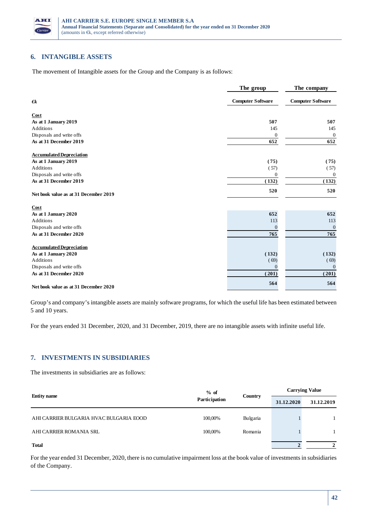

### **6. INTANGIBLE ASSETS**

The movement of Intangible assets for the Group and the Company is as follows:

|                                       | The group                | The company              |
|---------------------------------------|--------------------------|--------------------------|
| €k                                    | <b>Computer Software</b> | <b>Computer Software</b> |
| Cost                                  |                          |                          |
| As at 1 January 2019                  | 507                      | 507                      |
| <b>Additions</b>                      | 145                      | 145                      |
| Disposals and write offs              | $\mathbf{0}$             | $\boldsymbol{0}$         |
| As at 31 December 2019                | 652                      | 652                      |
| <b>Accumulated Depreciation</b>       |                          |                          |
| As at 1 January 2019                  | (75)                     | (75)                     |
| <b>Additions</b>                      | (57)                     | (57)                     |
| Disposals and write offs              | $\boldsymbol{0}$         | $\Omega$                 |
| As at 31 December 2019                | (132)                    | (132)                    |
| Net book value as at 31 December 2019 | 520                      | 520                      |
| Cost                                  |                          |                          |
| As at 1 January 2020                  | 652                      | 652                      |
| <b>Additions</b>                      | 113                      | 113                      |
| Disposals and write offs              | $\mathbf{0}$             | $\mathbf{0}$             |
| As at 31 December 2020                | 765                      | 765                      |
| <b>Accumulated Depreciation</b>       |                          |                          |
| As at 1 January 2020                  | (132)                    | (132)                    |
| <b>Additions</b>                      | (69)                     | (69)                     |
| Disposals and write offs              | $\Omega$                 | $\mathbf{0}$             |
| As at 31 December 2020                | (201)                    | (201)                    |
| Net book value as at 31 December 2020 | 564                      | 564                      |

Group's and company's intangible assets are mainly software programs, for which the useful life has been estimated between 5 and 10 years.

For the years ended 31 December, 2020, and 31 December, 2019, there are no intangible assets with infinite useful life.

### **7. INVESTMENTS IN SUBSIDIARIES**

The investments in subsidiaries are as follows:

|                                         | $%$ of        | Country  | <b>Carrying Value</b> |              |
|-----------------------------------------|---------------|----------|-----------------------|--------------|
| <b>Entity name</b>                      | Participation |          | 31.12.2020            | 31.12.2019   |
| AHI CARRIER BULGARIA HVAC BULGARIA EOOD | 100,00%       | Bulgaria |                       |              |
| AHI CARRIER ROMANIA SRL                 | 100,00%       | Romania  |                       |              |
| <b>Total</b>                            |               |          |                       | $\mathbf{2}$ |

For the year ended 31 December, 2020, there is no cumulative impairment loss at the book value of investments in subsidiaries of the Company.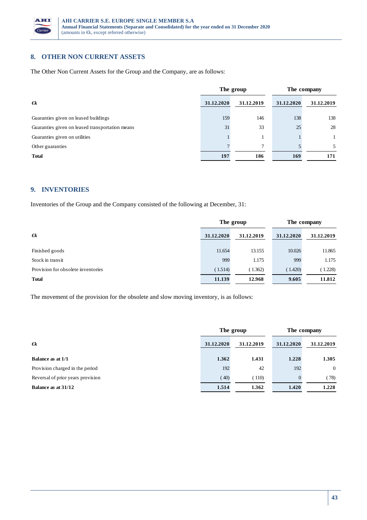

### **8. OTHER NON CURRENT ASSETS**

The Other Non Current Assets for the Group and the Company, are as follows:

|                                                 |            | The group  |            | The company  |
|-------------------------------------------------|------------|------------|------------|--------------|
| $\epsilon$                                      | 31.12.2020 | 31.12.2019 | 31.12.2020 | 31.12.2019   |
| Guaranties given on leased buildings            | 159        | 146        | 138        | 138          |
| Guaranties given on leased transportation means | 31         | 33         | 25         | 28           |
| Guaranties given on utilities                   |            |            |            | $\mathbf{1}$ |
| Other guaranties                                |            | 7          |            | 5.           |
| <b>Total</b>                                    | 197        | 186        | 169        | 171          |

### **9. INVENTORIES**

Inventories of the Group and the Company consisted of the following at December, 31:

|                                    | The group  |            | The company |            |
|------------------------------------|------------|------------|-------------|------------|
| $\epsilon$                         | 31.12.2020 | 31.12.2019 | 31.12.2020  | 31.12.2019 |
| Finished goods                     | 11.654     | 13.155     | 10.026      | 11.865     |
| Stock in transit                   | 999        | 1.175      | 999         | 1.175      |
| Provision for obsolete inventories | (1.514)    | (1.362)    | (1.420)     | (1.228)    |
| <b>Total</b>                       | 11.139     | 12.968     | 9.605       | 11.812     |

The movement of the provision for the obsolete and slow moving inventory, is as follows:

|                                   | The group  |            | The company |            |
|-----------------------------------|------------|------------|-------------|------------|
| $\epsilon$                        | 31.12.2020 | 31.12.2019 | 31.12.2020  | 31.12.2019 |
| <b>Balance as at 1/1</b>          | 1.362      | 1.431      | 1.228       | 1.305      |
| Provision charged in the period   | 192        | 42         | 192         | $\Omega$   |
| Reversal of prior years provision | (40)       | (110)      | $\Omega$    | (78)       |
| Balance as at 31/12               | 1.514      | 1.362      | 1.420       | 1.228      |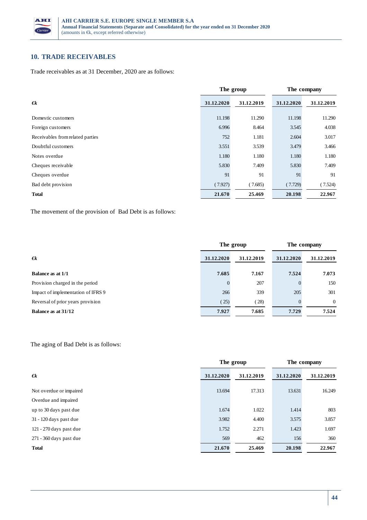

# **10. TRADE RECEIVABLES**

Trade receivables as at 31 December, 2020 are as follows:

|                                  |            | The group  |            | The company |
|----------------------------------|------------|------------|------------|-------------|
| $\epsilon$                       | 31.12.2020 | 31.12.2019 | 31.12.2020 | 31.12.2019  |
| Domestic customers               | 11.198     | 11.290     | 11.198     | 11.290      |
| Foreign customers                | 6.996      | 8.464      | 3.545      | 4.038       |
| Receivables from related parties | 752        | 1.181      | 2.604      | 3.017       |
| Doubtful customers               | 3.551      | 3.539      | 3.479      | 3.466       |
| Notes overdue                    | 1.180      | 1.180      | 1.180      | 1.180       |
| Cheques receivable               | 5.830      | 7.409      | 5.830      | 7.409       |
| Cheques overdue                  | 91         | 91         | 91         | 91          |
| Bad debt provision               | (7.927)    | (7.685)    | (7.729)    | (7.524)     |
| <b>Total</b>                     | 21.670     | 25.469     | 20.198     | 22.967      |

The movement of the provision of Bad Debt is as follows:

|                                    | The group  |            | The company |            |
|------------------------------------|------------|------------|-------------|------------|
| $\epsilon$ k                       | 31.12.2020 | 31.12.2019 | 31.12.2020  | 31.12.2019 |
| <b>Balance as at 1/1</b>           | 7.685      | 7.167      | 7.524       | 7.073      |
| Provision charged in the period    | 0          | 207        | $\Omega$    | 150        |
| Impact of implementation of IFRS 9 | 266        | 339        | 205         | 301        |
| Reversal of prior years provision  | 25)        | (28)       |             | $\Omega$   |
| Balance as at 31/12                | 7.927      | 7.685      | 7.729       | 7.524      |

### The aging of Bad Debt is as follows:

|                           |            | The group  |            | The company |
|---------------------------|------------|------------|------------|-------------|
| $\epsilon$                | 31.12.2020 | 31.12.2019 | 31.12.2020 | 31.12.2019  |
| Not overdue or impaired   | 13.694     | 17.313     | 13.631     | 16.249      |
| Overdue and impaired      |            |            |            |             |
| up to 30 days past due    | 1.674      | 1.022      | 1.414      | 803         |
| $31 - 120$ days past due  | 3.982      | 4.400      | 3.575      | 3.857       |
| $121 - 270$ days past due | 1.752      | 2.271      | 1.423      | 1.697       |
| 271 - 360 days past due   | 569        | 462        | 156        | 360         |
| <b>Total</b>              | 21.670     | 25.469     | 20.198     | 22.967      |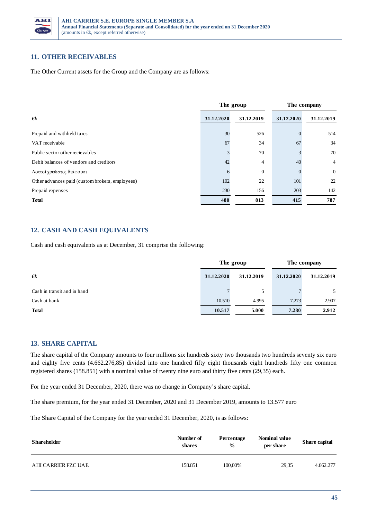

### **11. OTHER RECEIVABLES**

The Other Current assets for the Group and the Company are as follows:

|                                                 | The group  |              | The company |                |
|-------------------------------------------------|------------|--------------|-------------|----------------|
| $\epsilon$                                      | 31.12.2020 | 31.12.2019   | 31.12.2020  | 31.12.2019     |
| Prepaid and withheld taxes                      | 30         | 526          |             | 514            |
| VAT receivable                                  | 67         | 34           | 67          | 34             |
| Public sector other recievables                 |            | 70           |             | 70             |
| Debit balances of vendors and creditors         | 42         | 4            | 40          | $\overline{4}$ |
| Λοιποί γρεώστες διάφοροι                        | 6          | $\mathbf{0}$ |             | $\overline{0}$ |
| Other advances paid (custom brokers, employees) | 102        | 22           | 101         | 22             |
| Prepaid expenses                                | 230        | 156          | 203         | 142            |
| <b>Total</b>                                    | 480        | 813          | 415         | 787            |

## **12. CASH AND CASH EQUIVALENTS**

Cash and cash equivalents as at December, 31 comprise the following:

|                             | The group  |            | The company |            |
|-----------------------------|------------|------------|-------------|------------|
| $\epsilon$                  | 31.12.2020 | 31.12.2019 | 31.12.2020  | 31.12.2019 |
| Cash in transit and in hand |            | 5          |             | 5          |
| Cash at bank                | 10.510     | 4.995      | 7.273       | 2.907      |
| <b>Total</b>                | 10.517     | 5.000      | 7.280       | 2.912      |

### **13. SHARE CAPITAL**

The share capital of the Company amounts to four millions six hundreds sixty two thousands two hundreds seventy six euro and eighty five cents (4.662.276,85) divided into one hundred fifty eight thousands eight hundreds fifty one common registered shares (158.851) with a nominal value of twenty nine euro and thirty five cents (29,35) each.

For the year ended 31 December, 2020, there was no change in Company's share capital.

The share premium, for the year ended 31 December, 2020 and 31 December 2019, amounts to 13.577 euro

The Share Capital of the Company for the year ended 31 December, 2020, is as follows:

| <b>Shareholder</b>  | Number of<br>shares | Percentage<br>$\frac{0}{0}$ | Nominal value<br>per share | Share capital |
|---------------------|---------------------|-----------------------------|----------------------------|---------------|
| AHI CARRIER FZC UAE | 158.851             | 100,00%                     | 29.35                      | 4.662.277     |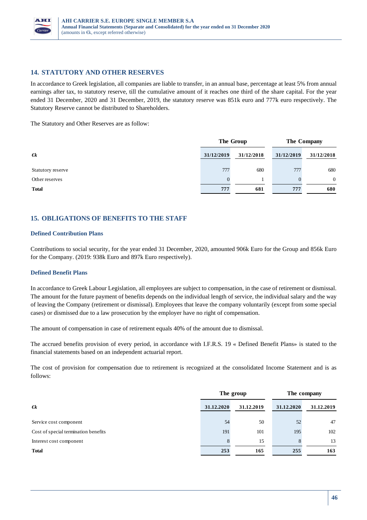

## **14. STATUTORY AND OTHER RESERVES**

In accordance to Greek legislation, all companies are liable to transfer, in an annual base, percentage at least 5% from annual earnings after tax, to statutory reserve, till the cumulative amount of it reaches one third of the share capital. For the year ended 31 December, 2020 and 31 December, 2019, the statutory reserve was 851k euro and 777k euro respectively. The Statutory Reserve cannot be distributed to Shareholders.

The Statutory and Other Reserves are as follow:

|                   | The Group  |            | The Company |                |
|-------------------|------------|------------|-------------|----------------|
| $\epsilon$        | 31/12/2019 | 31/12/2018 | 31/12/2019  | 31/12/2018     |
| Statutory reserve | 777        | 680        | 777         | 680            |
| Other reserves    |            |            |             | $\overline{0}$ |
| <b>Total</b>      | 777        | 681        | 777         | 680            |

# **15. OBLIGATIONS OF BENEFITS TO THE STAFF**

#### **Defined Contribution Plans**

Contributions to social security, for the year ended 31 December, 2020, amounted 906k Euro for the Group and 856k Euro for the Company. (2019: 938k Euro and 897k Euro respectively).

#### **Defined Benefit Plans**

In accordance to Greek Labour Legislation, all employees are subject to compensation, in the case of retirement or dismissal. The amount for the future payment of benefits depends on the individual length of service, the individual salary and the way of leaving the Company (retirement or dismissal). Employees that leave the company voluntarily (except from some special cases) or dismissed due to a law prosecution by the employer have no right of compensation.

The amount of compensation in case of retirement equals 40% of the amount due to dismissal.

The accrued benefits provision of every period, in accordance with I.F.R.S. 19 « Defined Benefit Plans» is stated to the financial statements based on an independent actuarial report.

The cost of provision for compensation due to retirement is recognized at the consolidated Income Statement and is as follows:

|                                      | The group  |            | The company |            |
|--------------------------------------|------------|------------|-------------|------------|
| $\epsilon$                           | 31.12.2020 | 31.12.2019 | 31.12.2020  | 31.12.2019 |
| Service cost component               | 54         | 50         | 52          | 47         |
| Cost of special termination benefits | 191        | 101        | 195         | 102        |
| Interest cost component              |            | 15         |             | 13         |
| <b>Total</b>                         | 253        | 165        | 255         | 163        |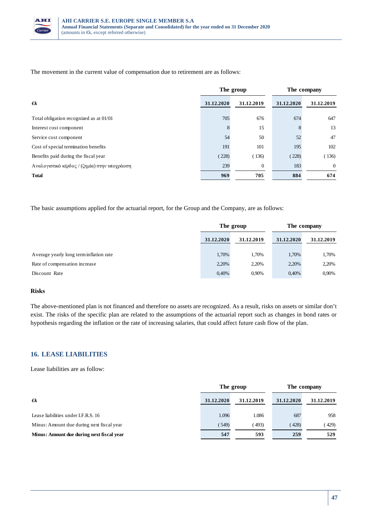

The movement in the current value of compensation due to retirement are as follows:

|                                              | The group  |              | The company |            |
|----------------------------------------------|------------|--------------|-------------|------------|
| $\epsilon$                                   | 31.12.2020 | 31.12.2019   | 31.12.2020  | 31.12.2019 |
| Total obligation recognized as at 01/01      | 705        | 676          | 674         | 647        |
| Interest cost component                      | 8          | 15           | 8           | 13         |
| Service cost component                       | 54         | 50           | 52          | 47         |
| Cost of special termination benefits         | 191        | 101          | 195         | 102        |
| Benefits paid during the fiscal year         | (228)      | (136)        | (228)       | 136)       |
| Αναλογιστικό κέρδος / (ζημία) στην υποχρέωση | 239        | $\mathbf{0}$ | 183         | $\Omega$   |
| <b>Total</b>                                 | 969        | 705          | 884         | 674        |

The basic assumptions applied for the actuarial report, for the Group and the Company, are as follows:

|                                         | The group  |            | The company |            |
|-----------------------------------------|------------|------------|-------------|------------|
|                                         | 31.12.2020 | 31.12.2019 | 31.12.2020  | 31.12.2019 |
|                                         |            |            |             |            |
| Average yearly long term inflation rate | 1,70%      | 1.70%      | 1,70%       | 1,70%      |
| Rate of compensation increase           | 2,20%      | 2,20%      | 2,20%       | 2,20%      |
| Discount Rate                           | 0,40%      | 0.90%      | 0,40%       | 0,90%      |

#### **Risks**

The above-mentioned plan is not financed and therefore no assets are recognized. As a result, risks on assets or similar don't exist. The risks of the specific plan are related to the assumptions of the actuarial report such as changes in bond rates or hypothesis regarding the inflation or the rate of increasing salaries, that could affect future cash flow of the plan.

### **16. LEASE LIABILITIES**

Lease liabilities are as follow:

|                                           | The group  |            | The company |            |
|-------------------------------------------|------------|------------|-------------|------------|
| $\epsilon$                                | 31.12.2020 | 31.12.2019 | 31.12.2020  | 31.12.2019 |
| Lease liabilities under I.F.R.S. 16       | 1.096      | 1.086      | 687         | 958        |
| Minus: Amount due during next fiscal year | (549)      | (493)      | (428)       | (429)      |
| Minus: Amount due during next fiscal year | 547        | 593        | 259         | 529        |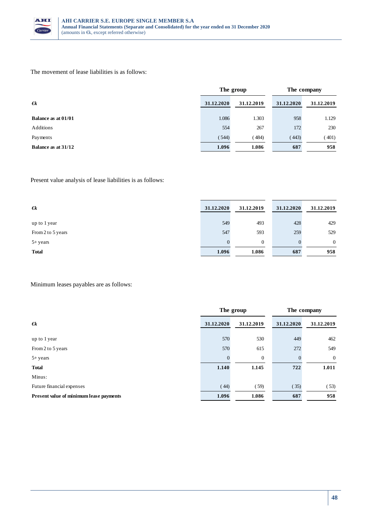

### The movement of lease liabilities is as follows:

|                            | The group  |            | The company |            |
|----------------------------|------------|------------|-------------|------------|
| $\epsilon$                 | 31.12.2020 | 31.12.2019 | 31.12.2020  | 31.12.2019 |
| <b>Balance as at 01/01</b> | 1.086      | 1.303      | 958         | 1.129      |
| Additions                  | 554        | 267        | 172         | 230        |
| Payments                   | (544)      | (484)      | (443)       | (401)      |
| Balance as at 31/12        | 1.096      | 1.086      | 687         | 958        |

Present value analysis of lease liabilities is as follows:

| $\epsilon$        | 31.12.2020 | 31.12.2019   | 31.12.2020 | 31.12.2019     |
|-------------------|------------|--------------|------------|----------------|
| up to 1 year      | 549        | 493          | 428        | 429            |
| From 2 to 5 years | 547        | 593          | 259        | 529            |
| $5 + years$       |            | $\mathbf{0}$ |            | $\overline{0}$ |
| <b>Total</b>      | 1.096      | 1.086        | 687        | 958            |

Minimum leases payables are as follows:

|                                         | The group  |              | The company |                |
|-----------------------------------------|------------|--------------|-------------|----------------|
| $\epsilon$                              | 31.12.2020 | 31.12.2019   | 31.12.2020  | 31.12.2019     |
| up to 1 year                            | 570        | 530          | 449         | 462            |
| From 2 to 5 years                       | 570        | 615          | 272         | 549            |
| $5 + years$                             | 0          | $\mathbf{0}$ | $\Omega$    | $\overline{0}$ |
| <b>Total</b>                            | 1.140      | 1.145        | 722         | 1.011          |
| Minus:                                  |            |              |             |                |
| Future financial expenses               | (44)       | (59)         | (35)        | (53)           |
| Present value of minimum lease payments | 1.096      | 1.086        | 687         | 958            |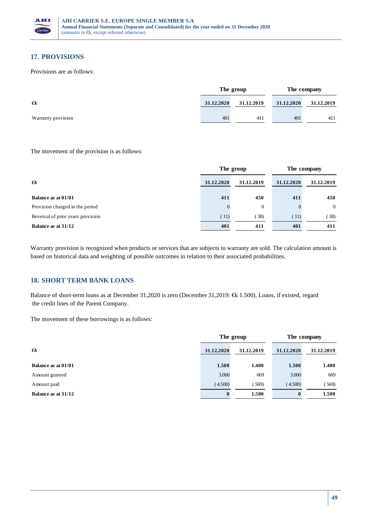

# **17. PROVISIONS**

Provisions are as follows:

|                    | The group  |            | The company |            |
|--------------------|------------|------------|-------------|------------|
| $\epsilon$         | 31.12.2020 | 31.12.2019 | 31.12.2020  | 31.12.2019 |
| Warranty provision | 401        | 411        | 401         | 411        |

#### The movement of the provision is as follows:

|                                   | The group  |              | The company |                |
|-----------------------------------|------------|--------------|-------------|----------------|
| $\epsilon$                        | 31.12.2020 | 31.12.2019   | 31.12.2020  | 31.12.2019     |
| Balance as at 01/01               | 411        | 450          | 411         | 450            |
| Provision charged in the period   |            | $\mathbf{0}$ |             | $\overline{0}$ |
| Reversal of prior years provision | (11)       | 38)          | (11)        | (38)           |
| Balance as at 31/12               | 401        | 411          | 401         | 411            |

Warranty provision is recognized when products or services that are subjects to warranty are sold. The calculation amount is based on historical data and weighting of possible outcomes in relation to their associated probabilities.

# **18. SHORT TERM BANK LOANS**

Balance of short-term loans as at December 31,2020 is zero (December 31,2019: €k 1.500). Loans, if existed, regard the credit lines of the Parent Company.

The movement of these borrowings is as follows:

|                     | The group  |            | The company |            |
|---------------------|------------|------------|-------------|------------|
| $\epsilon$ k        | 31.12.2020 | 31.12.2019 | 31.12.2020  | 31.12.2019 |
| Balance as at 01/01 | 1.500      | 1.400      | 1.500       | 1.400      |
| Amount granted      | 3.000      | 669        | 3.000       | 669        |
| Amount paid         | (4.500)    | 569)       | (4.500)     | (569)      |
| Balance as at 31/12 |            | 1.500      | 0           | 1.500      |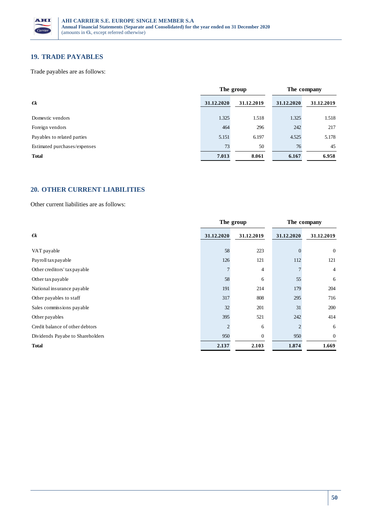

# **19. TRADE PAYABLES**

Trade payables are as follows:

|                              | The group  |            | The company |            |
|------------------------------|------------|------------|-------------|------------|
| $\epsilon$                   | 31.12.2020 | 31.12.2019 | 31.12.2020  | 31.12.2019 |
| Domestic vendors             | 1.325      | 1.518      | 1.325       | 1.518      |
| Foreign vendors              | 464        | 296        | 242         | 217        |
| Payables to related parties  | 5.151      | 6.197      | 4.525       | 5.178      |
| Estimated purchases/expenses | 73         | 50         | 76          | 45         |
| <b>Total</b>                 | 7.013      | 8.061      | 6.167       | 6.958      |

# **20. OTHER CURRENT LIABILITIES**

Other current liabilities are as follows:

|                                  | The group      |              | The company |                |
|----------------------------------|----------------|--------------|-------------|----------------|
| $\epsilon$                       | 31.12.2020     | 31.12.2019   | 31.12.2020  | 31.12.2019     |
| VAT payable                      | 58             | 223          |             | $\overline{0}$ |
| Payroll tax payable              | 126            | 121          | 112         | 121            |
| Other creditors' tax payable     |                | 4            |             | $\overline{4}$ |
| Other tax payable                | 58             | 6            | 55          | 6              |
| National insurance payable       | 191            | 214          | 179         | 204            |
| Other payables to staff          | 317            | 808          | 295         | 716            |
| Sales commissions payable        | 32             | 201          | 31          | 200            |
| Other payables                   | 395            | 521          | 242         | 414            |
| Credit balance of other debtors  | $\mathfrak{D}$ | 6            |             | 6              |
| Dividends Payabe to Shareholders | 950            | $\mathbf{0}$ | 950         | $\overline{0}$ |
| <b>Total</b>                     | 2.137          | 2.103        | 1.874       | 1.669          |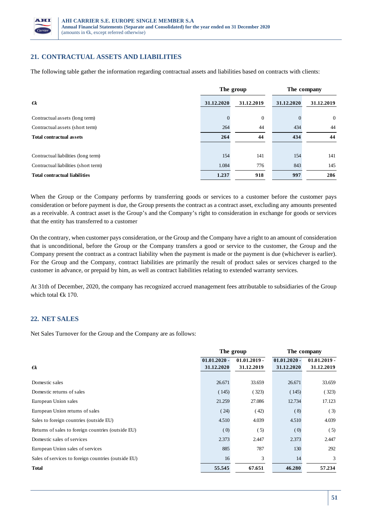

# **21. CONTRACTUAL ASSETS AND LIABILITIES**

The following table gather the information regarding contractual assets and liabilities based on contracts with clients:

|                                      | The group  |                  | The company |                |
|--------------------------------------|------------|------------------|-------------|----------------|
| $\epsilon$                           | 31.12.2020 | 31.12.2019       | 31.12.2020  | 31.12.2019     |
| Contractual assets (long term)       | $\theta$   | $\boldsymbol{0}$ |             | $\overline{0}$ |
| Contractual assets (short term)      | 264        | 44               | 434         | 44             |
| <b>Total contractual assets</b>      | 264        | 44               | 434         | 44             |
|                                      |            |                  |             |                |
| Contractual liabilities (long term)  | 154        | 141              | 154         | 141            |
| Contractual liabilities (short term) | 1.084      | 776              | 843         | 145            |
| <b>Total contractual liabilities</b> | 1.237      | 918              | 997         | 286            |

When the Group or the Company performs by transferring goods or services to a customer before the customer pays consideration or before payment is due, the Group presents the contract as a contract asset, excluding any amounts presented as a receivable. A contract asset is the Group's and the Company's right to consideration in exchange for goods or services that the entity has transferred to a customer

On the contrary, when customer pays consideration, or the Group and the Company have a right to an amount of consideration that is unconditional, before the Group or the Company transfers a good or service to the customer, the Group and the Company present the contract as a contract liability when the payment is made or the payment is due (whichever is earlier). For the Group and the Company, contract liabilities are primarily the result of product sales or services charged to the customer in advance, or prepaid by him, as well as contract liabilities relating to extended warranty services.

At 31th of December, 2020, the company has recognized accrued management fees attributable to subsidiaries of the Group which total €k 170.

### **22. NET SALES**

Net Sales Turnover for the Group and the Company are as follows:

|                                                     | The group                    |                              | The company                  |                              |
|-----------------------------------------------------|------------------------------|------------------------------|------------------------------|------------------------------|
| $\epsilon$                                          | $01.01.2020 -$<br>31.12.2020 | $01.01.2019 -$<br>31.12.2019 | $01.01.2020 -$<br>31.12.2020 | $01.01.2019 -$<br>31.12.2019 |
|                                                     |                              |                              |                              |                              |
| Domestic sales                                      | 26.671                       | 33.659                       | 26.671                       | 33.659                       |
| Domestic returns of sales                           | (145)                        | (323)                        | (145)                        | (323)                        |
| European Union sales                                | 21.259                       | 27.086                       | 12.734                       | 17.123                       |
| European Union returns of sales                     | (24)                         | (42)                         | (8)                          | (3)                          |
| Sales to foreign countries (outside EU)             | 4.510                        | 4.039                        | 4.510                        | 4.039                        |
| Returns of sales to foreign countries (outside EU)  | (0)                          | (5)                          | (0)                          | (5)                          |
| Domestic sales of services                          | 2.373                        | 2.447                        | 2.373                        | 2.447                        |
| European Union sales of services                    | 885                          | 787                          | 130                          | 292                          |
| Sales of services to foreign countries (outside EU) | 16                           | 3                            | 14                           | 3                            |
| <b>Total</b>                                        | 55.545                       | 67.651                       | 46.280                       | 57.234                       |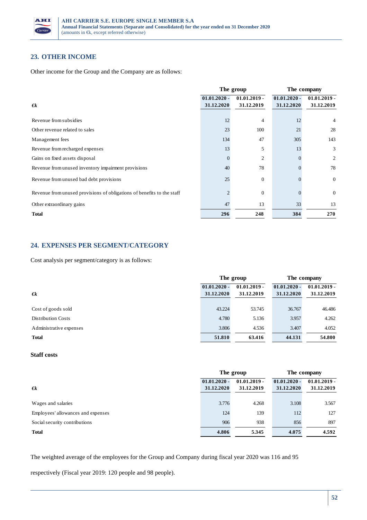

## **23. OTHER INCOME**

Other income for the Group and the Company are as follows:

|                                                                        | The group                    |                              | The company                  |                              |
|------------------------------------------------------------------------|------------------------------|------------------------------|------------------------------|------------------------------|
| $\epsilon$                                                             | $01.01.2020 -$<br>31.12.2020 | $01.01.2019 -$<br>31.12.2019 | $01.01.2020 -$<br>31.12.2020 | $01.01.2019 -$<br>31.12.2019 |
| Revenue from subsidies                                                 | 12                           | $\overline{4}$               | 12                           | 4                            |
| Other revenue related to sales                                         | 23                           | 100                          | 21                           | 28                           |
| Management fees                                                        | 134                          | 47                           | 305                          | 143                          |
| Revenue from recharged expenses                                        | 13                           | 5                            | 13                           | 3                            |
| Gains on fixed assets disposal                                         |                              | $\overline{2}$               |                              | 2                            |
| Revenue from unused inventory impairment provisions                    | 40                           | 78                           |                              | 78                           |
| Revenue from unused bad debt provisions                                | 25                           | $\mathbf{0}$                 |                              | $\mathbf{0}$                 |
| Revenue from unused provisions of obligations of benefits to the staff | $\overline{c}$               | $\mathbf{0}$                 |                              | $\overline{0}$               |
| Other extraordinary gains                                              | 47                           | 13                           | 33                           | 13                           |
| <b>Total</b>                                                           | 296                          | 248                          | 384                          | 270                          |

## **24. EXPENSES PER SEGMENT/CATEGORY**

Cost analysis per segment/category is as follows:

|                           | The group      |                | The company    |                |
|---------------------------|----------------|----------------|----------------|----------------|
|                           | $01.01.2020 -$ | $01.01.2019 -$ | $01.01.2020 -$ | $01.01.2019 -$ |
| $\epsilon$                | 31.12.2020     | 31.12.2019     | 31.12.2020     | 31.12.2019     |
|                           |                |                |                |                |
| Cost of goods sold        | 43.224         | 53.745         | 36.767         | 46.486         |
| <b>Distribution Costs</b> | 4.780          | 5.136          | 3.957          | 4.262          |
| Administrative expenses   | 3.806          | 4.536          | 3.407          | 4.052          |
| <b>Total</b>              | 51.810         | 63.416         | 44.131         | 54.800         |

#### **Staff costs**

|                                    | The group      |                | The company    |                |
|------------------------------------|----------------|----------------|----------------|----------------|
|                                    | $01.01.2020 -$ | $01.01.2019 -$ | $01.01.2020 -$ | $01.01.2019 -$ |
| $\epsilon$                         | 31.12.2020     | 31.12.2019     | 31.12.2020     | 31.12.2019     |
| Wages and salaries                 | 3.776          | 4.268          | 3.108          | 3.567          |
| Employees' allowances and expenses | 124            | 139            | 112            | 127            |
| Social security contributions      | 906            | 938            | 856            | 897            |
| <b>Total</b>                       | 4.806          | 5.345          | 4.075          | 4.592          |

The weighted average of the employees for the Group and Company during fiscal year 2020 was 116 and 95

respectively (Fiscal year 2019: 120 people and 98 people).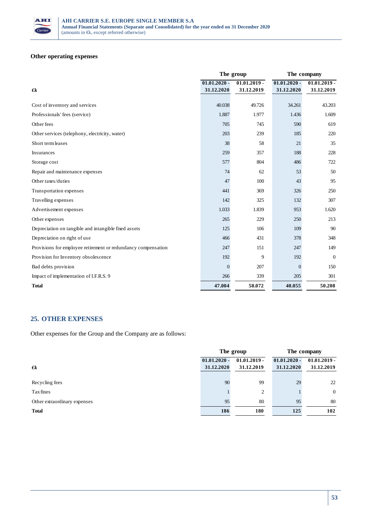

## **Other operating expenses**

|                                                               | The group      |                | The company    |                |
|---------------------------------------------------------------|----------------|----------------|----------------|----------------|
|                                                               | $01.01.2020 -$ | $01.01.2019 -$ | $01.01.2020 -$ | $01.01.2019 -$ |
| $\epsilon$                                                    | 31.12.2020     | 31.12.2019     | 31.12.2020     | 31.12.2019     |
| Cost of inventory and services                                | 40.038         | 49.726         | 34.261         | 43.203         |
| Professionals' fees (service)                                 | 1.887          | 1.977          | 1.436          | 1.609          |
| Other fees                                                    | 705            | 745            | 590            | 619            |
| Other services (telephony, electricity, water)                | 203            | 239            | 185            | 220            |
| Short term leases                                             | 38             | 58             | 21             | 35             |
| Insurances                                                    | 259            | 357            | 188            | 228            |
| Storage cost                                                  | 577            | 804            | 486            | 722            |
| Repair and maintenance expenses                               | 74             | 62             | 53             | 50             |
| Other taxes/duties                                            | 47             | 100            | 43             | 95             |
| Transportation expenses                                       | 441            | 369            | 326            | 250            |
| Travelling expenses                                           | 142            | 325            | 132            | 307            |
| Advertisement expenses                                        | 1.033          | 1.839          | 953            | 1.620          |
| Other expenses                                                | 265            | 229            | 250            | 213            |
| Depreciation on tangible and intangible fixed assets          | 125            | 106            | 109            | 90             |
| Depreciation on right of use                                  | 466            | 431            | 378            | 348            |
| Provisions for employee retirement or redundancy compensation | 247            | 151            | 247            | 149            |
| Provision for Inventory obsolescence                          | 192            | 9              | 192            | $\theta$       |
| Bad debts provision                                           | $\mathbf{0}$   | 207            | $\overline{0}$ | 150            |
| Impact of implementation of I.F.R.S. 9                        | 266            | 339            | 205            | 301            |
| <b>Total</b>                                                  | 47.004         | 58.072         | 40.055         | 50.208         |

### **25. OTHER EXPENSES**

Other expenses for the Group and the Company are as follows:

|                              | The group                    |                              | The company                  |                              |
|------------------------------|------------------------------|------------------------------|------------------------------|------------------------------|
|                              | $01.01.2020 -$<br>31.12.2020 | $01.01.2019 -$<br>31.12.2019 | $01.01.2020 -$<br>31.12.2020 | $01.01.2019 -$<br>31.12.2019 |
| $\epsilon$                   |                              |                              |                              |                              |
| Recycling fees               | 90                           | 99                           | 29                           | 22                           |
| Tax fines                    |                              | $\overline{c}$               |                              | $\overline{0}$               |
| Other extraordinary expenses | 95                           | 80                           | 95                           | 80                           |
| <b>Total</b>                 | 186                          | 180                          | 125                          | 102                          |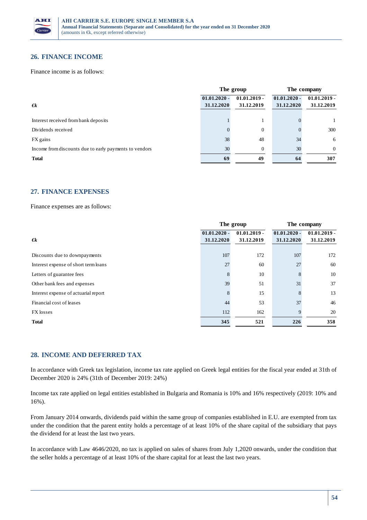

### **26. FINANCE INCOME**

Finance income is as follows:

|                                                        | The group      |                | The company    |                |
|--------------------------------------------------------|----------------|----------------|----------------|----------------|
|                                                        | $01.01.2020 -$ | $01.01.2019 -$ | $01.01.2020 -$ | $01.01.2019 -$ |
| $\epsilon$                                             | 31.12.2020     | 31.12.2019     | 31.12.2020     | 31.12.2019     |
| Interest received from bank deposits                   |                |                |                |                |
| Dividends received                                     |                | $\mathbf{0}$   |                | 300            |
| FX gains                                               | 38             | 48             | 34             | 6              |
| Income from discounts due to early payments to vendors | 30             | $\mathbf{0}$   | 30             | $\Omega$       |
| <b>Total</b>                                           | 69             | 49             | -64            | 307            |

### **27. FINANCE EXPENSES**

Finance expenses are as follows:

|                                      | The group                    |                              | The company                  |                              |
|--------------------------------------|------------------------------|------------------------------|------------------------------|------------------------------|
| $\epsilon$                           | $01.01.2020 -$<br>31.12.2020 | $01.01.2019 -$<br>31.12.2019 | $01.01.2020 -$<br>31.12.2020 | $01.01.2019 -$<br>31.12.2019 |
| Discounts due to downpayments        | 107                          | 172                          | 107                          | 172                          |
| Interest expense of short term loans | 27                           | 60                           | 27                           | 60                           |
| Letters of guarantee fees            | 8                            | 10                           |                              | 10                           |
| Other bank fees and expenses         | 39                           | 51                           | 31                           | 37                           |
| Interest expense of actuarial report | 8                            | 15                           |                              | 13                           |
| Financial cost of leases             | 44                           | 53                           | 37                           | 46                           |
| FX losses                            | 112                          | 162                          | $\mathbf Q$                  | 20                           |
| <b>Total</b>                         | 345                          | 521                          | 226                          | 358                          |

### **28. INCOME AND DEFERRED TAX**

In accordance with Greek tax legislation, income tax rate applied on Greek legal entities for the fiscal year ended at 31th of December 2020 is 24% (31th of December 2019: 24%)

Income tax rate applied on legal entities established in Bulgaria and Romania is 10% and 16% respectively (2019: 10% and 16%).

From January 2014 onwards, dividends paid within the same group of companies established in E.U. are exempted from tax under the condition that the parent entity holds a percentage of at least 10% of the share capital of the subsidiary that pays the dividend for at least the last two years.

In accordance with Law 4646/2020, no tax is applied on sales of shares from July 1,2020 onwards, under the condition that the seller holds a percentage of at least 10% of the share capital for at least the last two years.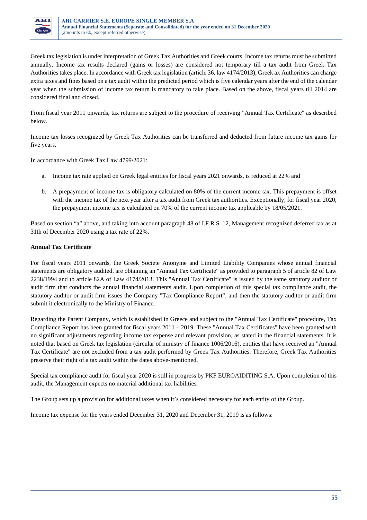

Greek tax legislation is under interpretation of Greek Tax Authorities and Greek courts. Income tax returns must be submitted annually. Income tax results declared (gains or losses) are considered not temporary till a tax audit from Greek Tax Authorities takes place. In accordance with Greek tax legislation (article 36, law 4174/2013), Greek ax Authorities can charge extra taxes and fines based on a tax audit within the predicted period which is five calendar years after the end of the calendar year when the submission of income tax return is mandatory to take place. Based on the above, fiscal years till 2014 are considered final and closed.

From fiscal year 2011 onwards, tax returns are subject to the procedure of receiving "Annual Tax Certificate" as described below.

Income tax losses recognized by Greek Tax Authorities can be transferred and deducted from future income tax gains for five years.

In accordance with Greek Tax Law 4799/2021:

- a. Income tax rate applied on Greek legal entities for fiscal years 2021 onwards, is reduced at 22% and
- b. A prepayment of income tax is obligatory calculated on 80% of the current income tax. This prepayment is offset with the income tax of the next year after a tax audit from Greek tax authorities. Exceptionally, for fiscal year 2020, the prepayment income tax is calculated on 70% of the current income tax applicable by 18/05/2021.

Based on section "a" above, and taking into account paragraph 48 of I.F.R.S. 12, Management recognized deferred tax as at 31th of December 2020 using a tax rate of 22%.

### **Annual Tax Certificate**

For fiscal years 2011 onwards, the Greek Societe Anonyme and Limited Liability Companies whose annual financial statements are obligatory audited, are obtaining an "Annual Tax Certificate" as provided to paragraph 5 of article 82 of Law 2238/1994 and to article 82A of Law 4174/2013. This "Annual Tax Certificate" is issued by the same statutory auditor or audit firm that conducts the annual financial statements audit. Upon completion of this special tax compliance audit, the statutory auditor or audit firm issues the Company "Tax Compliance Report", and then the statutory auditor or audit firm submit it electronically to the Ministry of Finance.

Regarding the Parent Company, which is established in Greece and subject to the "Annual Tax Certificate" procedure, Tax Compliance Report has been granted for fiscal years 2011 – 2019. These "Annual Tax Certificates" have been granted with no significant adjustments regarding income tax expense and relevant provision, as stated in the financial statements. It is noted that based on Greek tax legislation (circular of ministry of finance 1006/2016), entities that have received an "Annual Tax Certificate" are not excluded from a tax audit performed by Greek Tax Authorities. Therefore, Greek Tax Authorities preserve their right of a tax audit within the dates above-mentioned.

Special tax compliance audit for fiscal year 2020 is still in progress by PKF EUROAIDITING S.A. Upon completion of this audit, the Management expects no material additional tax liabilities.

The Group sets up a provision for additional taxes when it's considered necessary for each entity of the Group.

Income tax expense for the years ended December 31, 2020 and December 31, 2019 is as follows: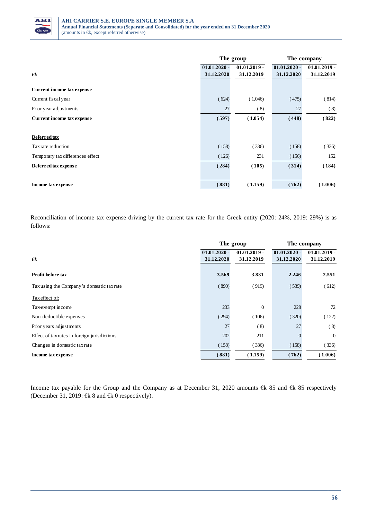

|                                  | The group                    |                              | The company                  |                              |
|----------------------------------|------------------------------|------------------------------|------------------------------|------------------------------|
| $\epsilon$                       | $01.01.2020 -$<br>31.12.2020 | $01.01.2019 -$<br>31.12.2019 | $01.01.2020 -$<br>31.12.2020 | $01.01.2019 -$<br>31.12.2019 |
| Current income tax expense       |                              |                              |                              |                              |
| Current fiscal year              | (624)                        | (1.046)                      | (475)                        | (814)                        |
| Prior year adjustments           | 27                           | (8)                          | 27                           | (8)                          |
| Current income tax expense       | (597)                        | (1.054)                      | (448)                        | (822)                        |
|                                  |                              |                              |                              |                              |
| Deferred tax                     |                              |                              |                              |                              |
| Tax rate reduction               | (158)                        | (336)                        | (158)                        | (336)                        |
| Temporary tax differences effect | (126)                        | 231                          | (156)                        | 152                          |
| Deferred tax expense             | (284)                        | (105)                        | (314)                        | (184)                        |
|                                  |                              |                              |                              |                              |
| Income tax expense               | (881)                        | (1.159)                      | (762)                        | (1.006)                      |

Reconciliation of income tax expense driving by the current tax rate for the Greek entity (2020: 24%, 2019: 29%) is as follows:

|                                              | The group                    |                              | The company                  |                              |
|----------------------------------------------|------------------------------|------------------------------|------------------------------|------------------------------|
| $\epsilon$                                   | $01.01.2020 -$<br>31.12.2020 | $01.01.2019 -$<br>31.12.2019 | $01.01.2020 -$<br>31.12.2020 | $01.01.2019 -$<br>31.12.2019 |
| Profit before tax                            | 3.569                        | 3.831                        | 2.246                        | 2.551                        |
| Tax using the Company's domestic tax rate    | (890)                        | (919)                        | (539)                        | (612)                        |
| Tax effect of:                               |                              |                              |                              |                              |
| Tax-exempt income                            | 233                          | $\overline{0}$               | 228                          | 72                           |
| Non-deductible expenses                      | (294)                        | (106)                        | (320)                        | (122)                        |
| Prior years adjustments                      | 27                           | (8)                          | 27                           | (8)                          |
| Effect of tax rates in foreign jurisdictions | 202                          | 211                          | $\theta$                     | $\overline{0}$               |
| Changes in domestic tax rate                 | (158)                        | (336)                        | (158)                        | (336)                        |
| Income tax expense                           | (881)                        | (1.159)                      | (762)                        | 1.006                        |

Income tax payable for the Group and the Company as at December 31, 2020 amounts €k 85 and €k 85 respetively (December 31, 2019:  $\in$ k 8 and  $\in$ k 0 respectively).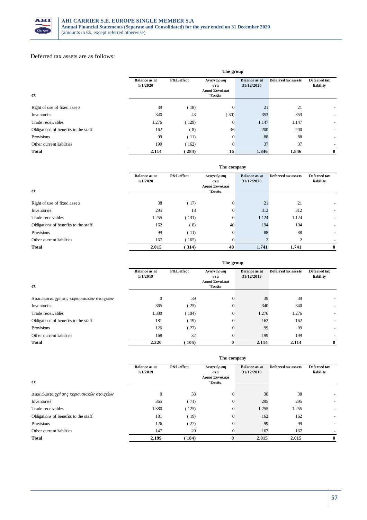

#### Deferred tax assets are as follows:

|                                      |                                  | The group  |                                              |                                    |                     |                           |
|--------------------------------------|----------------------------------|------------|----------------------------------------------|------------------------------------|---------------------|---------------------------|
| $\epsilon$                           | <b>Balance as at</b><br>1/1/2020 | P&L effect | Αναγνώριση<br>στα<br>Λοιπά Συνολικά<br>Έσοδα | <b>Balance</b> as at<br>31/12/2020 | Deferred tax assets | Deferred tax<br>liability |
|                                      | 39                               |            |                                              | 21                                 |                     |                           |
| Right of use of fixed assets         |                                  | (18)       | $\overline{0}$                               |                                    | 21                  |                           |
| Inventories                          | 340                              | 43         | 30)                                          | 353                                | 353                 | $\overline{\phantom{a}}$  |
| Trade receivables                    | 1.276                            | (129)      | $\Omega$                                     | 1.147                              | 1.147               |                           |
| Obligations of benefits to the staff | 162                              | (8)        | 46                                           | 200                                | 200                 |                           |
| Provisions                           | 99                               | (11)       | $\theta$                                     | 88                                 | 88                  | $\overline{\phantom{a}}$  |
| Other current liabilities            | 199                              | 162)       | $\theta$                                     | 37                                 | 37                  | $\overline{\phantom{a}}$  |
| <b>Total</b>                         | 2.114                            | (284)      | 16                                           | 1.846                              | 1.846               | $\bf{0}$                  |

|                                      | The company                      |            |                                     |                                    |                     |                           |
|--------------------------------------|----------------------------------|------------|-------------------------------------|------------------------------------|---------------------|---------------------------|
|                                      | <b>Balance as at</b><br>1/1/2020 | P&L effect | Αναγνώριση<br>στα<br>Λοιπά Συνολικά | <b>Balance as at</b><br>31/12/2020 | Deferred tax assets | Deferred tax<br>liability |
| $\epsilon$                           |                                  |            | Έσοδα                               |                                    |                     |                           |
| Right of use of fixed assets         | 38                               | (17)       | $\mathbf{0}$                        | 21                                 | 21                  | $\overline{\phantom{0}}$  |
| Inventories                          | 295                              | 18         | $\mathbf{0}$                        | 312                                | 312                 | $\overline{\phantom{a}}$  |
| Trade receivables                    | 1.255                            | (131)      | $\mathbf{0}$                        | 1.124                              | 1.124               | $\overline{\phantom{a}}$  |
| Obligations of benefits to the staff | 162                              | (8)        | 40                                  | 194                                | 194                 | $\overline{\phantom{a}}$  |
| Provisions                           | 99                               | (11)       | $\mathbf{0}$                        | 88                                 | 88                  | $\overline{\phantom{a}}$  |
| Other current liabilities            | 167                              | (165)      | $\overline{0}$                      |                                    | ↑                   |                           |
| <b>Total</b>                         | 2.015                            | (314)      | 40                                  | 1.741                              | 1.741               | $\bf{0}$                  |

|                                          | The group                        |            |                         |                                    |                     |                           |
|------------------------------------------|----------------------------------|------------|-------------------------|------------------------------------|---------------------|---------------------------|
|                                          | <b>Balance as at</b><br>1/1/2019 | P&L effect | Αναγνώριση<br>στα       | <b>Balance as at</b><br>31/12/2019 | Deferred tax assets | Deferred tax<br>liability |
| $\epsilon$                               |                                  |            | Λοιπά Συνολικά<br>Έσοδα |                                    |                     |                           |
| Δικαιώματα χρήσης περιουσιακών στοιχείων | $\theta$                         | 39         | $\theta$                | 39                                 | 39                  |                           |
| Inventories                              | 365                              | (25)       | $\overline{0}$          | 340                                | 340                 |                           |
| Trade receivables                        | 1.380                            | (104)      | $\theta$                | 1.276                              | 1.276               |                           |
| Obligations of benefits to the staff     | 181                              | (19)       | $\Omega$                | 162                                | 162                 |                           |
| Provisions                               | 126                              | (27)       | $\theta$                | 99                                 | 99                  |                           |
| Other current liabilities                | 168                              | 32         | $\theta$                | 199                                | 199                 | $\overline{\phantom{a}}$  |
| <b>Total</b>                             | 2.220                            | 105)       | $\bf{0}$                | 2.114                              | 2.114               | $\bf{0}$                  |

|                                          | The company                      |            |                                              |                                    |                     |                           |
|------------------------------------------|----------------------------------|------------|----------------------------------------------|------------------------------------|---------------------|---------------------------|
| €k                                       | <b>Balance as at</b><br>1/1/2019 | P&L effect | Αναγνώριση<br>στα<br>Λοιπά Συνολικά<br>Έσοδα | <b>Balance as at</b><br>31/12/2019 | Deferred tax assets | Deferred tax<br>liability |
|                                          |                                  |            |                                              |                                    |                     |                           |
| Δικαιώματα χρήσης περιουσιακών στοιχείων | $\Omega$                         | 38         | $\theta$                                     | 38                                 | 38                  |                           |
| Inventories                              | 365                              | (71)       | $\Omega$                                     | 295                                | 295                 |                           |
| Trade receivables                        | 1.380                            | (125)      | $\Omega$                                     | 1.255                              | 1.255               |                           |
| Obligations of benefits to the staff     | 181                              | (19)       | $\Omega$                                     | 162                                | 162                 |                           |
| Provisions                               | 126                              | (27)       | $\overline{0}$                               | 99                                 | 99                  |                           |
| Other current liabilities                | 147                              | 20         | $\mathbf{0}$                                 | 167                                | 167                 |                           |
| <b>Total</b>                             | 2.199                            | 184)       | $\bf{0}$                                     | 2.015                              | 2.015               | $\bf{0}$                  |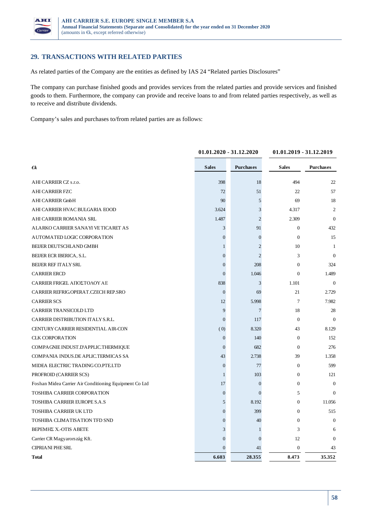

### **29. TRANSACTIONS WITH RELATED PARTIES**

As related parties of the Company are the entities as defined by IAS 24 "Related parties Disclosures"

The company can purchase finished goods and provides services from the related parties and provide services and finished goods to them. Furthermore, the company can provide and receive loans to and from related parties respectively, as well as to receive and distribute dividends.

Company's sales and purchases to/from related parties are as follows:

|                                                        | $01.01.2020 - 31.12.2020$ |                  | 01.01.2019 - 31.12.2019 |                  |
|--------------------------------------------------------|---------------------------|------------------|-------------------------|------------------|
| €k                                                     | <b>Sales</b>              | <b>Purchases</b> | <b>Sales</b>            | <b>Purchases</b> |
| AHI CARRIER CZ s.r.o.                                  | 398                       | 18               | 494                     | 22               |
| <b>AHI CARRIER FZC</b>                                 | 72                        | 51               | 22                      | 57               |
| <b>AHI CARRIER GmbH</b>                                | 90                        | 5                | 69                      | 18               |
| AHI CARRIER HVAC BULGARIA EOOD                         | 3.624                     | 3                | 4.317                   | $\overline{2}$   |
| AHI CARRIER ROMANIA SRL                                | 1.487                     | $\mathfrak{2}$   | 2.309                   | $\Omega$         |
| ALARKO CARRIER SANAYI VE TICARET AS                    | 3                         | 91               | $\boldsymbol{0}$        | 432              |
| AUTOMATED LOGIC CORPORATION                            | $\boldsymbol{0}$          | $\boldsymbol{0}$ | $\Omega$                | 15               |
| BEIJER DEUTSCHLAND GMBH                                | $\mathbf{1}$              | $\overline{2}$   | 10                      | 1                |
| BEIJER ECR IBERICA, S.L.                               | $\mathbf{0}$              | $\overline{c}$   | 3                       | $\Omega$         |
| <b>BEIJER REF ITALY SRL</b>                            | $\overline{0}$            | 208              | $\Omega$                | 324              |
| <b>CARRIER ERCD</b>                                    | $\mathbf{0}$              | 1.046            | $\Omega$                | 1.489            |
| CARRIER FRIGEL ΑΠΟΣΤΟΛΟΥ ΑΕ                            | 838                       | 3                | 1.101                   | $\overline{0}$   |
| CARRIER REFRIG OPERAT CZECH REP.SRO                    | $\mathbf{0}$              | 69               | 21                      | 2.729            |
| <b>CARRIER SCS</b>                                     | 12                        | 5.998            | $\tau$                  | 7.982            |
| <b>CARRIER TRANSICOLD LTD</b>                          | 9                         | 7                | 18                      | 28               |
| CARRIER DISTRIBUTION ITALY S.R.L.                      | $\overline{0}$            | 117              | $\mathbf{0}$            | $\overline{0}$   |
| CENTURY CARRIER RESIDENTIAL AIR-CON                    | (0)                       | 8.320            | 43                      | 8.129            |
| <b>CLK CORPORATION</b>                                 | $\boldsymbol{0}$          | 140              | $\overline{0}$          | 152              |
| COMPAGNIE INDUST.D'APPLIC.THERMIQUE                    | $\Omega$                  | 682              | $\Omega$                | 276              |
| COMPANIA INDUS.DE APLIC.TERMICAS SA                    | 43                        | 2.738            | 39                      | 1.358            |
| MIDEA ELECTRIC TRADING CO.PTE.LTD                      | $\boldsymbol{0}$          | 77               | $\Omega$                | 599              |
| PROFROID (CARRIER SCS)                                 | $\mathbf{1}$              | 103              | $\overline{0}$          | 121              |
| Foshan Midea Carrier Air Conditioning Equipment Co Ltd | 17                        | $\mathbf{0}$     | $\Omega$                | $\Omega$         |
| <b>TOSHIBA CARRIER CORPORATION</b>                     | $\boldsymbol{0}$          | $\mathbf{0}$     | 5                       | $\Omega$         |
| <b>TOSHIBA CARRIER EUROPE S.A.S</b>                    | 5                         | 8.192            | $\overline{0}$          | 11.056           |
| <b>TOSHIBA CARRIER UK LTD</b>                          | $\overline{0}$            | 399              | $\overline{0}$          | 515              |
| TOSHIBA CLIMATISATION TFD SND                          | $\mathbf{0}$              | 40               | $\overline{0}$          | $\overline{0}$   |
| <b>BEPEMHE X.-OTIS ABETE</b>                           | 3                         | 1                | 3                       | 6                |
| Carrier CR Magyarország Kft.                           | $\overline{0}$            | $\theta$         | 12                      | $\Omega$         |
| <b>CIPRIANI PHE SRL</b>                                | $\overline{0}$            | 41               | $\boldsymbol{0}$        | 43               |
| <b>Total</b>                                           | 6.603                     | 28.355           | 8.473                   | 35.352           |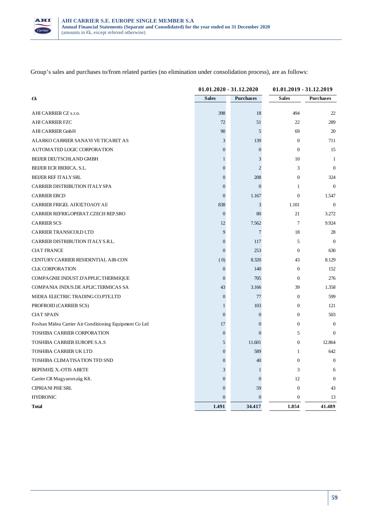

Group's sales and purchases to/from related parties (no elimination under consolidation process), are as follows:

|                                                        | $01.01.2020 - 31.12.2020$ |                  | 01.01.2019 - 31.12.2019 |                  |
|--------------------------------------------------------|---------------------------|------------------|-------------------------|------------------|
| $\boldsymbol{\epsilon}$                                | <b>Sales</b>              | <b>Purchases</b> | <b>Sales</b>            | <b>Purchases</b> |
| AHI CARRIER CZ s.r.o.                                  | 398                       | 18               | 494                     | 22               |
| <b>AHI CARRIER FZC</b>                                 | 72                        | 51               | 22                      | 289              |
| <b>AHI CARRIER GmbH</b>                                | 90                        | 5                | 69                      | 20               |
| ALARKO CARRIER SANAYI VE TICARET AS                    | 3                         | 139              | $\overline{0}$          | 711              |
| AUTOMATED LOGIC CORPORATION                            | 0                         | $\overline{0}$   | $\overline{0}$          | 15               |
| BEIJER DEUTSCHLAND GMBH                                | 1                         | 3                | 10                      | 1                |
| BEIJER ECR IBERICA, S.L.                               | $\theta$                  | 2                | 3                       | $\theta$         |
| <b>BEIJER REF ITALY SRL</b>                            | $\boldsymbol{0}$          | 208              | $\overline{0}$          | 324              |
| CARRIER DISTRIBUTION ITALY SPA                         | 0                         | $\Omega$         | 1                       | $\theta$         |
| <b>CARRIER ERCD</b>                                    | $\mathbf{0}$              | 1.167            | $\mathbf{0}$            | 1.547            |
| CARRIER FRIGEL ΑΠΟΣΤΟΛΟΥ ΑΕ                            | 838                       | 3                | 1.101                   | $\mathbf{0}$     |
| CARRIER REFRIG.OPERAT.CZECH REP.SRO                    | $\mathbf{0}$              | 80               | 21                      | 3.272            |
| <b>CARRIER SCS</b>                                     | 12                        | 7.562            | 7                       | 9.924            |
| CARRIER TRANSICOLD LTD                                 | 9                         | 7                | 18                      | 28               |
| CARRIER DISTRIBUTION ITALY S.R.L.                      | $\overline{0}$            | 117              | 5                       | $\theta$         |
| <b>CIAT FRANCE</b>                                     | $\overline{0}$            | 253              | $\overline{0}$          | 630              |
| CENTURY CARRIER RESIDENTIAL AIR-CON                    | (0)                       | 8.320            | 43                      | 8.129            |
| <b>CLK CORPORATION</b>                                 | $\boldsymbol{0}$          | 140              | $\overline{0}$          | 152              |
| COMPAGNIE INDUST.D'APPLIC.THERMIQUE                    | $\mathbf{0}$              | 705              | $\overline{0}$          | 276              |
| COMPANIA INDUS.DE APLIC.TERMICAS SA                    | 43                        | 3.166            | 39                      | 1.358            |
| MIDEA ELECTRIC TRADING CO.PTE.LTD                      | $\boldsymbol{0}$          | 77               | $\overline{0}$          | 599              |
| PROFROID (CARRIER SCS)                                 | 1                         | 103              | $\overline{0}$          | 121              |
| <b>CIAT SPAIN</b>                                      | $\overline{0}$            | $\overline{0}$   | $\mathbf{0}$            | 503              |
| Foshan Midea Carrier Air Conditioning Equipment Co Ltd | 17                        | $\Omega$         | $\overline{0}$          | $\theta$         |
| <b>TOSHIBA CARRIER CORPORATION</b>                     | $\mathbf{0}$              | $\Omega$         | 5                       | $\theta$         |
| TOSHIBA CARRIER EUROPE S.A.S                           | 5                         | 11.601           | $\overline{0}$          | 12.864           |
| TOSHIBA CARRIER UK LTD                                 | $\overline{0}$            | 589              | 1                       | 642              |
| TOSHIBA CLIMATISATION TFD SND                          | $\overline{0}$            | 40               | $\overline{0}$          | $\boldsymbol{0}$ |
| ΒΕΡΕΜΗΣ Χ.-ΟΤΙS ΑΒΕΤΕ                                  | 3                         |                  | 3                       | 6                |
| Carrier CR Magyarország Kft.                           | $\mathbf{0}$              | $\Omega$         | 12                      | $\boldsymbol{0}$ |
| CIPRIANI PHE SRL                                       | $\overline{0}$            | 59               | $\boldsymbol{0}$        | 43               |
| <b>HYDRONIC</b>                                        | $\mathbf{0}$              | $\mathbf{0}$     | $\boldsymbol{0}$        | 13               |
| <b>Total</b>                                           | 1.491                     | 34.417           | 1.854                   | 41.489           |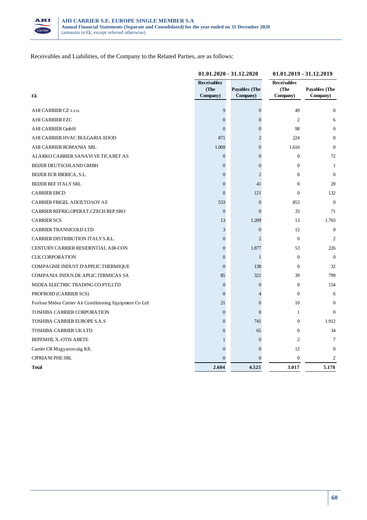

Receivables and Liabilities, of the Company to the Related Parties, are as follows:

|                                                        | 01.01.2020 - 31.12.2020                |                                  | 01.01.2019 - 31.12.2019                |                           |
|--------------------------------------------------------|----------------------------------------|----------------------------------|----------------------------------------|---------------------------|
| €k                                                     | <b>Receivables</b><br>(The<br>Company) | <b>Payables</b> (The<br>Company) | <b>Receivables</b><br>(The<br>Company) | Payables (The<br>Company) |
|                                                        |                                        |                                  |                                        |                           |
| AHI CARRIER CZ s.r.o.                                  | 9                                      | $\boldsymbol{0}$                 | 49                                     | $\boldsymbol{0}$          |
| <b>AHI CARRIER FZC</b>                                 | $\overline{0}$                         | $\theta$                         | $\overline{2}$                         | 6                         |
| <b>AHI CARRIER GmbH</b>                                | $\overline{0}$                         | $\theta$                         | 98                                     | $\Omega$                  |
| AHI CARRIER HVAC BULGARIA EOOD                         | 871                                    | $\overline{c}$                   | 224                                    | $\Omega$                  |
| AHI CARRIER ROMANIA SRL                                | 1.069                                  | $\theta$                         | 1.616                                  | $\Omega$                  |
| ALARKO CARRIER SANAYI VE TICARET AS                    | $\overline{0}$                         | $\Omega$                         | $\mathbf{0}$                           | 72                        |
| BEIJER DEUTSCHLAND GMBH                                | 0                                      | $\theta$                         | $\overline{0}$                         | 1                         |
| BEIJER ECR IBERICA, S.L.                               | $\overline{0}$                         | $\overline{c}$                   | $\mathbf{0}$                           | $\theta$                  |
| <b>BEIJER REF ITALY SRL</b>                            | $\boldsymbol{0}$                       | 41                               | $\overline{0}$                         | 20                        |
| <b>CARRIER ERCD</b>                                    | $\overline{0}$                         | 121                              | $\mathbf{0}$                           | 132                       |
| CARRIER FRIGEL ΑΠΟΣΤΟΛΟΥ ΑΕ                            | 533                                    | $\overline{0}$                   | 853                                    | $\overline{0}$            |
| CARRIER REFRIG.OPERAT.CZECH REP.SRO                    | $\overline{0}$                         | $\Omega$                         | 33                                     | 71                        |
| <b>CARRIER SCS</b>                                     | 13                                     | 1.209                            | 13                                     | 1.703                     |
| <b>CARRIER TRANSICOLD LTD</b>                          | 3                                      | $\theta$                         | 12                                     | $\overline{0}$            |
| CARRIER DISTRIBUTION ITALY S.R.L.                      | $\overline{0}$                         | $\overline{c}$                   | $\theta$                               | $\overline{2}$            |
| CENTURY CARRIER RESIDENTIAL AIR-CON                    | $\overline{0}$                         | 1.877                            | 53                                     | 226                       |
| <b>CLK CORPORATION</b>                                 | $\overline{0}$                         | 1                                | $\mathbf{0}$                           | $\Omega$                  |
| COMPAGNIE INDUST.D'APPLIC.THERMIQUE                    | $\overline{0}$                         | 138                              | $\theta$                               | 32                        |
| COMPANIA INDUS.DE APLIC.TERMICAS SA                    | 85                                     | 321                              | 39                                     | 799                       |
| MIDEA ELECTRIC TRADING CO.PTE.LTD                      | $\overline{0}$                         | $\overline{0}$                   | $\overline{0}$                         | 154                       |
| PROFROID (CARRIER SCS)                                 | $\boldsymbol{0}$                       | 4                                | $\mathbf{0}$                           | 6                         |
| Foshan Midea Carrier Air Conditioning Equipment Co Ltd | 21                                     | $\theta$                         | 10                                     | $\Omega$                  |
| TOSHIBA CARRIER CORPORATION                            | $\overline{0}$                         | $\Omega$                         | 1                                      | $\Omega$                  |
| TOSHIBA CARRIER EUROPE S.A.S                           | $\overline{0}$                         | 741                              | $\mathbf{0}$                           | 1.912                     |
| <b>TOSHIBA CARRIER UK LTD</b>                          | $\overline{0}$                         | 65                               | $\mathbf{0}$                           | 34                        |
| <b>BEPEMHE X.-OTIS ABETE</b>                           | 1                                      | $\overline{0}$                   | $\overline{2}$                         | 7                         |
| Carrier CR Magyarország Kft.                           | $\overline{0}$                         | $\Omega$                         | 12                                     | $\theta$                  |
| <b>CIPRIANI PHE SRL</b>                                | $\Omega$                               | $\Omega$                         | $\theta$                               | $\overline{c}$            |
| Total                                                  | 2.604                                  | 4.525                            | 3.017                                  | 5.178                     |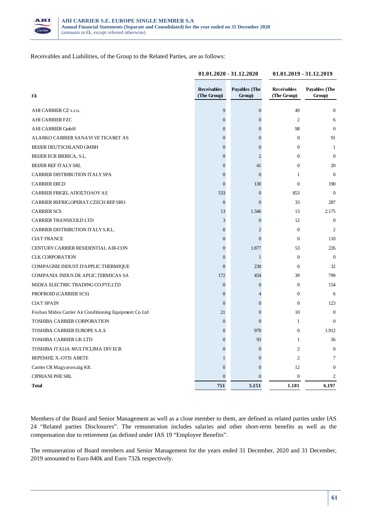

Receivables and Liabilities, of the Group to the Related Parties, are as follows:

|                                                        | $01.01.2020 - 31.12.2020$         |                         | 01.01.2019 - 31.12.2019           |                                |
|--------------------------------------------------------|-----------------------------------|-------------------------|-----------------------------------|--------------------------------|
| $\epsilon$                                             | <b>Receivables</b><br>(The Group) | Payables (The<br>Group) | <b>Receivables</b><br>(The Group) | <b>Payables</b> (The<br>Group) |
| AHI CARRIER CZ s.r.o.                                  | 9                                 | $\boldsymbol{0}$        | 49                                | $\Omega$                       |
| <b>AHI CARRIER FZC</b>                                 | $\boldsymbol{0}$                  | $\boldsymbol{0}$        | 2                                 | 6                              |
| <b>AHI CARRIER GmbH</b>                                | $\boldsymbol{0}$                  | $\overline{0}$          | 98                                | $\theta$                       |
| ALARKO CARRIER SANAYI VE TICARET AS                    | $\boldsymbol{0}$                  | $\overline{0}$          | $\overline{0}$                    | 91                             |
| BEIJER DEUTSCHLAND GMBH                                | $\boldsymbol{0}$                  | $\overline{0}$          | $\overline{0}$                    | 1                              |
| BEIJER ECR IBERICA, S.L.                               | $\boldsymbol{0}$                  | $\overline{2}$          | $\overline{0}$                    | $\overline{0}$                 |
| <b>BEIJER REF ITALY SRL</b>                            | $\overline{0}$                    | 41                      | $\overline{0}$                    | 20                             |
| CARRIER DISTRIBUTION ITALY SPA                         | $\boldsymbol{0}$                  | $\theta$                | $\mathbf{1}$                      | $\Omega$                       |
| <b>CARRIER ERCD</b>                                    | $\overline{0}$                    | 130                     | $\overline{0}$                    | 190                            |
| CARRIER FRIGEL ΑΠΟΣΤΟΛΟΥ ΑΕ                            | 533                               | $\boldsymbol{0}$        | 853                               | $\boldsymbol{0}$               |
| CARRIER REFRIG.OPERAT.CZECH REP.SRO                    | $\boldsymbol{0}$                  | $\Omega$                | 33                                | 287                            |
| <b>CARRIER SCS</b>                                     | 13                                | 1.346                   | 13                                | 2.175                          |
| CARRIER TRANSICOLD LTD                                 | 3                                 | $\overline{0}$          | 12                                | $\overline{0}$                 |
| CARRIER DISTRIBUTION ITALY S.R.L.                      | $\overline{0}$                    | $\overline{c}$          | $\overline{0}$                    | $\overline{2}$                 |
| <b>CIAT FRANCE</b>                                     | $\boldsymbol{0}$                  | $\Omega$                | $\boldsymbol{0}$                  | 110                            |
| CENTURY CARRIER RESIDENTIAL AIR-CON                    | $\boldsymbol{0}$                  | 1.877                   | 53                                | 226                            |
| <b>CLK CORPORATION</b>                                 | $\boldsymbol{0}$                  | 1                       | $\overline{0}$                    | $\boldsymbol{0}$               |
| COMPAGNIE INDUST.D'APPLIC.THERMIQUE                    | $\overline{0}$                    | 230                     | $\boldsymbol{0}$                  | 32                             |
| COMPANIA INDUS.DE APLIC.TERMICAS SA                    | 172                               | 454                     | 39                                | 799                            |
| MIDEA ELECTRIC TRADING CO.PTE.LTD                      | $\boldsymbol{0}$                  | $\overline{0}$          | $\overline{0}$                    | 154                            |
| PROFROID (CARRIER SCS)                                 | $\boldsymbol{0}$                  | 4                       | $\overline{0}$                    | 6                              |
| <b>CIAT SPAIN</b>                                      | $\overline{0}$                    | $\theta$                | $\overline{0}$                    | 123                            |
| Foshan Midea Carrier Air Conditioning Equipment Co Ltd | 21                                | $\overline{0}$          | 10                                | $\boldsymbol{0}$               |
| TOSHIBA CARRIER CORPORATION                            | $\boldsymbol{0}$                  | $\overline{0}$          | $\mathbf{1}$                      | 0                              |
| TOSHIBA CARRIER EUROPE S.A.S                           | $\boldsymbol{0}$                  | 970                     | $\overline{0}$                    | 1.912                          |
| <b>TOSHIBA CARRIER UK LTD</b>                          | $\boldsymbol{0}$                  | 93                      | $\mathbf{1}$                      | 56                             |
| TOSHIBA ITALIA MULTICLIMA DIVECR                       | $\overline{0}$                    | $\overline{0}$          | $\overline{c}$                    | $\overline{0}$                 |
| <b>BEPEMHE X.-OTIS ABETE</b>                           | 1                                 | $\overline{0}$          | $\overline{c}$                    | 7                              |
| Carrier CR Magyarország Kft.                           | $\overline{0}$                    | $\Omega$                | 12                                | $\theta$                       |
| <b>CIPRIANI PHE SRL</b>                                | $\mathbf{0}$                      | $\Omega$                | $\boldsymbol{0}$                  | 2                              |
| <b>Total</b>                                           | 751                               | 5.151                   | 1.181                             | 6.197                          |

Members of the Board and Senior Management as well as a close member to them, are defined as related parties under IAS 24 "Related parties Disclosures". The remuneration includes salaries and other short-term benefits as well as the compensation due to retirement (as defined under IAS 19 "Employee Benefits".

The remuneration of Board members and Senior Management for the years ended 31 December, 2020 and 31 December, 2019 amounted to Euro 840k and Euro 732k respectively.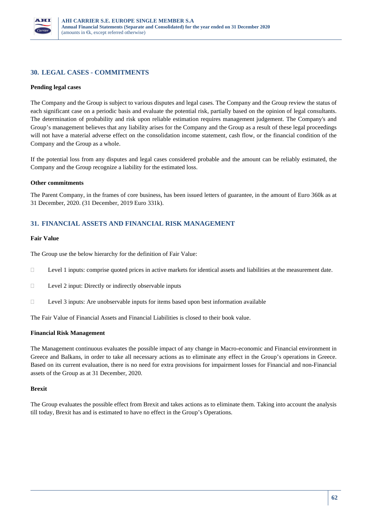

# **30. LEGAL CASES - COMMITMENTS**

#### **Pending legal cases**

The Company and the Group is subject to various disputes and legal cases. The Company and the Group review the status of each significant case on a periodic basis and evaluate the potential risk, partially based on the opinion of legal consultants. The determination of probability and risk upon reliable estimation requires management judgement. The Company's and Group's management believes that any liability arises for the Company and the Group as a result of these legal proceedings will not have a material adverse effect on the consolidation income statement, cash flow, or the financial condition of the Company and the Group as a whole.

If the potential loss from any disputes and legal cases considered probable and the amount can be reliably estimated, the Company and the Group recognize a liability for the estimated loss.

#### **Other commitments**

The Parent Company, in the frames of core business, has been issued letters of guarantee, in the amount of Euro 360k as at 31 December, 2020. (31 December, 2019 Euro 331k).

### **31. FINANCIAL ASSETS AND FINANCIAL RISK MANAGEMENT**

#### **Fair Value**

The Group use the below hierarchy for the definition of Fair Value:

Level 1 inputs: comprise quoted prices in active markets for identical assets and liabilities at the measurement date.

Level 2 input: Directly or indirectly observable inputs

Level 3 inputs: Are unobservable inputs for items based upon best information available

The Fair Value of Financial Assets and Financial Liabilities is closed to their book value.

#### **Financial Risk Management**

The Management continuous evaluates the possible impact of any change in Macro-economic and Financial environment in Greece and Balkans, in order to take all necessary actions as to eliminate any effect in the Group's operations in Greece. Based on its current evaluation, there is no need for extra provisions for impairment losses for Financial and non-Financial assets of the Group as at 31 December, 2020.

#### **Brexit**

The Group evaluates the possible effect from Brexit and takes actions as to eliminate them. Taking into account the analysis till today, Brexit has and is estimated to have no effect in the Group's Operations.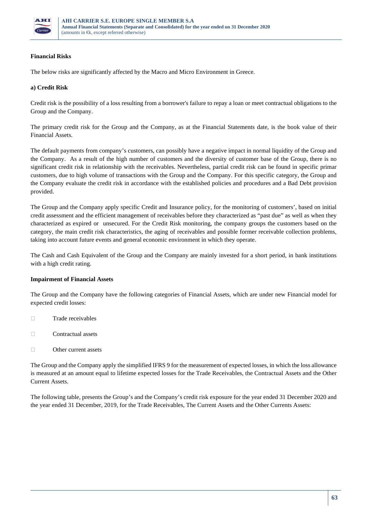

### **Financial Risks**

The below risks are significantly affected by the Macro and Micro Environment in Greece.

#### **a) Credit Risk**

Credit risk is the possibility of a loss resulting from a borrower's failure to repay a loan or meet contractual obligations to the Group and the Company.

The primary credit risk for the Group and the Company, as at the Financial Statements date, is the book value of their Financial Assets.

The default payments from company's customers, can possibly have a negative impact in normal liquidity of the Group and the Company. As a result of the high number of customers and the diversity of customer base of the Group, there is no significant credit risk in relationship with the receivables. Nevertheless, partial credit risk can be found in specific primar customers, due to high volume of transactions with the Group and the Company. For this specific category, the Group and the Company evaluate the credit risk in accordance with the established policies and procedures and a Bad Debt provision provided.

The Group and the Company apply specific Credit and Insurance policy, for the monitoring of customers', based on initial credit assessment and the efficient management of receivables before they characterized as "past due" as well as when they characterized as expired or unsecured. For the Credit Risk monitoring, the company groups the customers based on the category, the main credit risk characteristics, the aging of receivables and possible former receivable collection problems, taking into account future events and general economic environment in which they operate.

The Cash and Cash Equivalent of the Group and the Company are mainly invested for a short period, in bank institutions with a high credit rating.

#### **Impairment of Financial Assets**

The Group and the Company have the following categories of Financial Assets, which are under new Financial model for expected credit losses:

- □ Trade receivables
- Contractual assets
- Other current assets

The Group and the Company apply the simplified IFRS 9 for the measurement of expected losses, in which the loss allowance is measured at an amount equal to lifetime expected losses for the Trade Receivables, the Contractual Assets and the Other Current Assets.

The following table, presents the Group's and the Company's credit risk exposure for the year ended 31 December 2020 and the year ended 31 December, 2019, for the Trade Receivables, The Current Assets and the Other Currents Assets: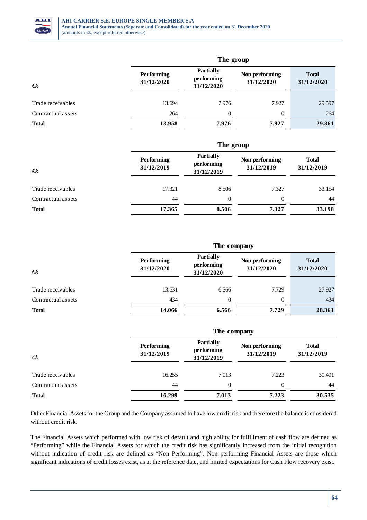

|                    | The group                       |                                              |                              |                            |  |  |  |
|--------------------|---------------------------------|----------------------------------------------|------------------------------|----------------------------|--|--|--|
| $\epsilon$         | <b>Performing</b><br>31/12/2020 | <b>Partially</b><br>performing<br>31/12/2020 | Non performing<br>31/12/2020 | <b>Total</b><br>31/12/2020 |  |  |  |
| Trade receivables  | 13.694                          | 7.976                                        | 7.927                        | 29.597                     |  |  |  |
| Contractual assets | 264                             | $\theta$                                     | $\Omega$                     | 264                        |  |  |  |
| <b>Total</b>       | 13.958                          | 7.976                                        | 7.927                        | 29.861                     |  |  |  |

| $\epsilon$         |                          | The group                                    |                              |                            |  |  |
|--------------------|--------------------------|----------------------------------------------|------------------------------|----------------------------|--|--|
|                    | Performing<br>31/12/2019 | <b>Partially</b><br>performing<br>31/12/2019 | Non performing<br>31/12/2019 | <b>Total</b><br>31/12/2019 |  |  |
| Trade receivables  | 17.321                   | 8.506                                        | 7.327                        | 33.154                     |  |  |
| Contractual assets | 44                       | $\theta$                                     | $\theta$                     | 44                         |  |  |
| <b>Total</b>       | 17.365                   | 8.506                                        | 7.327                        | 33.198                     |  |  |

|                    |                                                                          | The company |                                                            |        |  |  |  |
|--------------------|--------------------------------------------------------------------------|-------------|------------------------------------------------------------|--------|--|--|--|
| $\epsilon$         | <b>Partially</b><br>Performing<br>performing<br>31/12/2020<br>31/12/2020 |             | Non performing<br><b>Total</b><br>31/12/2020<br>31/12/2020 |        |  |  |  |
| Trade receivables  | 13.631                                                                   | 6.566       | 7.729                                                      | 27.927 |  |  |  |
| Contractual assets | 434                                                                      | $\theta$    | $\theta$                                                   | 434    |  |  |  |
| <b>Total</b>       | 14.066                                                                   | 6.566       | 7.729                                                      | 28.361 |  |  |  |

| $\epsilon$         |                          | The company                                  |                              |                            |  |  |
|--------------------|--------------------------|----------------------------------------------|------------------------------|----------------------------|--|--|
|                    | Performing<br>31/12/2019 | <b>Partially</b><br>performing<br>31/12/2019 | Non performing<br>31/12/2019 | <b>Total</b><br>31/12/2019 |  |  |
| Trade receivables  | 16.255                   | 7.013                                        | 7.223                        | 30.491                     |  |  |
| Contractual assets | 44                       | $\theta$                                     | $\Omega$                     | 44                         |  |  |
| <b>Total</b>       | 16.299                   | 7.013                                        | 7.223                        | 30.535                     |  |  |

Other Financial Assets for the Group and the Company assumed to have low credit risk and therefore the balance is considered without credit risk.

The Financial Assets which performed with low risk of default and high ability for fulfillment of cash flow are defined as "Performing" while the Financial Assets for which the credit risk has significantly increased from the initial recognition without indication of credit risk are defined as "Non Performing". Non performing Financial Assets are those which significant indications of credit losses exist, as at the reference date, and limited expectations for Cash Flow recovery exist.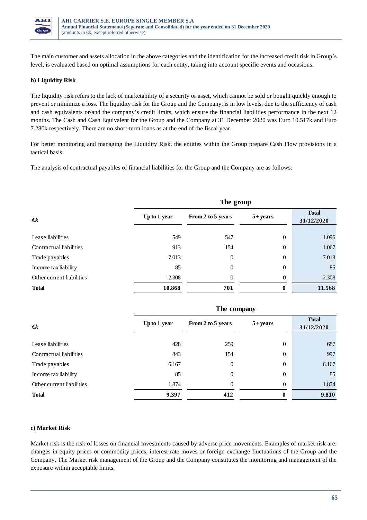

The main customer and assets allocation in the above categories and the identification for the increased credit risk in Group's level, is evaluated based on optimal assumptions for each entity, taking into account specific events and occasions.

#### **b) Liquidity Risk**

The liquidity risk refers to the lack of marketability of a security or asset, which cannot be sold or bought quickly enough to prevent or minimize a loss. The liquidity risk for the Group and the Company, is in low levels, due to the sufficiency of cash and cash equivalents or/and the company's credit limits, which ensure the financial liabilities performance in the next 12 months. The Cash and Cash Equivalent for the Group and the Company at 31 December 2020 was Euro 10.517k and Euro 7.280k respectively. There are no short-term loans as at the end of the fiscal year.

For better monitoring and managing the Liquidity Risk, the entities within the Group prepare Cash Flow provisions in a tactical basis.

The analysis of contractual payables of financial liabilities for the Group and the Company are as follows:

|                           | The group    |                   |             |                            |  |
|---------------------------|--------------|-------------------|-------------|----------------------------|--|
| $\bm{\epsilon}$           | Up to 1 year | From 2 to 5 years | $5 + years$ | <b>Total</b><br>31/12/2020 |  |
| Lease liabilities         | 549          | 547               | $\theta$    | 1.096                      |  |
| Contractual liabilities   | 913          | 154               | $\theta$    | 1.067                      |  |
| Trade payables            | 7.013        | $\theta$          | $\theta$    | 7.013                      |  |
| Income tax liability      | 85           | $\theta$          | $\theta$    | 85                         |  |
| Other current liabilities | 2.308        | $\Omega$          | $\theta$    | 2.308                      |  |
| <b>Total</b>              | 10.868       | 701               | $\bf{0}$    | 11.568                     |  |

|                           | The company  |                   |             |                            |  |
|---------------------------|--------------|-------------------|-------------|----------------------------|--|
| $\epsilon$                | Up to 1 year | From 2 to 5 years | $5 + years$ | <b>Total</b><br>31/12/2020 |  |
| Lease liabilities         | 428          | 259               | $\theta$    | 687                        |  |
| Contractual liabilities   | 843          | 154               | $\theta$    | 997                        |  |
| Trade payables            | 6.167        | 0                 | $\theta$    | 6.167                      |  |
| Income tax liability      | 85           | $\overline{0}$    | $\theta$    | 85                         |  |
| Other current liabilities | 1.874        | $\Omega$          | $\theta$    | 1.874                      |  |
| <b>Total</b>              | 9.397        | 412               | $\bf{0}$    | 9.810                      |  |

#### **c) Market Risk**

Market risk is the risk of losses on financial investments caused by adverse price movements. Examples of market risk are: changes in equity prices or commodity prices, interest rate moves or foreign exchange fluctuations of the Group and the Company. The Market risk management of the Group and the Company constitutes the monitoring and management of the exposure within acceptable limits.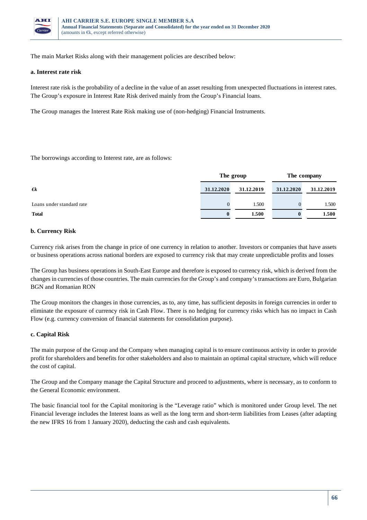

The main Market Risks along with their management policies are described below:

#### **a. Interest rate risk**

Interest rate risk is the probability of a decline in the value of an asset resulting from unexpected fluctuations in interest rates. The Group's exposure in Interest Rate Risk derived mainly from the Group's Financial loans.

The Group manages the Interest Rate Risk making use of (non-hedging) Financial Instruments.

The borrowings according to Interest rate, are as follows:

|                           | The group  |            | The company |            |
|---------------------------|------------|------------|-------------|------------|
| $\epsilon$                | 31.12.2020 | 31.12.2019 | 31.12.2020  | 31.12.2019 |
| Loans under standard rate |            | 1.500      |             | 1.500      |
| <b>Total</b>              |            | 1.500      | $\bf{0}$    | 1.500      |

#### **b. Currency Risk**

Currency risk arises from the change in price of one currency in relation to another. Investors or companies that have assets or business operations across national borders are exposed to currency risk that may create unpredictable profits and losses

The Group has business operations in South-East Europe and therefore is exposed to currency risk, which is derived from the changes in currencies of those countries. The main currencies for the Group's and company's transactions are Euro, Bulgarian BGN and Romanian RON

The Group monitors the changes in those currencies, as to, any time, has sufficient deposits in foreign currencies in order to eliminate the exposure of currency risk in Cash Flow. There is no hedging for currency risks which has no impact in Cash Flow (e.g. currency conversion of financial statements for consolidation purpose).

#### **c. Capital Risk**

The main purpose of the Group and the Company when managing capital is to ensure continuous activity in order to provide profit for shareholders and benefits for other stakeholders and also to maintain an optimal capital structure, which will reduce the cost of capital.

The Group and the Company manage the Capital Structure and proceed to adjustments, where is necessary, as to conform to the General Economic environment.

The basic financial tool for the Capital monitoring is the "Leverage ratio" which is monitored under Group level. The net Financial leverage includes the Interest loans as well as the long term and short-term liabilities from Leases (after adapting the new IFRS 16 from 1 January 2020), deducting the cash and cash equivalents.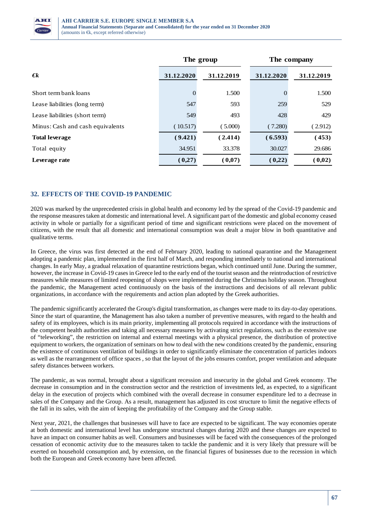

|                                  |            | The group  | The company |            |  |
|----------------------------------|------------|------------|-------------|------------|--|
| $\boldsymbol{\epsilon}$          | 31.12.2020 | 31.12.2019 | 31.12.2020  | 31.12.2019 |  |
| Short term bank loans            | $\Omega$   | 1.500      |             | 1.500      |  |
| Lease liabilities (long term)    | 547        | 593        | 259         | 529        |  |
| Lease liabilities (short term)   | 549        | 493        | 428         | 429        |  |
| Minus: Cash and cash equivalents | (10.517)   | (5.000)    | (7.280)     | (2.912)    |  |
| <b>Total leverage</b>            | (9.421)    | (2.414)    | (6.593)     | (453)      |  |
| Total equity                     | 34.951     | 33.378     | 30.027      | 29.686     |  |
| Leverage rate                    | (0,27)     | (0,07)     | (0,22)      | (0,02)     |  |

# **32. EFFECTS OF THE COVID-19 PANDEMIC**

2020 was marked by the unprecedented crisis in global health and economy led by the spread of the Covid-19 pandemic and the response measures taken at domestic and international level. A significant part of the domestic and global economy ceased activity in whole or partially for a significant period of time and significant restrictions were placed on the movement of citizens, with the result that all domestic and international consumption was dealt a major blow in both quantitative and qualitative terms.

In Greece, the virus was first detected at the end of February 2020, leading to national quarantine and the Management adopting a pandemic plan, implemented in the first half of March, and responding immediately to national and international changes. In early May, a gradual relaxation of quarantine restrictions began, which continued until June. During the summer, however, the increase in Covid-19 cases in Greece led to the early end of the tourist season and the reintroduction of restrictive measures while measures of limited reopening of shops were implemented during the Christmas holiday season. Throughout the pandemic, the Management acted continuously on the basis of the instructions and decisions of all relevant public organizations, in accordance with the requirements and action plan adopted by the Greek authorities.

The pandemic significantly accelerated the Group's digital transformation, as changes were made to its day-to-day operations. Since the start of quarantine, the Management has also taken a number of preventive measures, with regard to the health and safety of its employees, which is its main priority, implementing all protocols required in accordance with the instructions of the competent health authorities and taking all necessary measures by activating strict regulations, such as the extensive use of "teleworking", the restriction on internal and external meetings with a physical presence, the distribution of protective equipment to workers, the organization of seminars on how to deal with the new conditions created by the pandemic, ensuring the existence of continuous ventilation of buildings in order to significantly eliminate the concentration of particles indoors as well as the rearrangement of office spaces , so that the layout of the jobs ensures comfort, proper ventilation and adequate safety distances between workers.

The pandemic, as was normal, brought about a significant recession and insecurity in the global and Greek economy. The decrease in consumption and in the construction sector and the restriction of investments led, as expected, to a significant delay in the execution of projects which combined with the overall decrease in consumer expenditure led to a decrease in sales of the Company and the Group. As a result, management has adjusted its cost structure to limit the negative effects of the fall in its sales, with the aim of keeping the profitability of the Company and the Group stable.

Next year, 2021, the challenges that businesses will have to face are expected to be significant. The way economies operate at both domestic and international level has undergone structural changes during 2020 and these changes are expected to have an impact on consumer habits as well. Consumers and businesses will be faced with the consequences of the prolonged cessation of economic activity due to the measures taken to tackle the pandemic and it is very likely that pressure will be exerted on household consumption and, by extension, on the financial figures of businesses due to the recession in which both the European and Greek economy have been affected.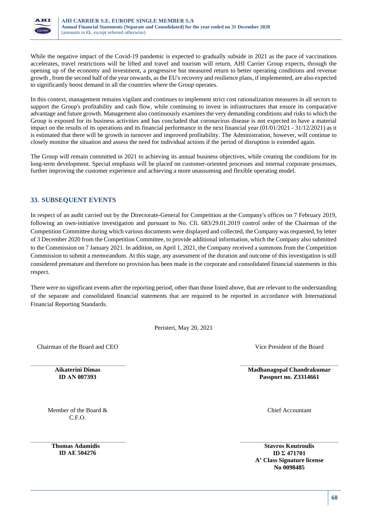

While the negative impact of the Covid-19 pandemic is expected to gradually subside in 2021 as the pace of vaccinations accelerates, travel restrictions will be lifted and travel and tourism will return, AHI Carrier Group expects, through the opening up of the economy and investment, a progressive but measured return to better operating conditions and revenue growth , from the second half of the year onwards, as the EU's recovery and resilience plans, if implemented, are also expected to significantly boost demand in all the countries where the Group operates.

In this context, management remains vigilant and continues to implement strict cost rationalization measures in all sectors to support the Group's profitability and cash flow, while continuing to invest in infrastructures that ensure its comparative advantage and future growth. Management also continuously examines the very demanding conditions and risks to which the Group is exposed for its business activities and has concluded that coronavirus disease is not expected to have a material impact on the results of its operations and its financial performance in the next financial year (01/01/2021 - 31/12/2021) as it is estimated that there will be growth in turnover and improved profitability. The Administration, however, will continue to closely monitor the situation and assess the need for individual actions if the period of disruption is extended again.

The Group will remain committed in 2021 to achieving its annual business objectives, while creating the conditions for its long-term development. Special emphasis will be placed on customer-oriented processes and internal corporate processes, further improving the customer experience and achieving a more unassuming and flexible operating model.

## **33. SUBSEQUENT EVENTS**

In respect of an audit carried out by the Directorate-General for Competition at the Company's offices on 7 February 2019, following an own-initiative investigation and pursuant to No. Cfi. 683/29.01.2019 control order of the Chairman of the Competition Committee during which various documents were displayed and collected, the Company was requested, by letter of 3 December 2020 from the Competition Committee, to provide additional information, which the Company also submitted to the Commission on 7 January 2021. In addition, on April 1, 2021, the Company received a summons from the Competition Commission to submit a memorandum. At this stage, any assessment of the duration and outcome of this investigation is still considered premature and therefore no provision has been made in the corporate and consolidated financial statements in this respect.

There were no significant events after the reporting period, other than those listed above, that are relevant to the understanding of the separate and consolidated financial statements that are required to be reported in accordance with International Financial Reporting Standards.

Peristeri, May 20, 2021

Chairman of the Board and CEO Vice President of the Board

**Aikaterini Dimas ID ΑΝ 007393** 

**Madhanagopal Chandrakumar Passport no. Ζ3314661** 

Chief Accountant

Member of the Board & C.F.O.

**Thomas Adamidis ID ΑΕ 504276** 

**Stavros Koutroulis ID Σ 471701 A' Class Signature license** 

**No 0098485**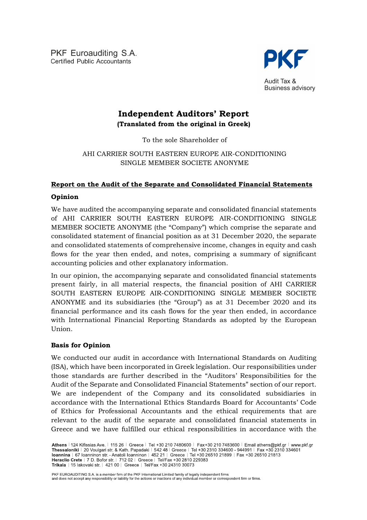PKF Euroauditing S.A. Certified Public Accountants



Audit Tax & **Business advisory** 

# **Independent Auditors' Report (Translated from the original in Greek)**

To the sole Shareholder of

# ΑΗΙ CARRIER SOUTH EASTERN EUROPE AIR-CONDITIONING SINGLE MEMBER SOCIETE ANONYME

# **Report on the Audit of the Separate and Consolidated Financial Statements**

# **Opinion**

We have audited the accompanying separate and consolidated financial statements of ΑΗΙ CARRIER SOUTH EASTERN EUROPE AIR-CONDITIONING SINGLE MEMBER SOCIETE ANONYME (the "Company") which comprise the separate and consolidated statement of financial position as at 31 December 2020, the separate and consolidated statements of comprehensive income, changes in equity and cash flows for the year then ended, and notes, comprising a summary of significant accounting policies and other explanatory information.

In our opinion, the accompanying separate and consolidated financial statements present fairly, in all material respects, the financial position of ΑΗΙ CARRIER SOUTH EASTERN EUROPE AIR-CONDITIONING SINGLE MEMBER SOCIETE ANONYME and its subsidiaries (the "Group") as at 31 December 2020 and its financial performance and its cash flows for the year then ended, in accordance with International Financial Reporting Standards as adopted by the European Union.

# **Basis for Opinion**

We conducted our audit in accordance with International Standards on Auditing (ISA), which have been incorporated in Greek legislation. Our responsibilities under those standards are further described in the "Auditors' Responsibilities for the Audit of the Separate and Consolidated Financial Statements" section of our report. We are independent of the Company and its consolidated subsidiaries in accordance with the International Ethics Standards Board for Accountants' Code of Ethics for Professional Accountants and the ethical requirements that are relevant to the audit of the separate and consolidated financial statements in Greece and we have fulfilled our ethical responsibilities in accordance with the

PKF EUROAUDITING S.A. is a member firm of the PKF International Limited family of legally independent firms<br>and does not accept any responsibility or liability for the actions or inactions of any individual member or corre

Athens | 124 Kifissias Ave. | 115 26 | Greece | Tel +30 210 7480600 | Fax+30 210 7483600 | Email athens@pkf.gr | www.pkf.gr Thessaloniki | 20 Voulgari str. & Kath. Papadaki | 542 48 | Greece | Tel +30 2310 334600 - 944991 | Fax +30 2310 334601<br>Ioannina | 67 Ioanninon str. - Anatoli Ioanninon | 452 21 | Greece | Tel +30 26510 21899 | Fax +30 265 **Trikala** | 15 lakovaki str. | 421 00 | Greece | Tel/Fax +30 24310 30073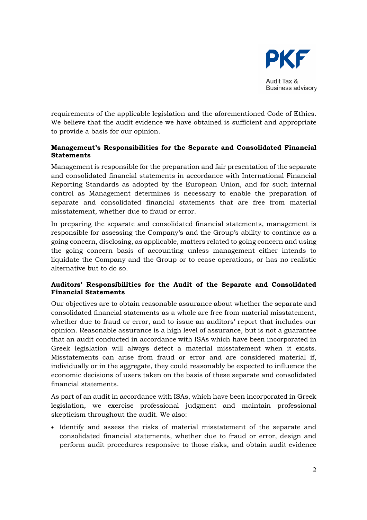

requirements of the applicable legislation and the aforementioned Code of Ethics. We believe that the audit evidence we have obtained is sufficient and appropriate to provide a basis for our opinion.

# **Management's Responsibilities for the Separate and Consolidated Financial Statements**

Management is responsible for the preparation and fair presentation of the separate and consolidated financial statements in accordance with International Financial Reporting Standards as adopted by the European Union, and for such internal control as Management determines is necessary to enable the preparation of separate and consolidated financial statements that are free from material misstatement, whether due to fraud or error.

In preparing the separate and consolidated financial statements, management is responsible for assessing the Company's and the Group's ability to continue as a going concern, disclosing, as applicable, matters related to going concern and using the going concern basis of accounting unless management either intends to liquidate the Company and the Group or to cease operations, or has no realistic alternative but to do so.

# **Auditors' Responsibilities for the Audit of the Separate and Consolidated Financial Statements**

Our objectives are to obtain reasonable assurance about whether the separate and consolidated financial statements as a whole are free from material misstatement, whether due to fraud or error, and to issue an auditors' report that includes our opinion. Reasonable assurance is a high level of assurance, but is not a guarantee that an audit conducted in accordance with ISAs which have been incorporated in Greek legislation will always detect a material misstatement when it exists. Misstatements can arise from fraud or error and are considered material if, individually or in the aggregate, they could reasonably be expected to influence the economic decisions of users taken on the basis of these separate and consolidated financial statements.

As part of an audit in accordance with ISAs, which have been incorporated in Greek legislation, we exercise professional judgment and maintain professional skepticism throughout the audit. We also:

 Identify and assess the risks of material misstatement of the separate and consolidated financial statements, whether due to fraud or error, design and perform audit procedures responsive to those risks, and obtain audit evidence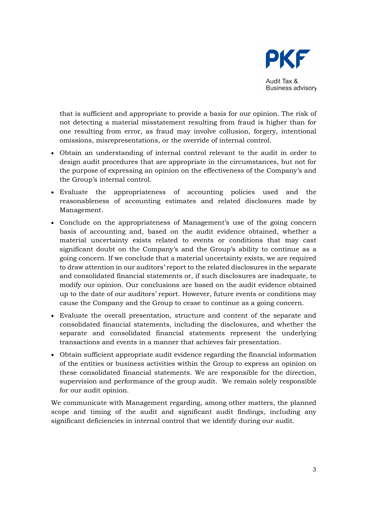

that is sufficient and appropriate to provide a basis for our opinion. The risk of not detecting a material misstatement resulting from fraud is higher than for one resulting from error, as fraud may involve collusion, forgery, intentional omissions, misrepresentations, or the override of internal control.

- Obtain an understanding of internal control relevant to the audit in order to design audit procedures that are appropriate in the circumstances, but not for the purpose of expressing an opinion on the effectiveness of the Company's and the Group's internal control.
- Evaluate the appropriateness of accounting policies used and the reasonableness of accounting estimates and related disclosures made by Management.
- Conclude on the appropriateness of Management's use of the going concern basis of accounting and, based on the audit evidence obtained, whether a material uncertainty exists related to events or conditions that may cast significant doubt on the Company's and the Group's ability to continue as a going concern. If we conclude that a material uncertainty exists, we are required to draw attention in our auditors' report to the related disclosures in the separate and consolidated financial statements or, if such disclosures are inadequate, to modify our opinion. Our conclusions are based on the audit evidence obtained up to the date of our auditors' report. However, future events or conditions may cause the Company and the Group to cease to continue as a going concern.
- Evaluate the overall presentation, structure and content of the separate and consolidated financial statements, including the disclosures, and whether the separate and consolidated financial statements represent the underlying transactions and events in a manner that achieves fair presentation.
- Obtain sufficient appropriate audit evidence regarding the financial information of the entities or business activities within the Group to express an opinion on these consolidated financial statements. We are responsible for the direction, supervision and performance of the group audit. We remain solely responsible for our audit opinion.

We communicate with Management regarding, among other matters, the planned scope and timing of the audit and significant audit findings, including any significant deficiencies in internal control that we identify during our audit.